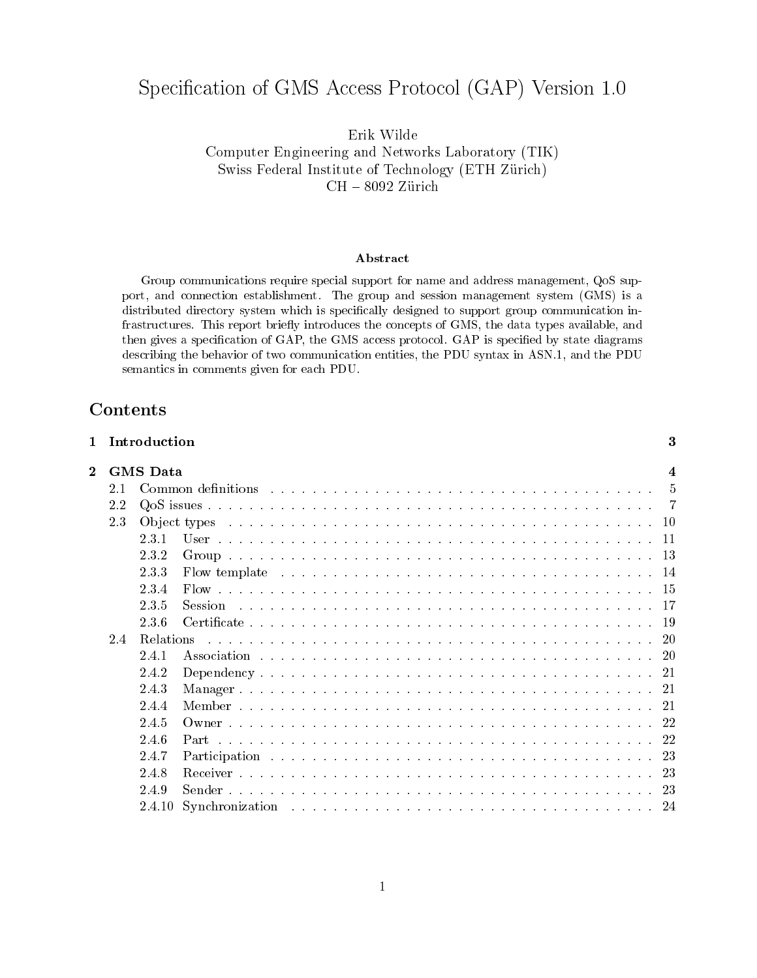# Specification of GMS Access Protocol (GAP) Version 1.0

Erik Wilde Computer Engineering and Networks Laboratory (TIK) Swiss Federal Institute of Technology (ETH Zurich)  $\text{CH} = 8032$  zurich

### Abstract

Group communications require special support for name and address management, QoS support, and connection establishment. The group and session management system (GMS) is a distributed directory system which is specically designed to support group communication infrastructures. This report briefly introduces the concepts of GMS, the data types available, and then gives a specification of GAP, the GMS access protocol. GAP is specified by state diagrams describing the behavior of two communication entities, the PDU syntax in ASN.1, and the PDU semantics in comments given for each PDU.

## **Contents**

| 1              |     | Introduction    |                | 3              |
|----------------|-----|-----------------|----------------|----------------|
| $\overline{2}$ |     | <b>GMS</b> Data |                | 4              |
|                | 2.1 |                 |                | $\overline{5}$ |
|                | 2.2 |                 |                |                |
|                | 2.3 |                 |                |                |
|                |     | 2.3.1           |                |                |
|                |     | 2.3.2           |                |                |
|                |     | 2.3.3           |                |                |
|                |     | 2.3.4           |                |                |
|                |     | 2.3.5           | <b>Session</b> |                |
|                |     | 2.3.6           |                |                |
|                | 24  |                 |                |                |
|                |     | 2.4.1           |                | -20            |
|                |     | 2.4.2           |                |                |
|                |     | 2.4.3           |                |                |
|                |     | 2.4.4           |                |                |
|                |     | 2.4.5           |                |                |
|                |     | 2.4.6           |                |                |
|                |     | 2.4.7           |                |                |
|                |     | 2.4.8           |                |                |
|                |     | 2.4.9           |                | 23             |
|                |     | 2.4.10          |                | -24            |
|                |     |                 |                |                |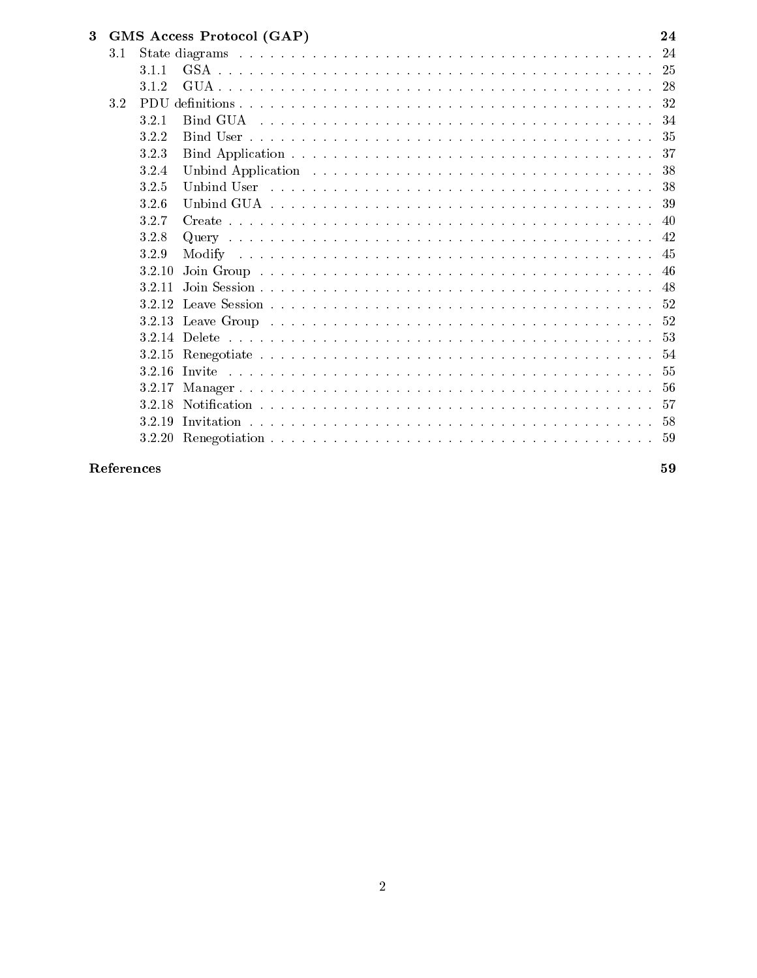| 3 |     | GMS Access Protocol (GAP) | 24 |
|---|-----|---------------------------|----|
|   | 3.1 |                           |    |
|   |     | 3.1.1                     |    |
|   |     | 3.1.2                     |    |
|   | 3.2 |                           |    |
|   |     | 3.2.1                     |    |
|   |     | 3.2.2                     |    |
|   |     | 3.2.3                     |    |
|   |     | 3.2.4                     |    |
|   |     | 3.2.5                     |    |
|   |     | 3.2.6                     |    |
|   |     | 3.2.7                     |    |
|   |     | 3.2.8                     |    |
|   |     | 3.2.9                     |    |
|   |     | 3.2.10                    |    |
|   |     | 3.2.11                    |    |
|   |     |                           |    |
|   |     |                           |    |
|   |     |                           |    |
|   |     |                           |    |
|   |     |                           |    |
|   |     | 3.2.17                    |    |
|   |     | 3.2.18                    |    |
|   |     | 3.2.19                    |    |
|   |     |                           |    |
|   |     |                           |    |

## References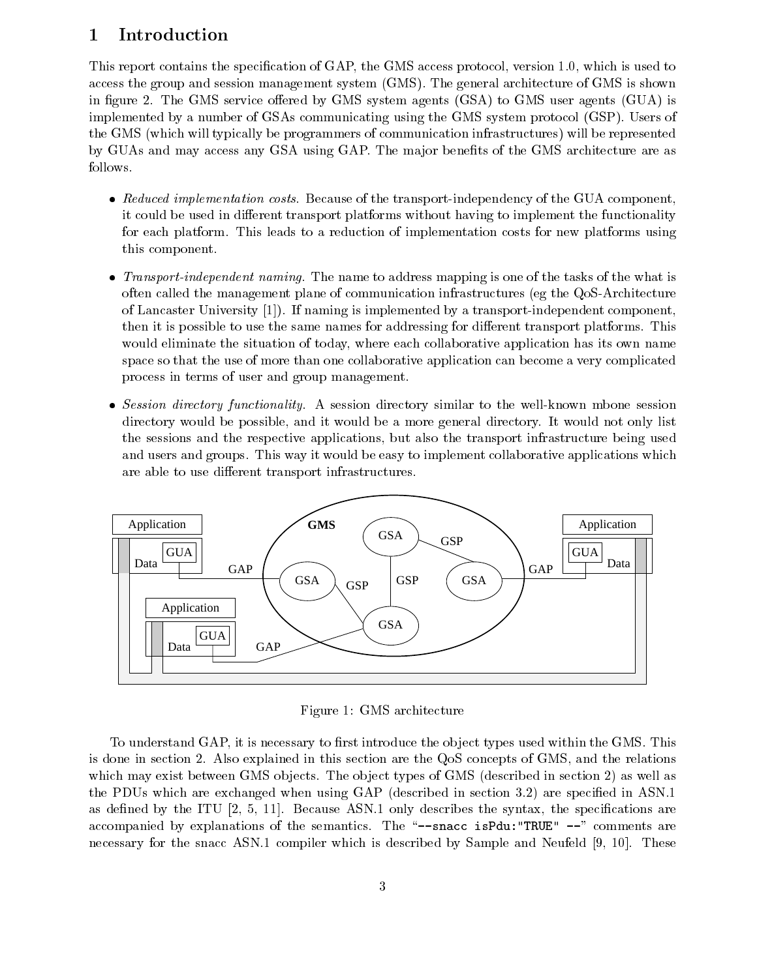## 1 Introduction

This report contains the specification of GAP, the GMS access protocol, version 1.0, which is used to access the group and session management system (GMS). The general architecture of GMS is shown in figure 2. The GMS service offered by GMS system agents  $(GSA)$  to GMS user agents  $(GUA)$  is implemented byanumber of GSAs communicating using the GMS system protocol (GSP). Users of the GMS (which will typically be programmers of communication infrastructures) will be represented by GUAs and may access any GSA using GAP. The major benefits of the GMS architecture are as follows.

- Reduced implementation costs. Because of the transport-independency of the GUA component, it could be used in different transport platforms without having to implement the functionality for each platform. This leads to a reduction of implementation costs for new platforms using this component.
- Transport-independent naming. The name to address mapping is one of the tasks of the what is often called the management plane of communication infrastructures (eg the QoS-Architecture of Lancaster University [1]). If naming is implemented by a transport-independent component, then it is possible to use the same names for addressing for different transport platforms. This would eliminate the situation of today, where each collaborative application has its own name space so that the use of more than one collaborative application can become a very complicated process in terms of user and group management.
- Session directory functionality. A session directory similar to the well-known mbone session directory would be possible, and it would be a more general directory. It would not only list the sessions and the respective applications, but also the transport infrastructure being used and users and groups. This way it would be easy to implement collaborative applications which are able to use different transport infrastructures.



Figure 1: GMS architecture

To understand GAP, it is necessary to first introduce the object types used within the GMS. This is done in section 2. Also explained in this section are the QoS concepts of GMS, and the relations which may exist between GMS objects. The object types of GMS (described in section 2) as well as the PDUs which are exchanged when using GAP (described in section 3.2) are specified in ASN.1 as defined by the ITU  $[2, 5, 11]$ . Because ASN.1 only describes the syntax, the specifications are accompanied by explanations of the semantics. The "--snacc isPdu: "TRUE"  $-$ " comments are necessary for the snacc ASN.1 compiler which is described by Sample and Neufeld [9, 10]. These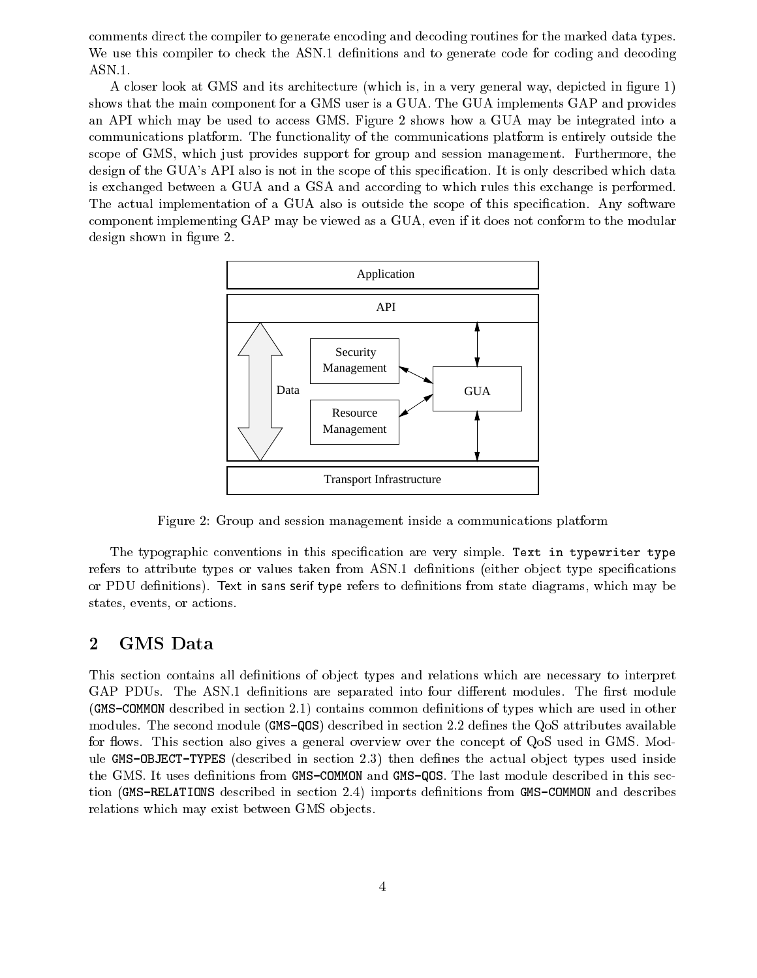comments direct the compiler to generate encoding and decoding routines for the marked data types. We use this compiler to check the ASN.1 definitions and to generate code for coding and decoding ASN.1.

A closer look at GMS and its architecture (which is, in a very general way, depicted in figure 1) shows that the main component for a GMS user is a GUA. The GUA implements GAP and provides an API which may be used to access GMS. Figure 2 shows how a GUA may be integrated into a communications platform. The functionality of the communications platform is entirely outside the scope of GMS, which just provides support for group and session management. Furthermore, the design of the GUA's API also is not in the scope of this specification. It is only described which data is exchanged between a GUA and a GSA and according to which rules this exchange is performed. The actual implementation of a GUA also is outside the scope of this specification. Any software component implementing GAP may be viewed as a GUA, even if it does not conform to the modular design shown in figure 2.



Figure 2: Group and session management inside a communications platform

The typographic conventions in this specification are very simple. Text in typewriter type refers to attribute types or values taken from ASN.1 definitions (either object type specifications or PDU definitions). Text in sans serif type refers to definitions from state diagrams, which may be states, events, or actions.

## 2 GMS Data

This section contains all definitions of object types and relations which are necessary to interpret GAP PDUs. The ASN.1 definitions are separated into four different modules. The first module (GMS-COMMON described in section 2.1) contains common denitions of types which are used in other modules. The second module (GMS-QOS) described in section 2.2 defines the QoS attributes available for flows. This section also gives a general overview over the concept of QoS used in GMS. Module GMS-OBJECT-TYPES (described in section 2.3) then defines the actual object types used inside the GMS. It uses definitions from GMS-COMMON and GMS-QOS. The last module described in this section (GMS-RELATIONS described in section 2.4) imports definitions from GMS-COMMON and describes relations which may exist between GMS objects.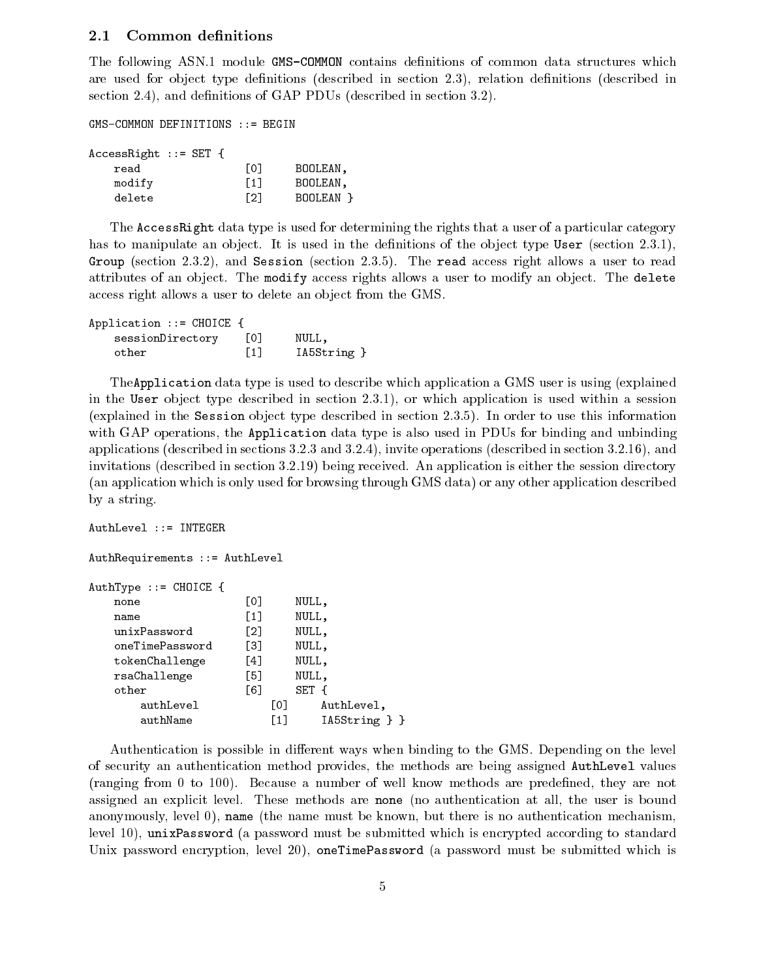#### 2.1Common definitions

The following ASN.1 module GMS-COMMON contains definitions of common data structures which are used for object type definitions (described in section 2.3), relation definitions (described in section 2.4), and definitions of GAP PDUs (described in section 3.2).

GMS-COMMON DEFINITIONS ::= BEGIN

|  | LO J                     | BOOLEAN.  |
|--|--------------------------|-----------|
|  | $\lceil 1 \rceil$        | BOOLEAN.  |
|  | [2]                      | BOOLEAN P |
|  | $AccessRight :: = SET {$ |           |

The AccessRight data type is used for determining the rights that a user of a particular category has to manipulate an object. It is used in the definitions of the object type User (section  $(2.3.1)$ ), Group (section 2.3.2), and Session (section 2.3.5). The read access right allows a user to read attributes of an object. The modify access rights allows a user to modify an object. The delete access right allows a user to delete an object from the GMS.

| Application $::=$ CHOICE { |                   |             |
|----------------------------|-------------------|-------------|
| sessionDirectory           | L01               | NULL,       |
| other                      | $\lceil 1 \rceil$ | IA5String } |

TheApplication data type is used to describe which application a GMS user is using (explained in the User object type described in section 2.3.1), or which application is used within a session (explained in the Session object type described in section  $2.3.5$ ). In order to use this information with GAP operations, the **Application** data type is also used in PDUs for binding and unbinding applications (described in sections 3.2.3 and 3.2.4), invite operations (described in section 3.2.16), and invitations (described in section 3.2.19) being received. An application is either the session directory (an application which is only used for browsing through GMS data) or any other application described by a string.

```
AuthLevel ::= INTEGER
AuthRequirements ::= AuthLevel
AuthType ::= CHOICE {
    none and [0] NULL, and [0] NULL, and [0] NULL, and [0] NULL, and [0] NULL, and [0] NULL, and [0] NULL, and [0]
   name [1] NULL,
   unixPassword [2] NULL,
   oneTimePassword [3] NULL,
   tokenChallenge [4] NULL,
   rsaChallenge [5] NULL,
   other [6] SET {
       authLevel [0] AuthLevel,
       authName [1] IA5String } }
```
Authentication is possible in different ways when binding to the GMS. Depending on the level of security an authentication method provides, the methods are being assigned AuthLevel values (ranging from 0 to 100). Because a number of well know methods are predened, they are not assigned an explicit level. These methods are none (no authentication atall, the user is bound anonymously, level 0), name (the name must be known, but there is no authentication mechanism, level 10), unixPassword (a password must be submitted which is encrypted according to standard Unix password encryption, level 20), oneTimePassword (a password must be submitted which is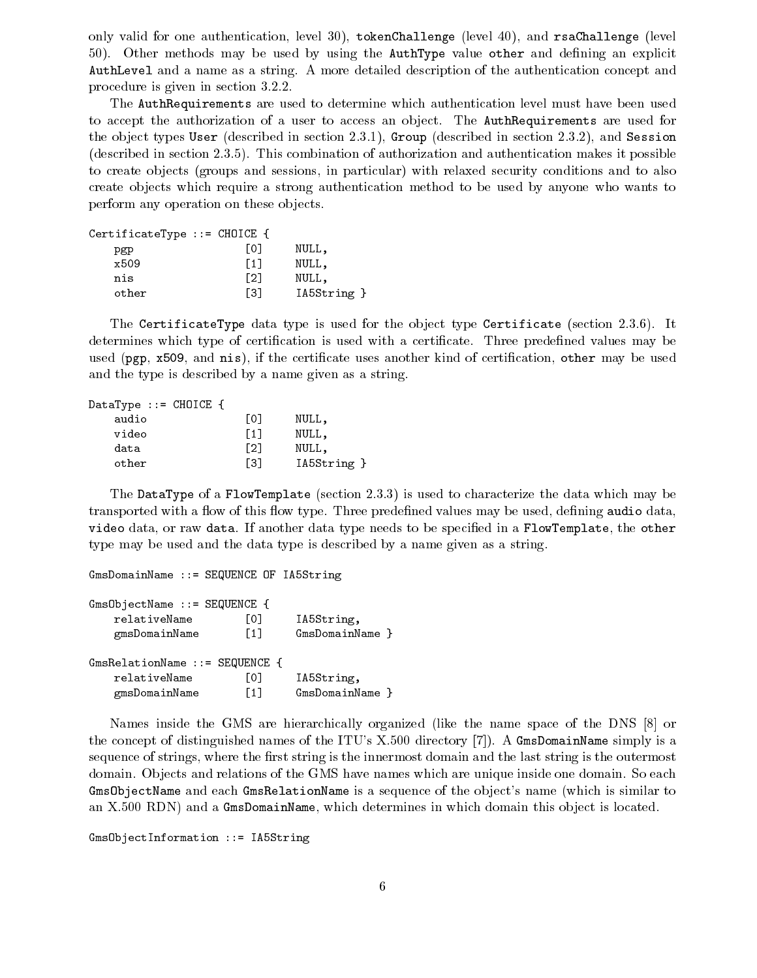only valid for one authentication, level 30), tokenChallenge (level 40), and rsaChallenge (level  $50$ ). Other methods may be used by using the AuthType value other and defining an explicit AuthLevel and a name as a string. A more detailed description of the authentication concept and procedure is given in section 3.2.2.

The AuthRequirements are used to determine which authentication level must have been used to accept the authorization of a user to access an object. The AuthRequirements are used for the object types User (described in section 2.3.1), Group (described in section 2.3.2), and Session (described in section 2.3.5). This combination of authorization and authentication makes it possible to create ob jects (groups and sessions, in particular) with relaxed security conditions and to also create objects which require a strong authentication method to be used by anyone who wants to perform any operation on these objects.

| CertificateType ::= CHOICE $\{$ |      |             |
|---------------------------------|------|-------------|
| pgp                             | L01  | NULL,       |
| x509                            | Г1 I | NULL,       |
| nis                             | Г21  | NULL,       |
| other                           | Г31  | IA5String } |

The CertificateType data type is used for the object type Certificate (section 2.3.6). It determines which type of certification is used with a certificate. Three predefined values may be used (pgp, x509, and nis), if the certificate uses another kind of certification, other may be used and the type is described by a name given as a string.

| DataType ::= CHOICE { |      |             |
|-----------------------|------|-------------|
| audio                 | L01  | NULL,       |
| video                 | Г1 I | NULL,       |
| data                  | F21  | NULL,       |
| other                 | Г31  | IA5String } |

The DataType of a FlowTemplate (section 2.3.3) is used to characterize the data which may be transported with a flow of this flow type. Three predefined values may be used, defining audio data, video data, or raw data. If another data type needs to be specified in a FlowTemplate, the other type may be used and the data type is described by a name given as a string.

```
GmsDomainName ::= SEQUENCE OF IA5String
GmsObjectName ::= SEQUENCE {
   relativeName [0] IA5String,
   gmsDomainName [1] GmsDomainName }
GmsRelationName ::= SEQUENCE {
   relativeName [0] IA5String,
   gmsDomainName [1] GmsDomainName }
```
Names inside the GMS are hierarchically organized (like the name space of the DNS [8] or the concept of distinguished names of the ITU's X.500 directory [7]). A GmsDomainName simply is a sequence of strings, where the first string is the innermost domain and the last string is the outermost domain. Objects and relations of the GMS have names which are unique inside one domain. So each GmsObjectName and each GmsRelationName is a sequence of the object's name (which is similar to an X.500 RDN) and a GmsDomainName, which determines in which domain this object is located.

```
GmsObjectInformation ::= IA5String
```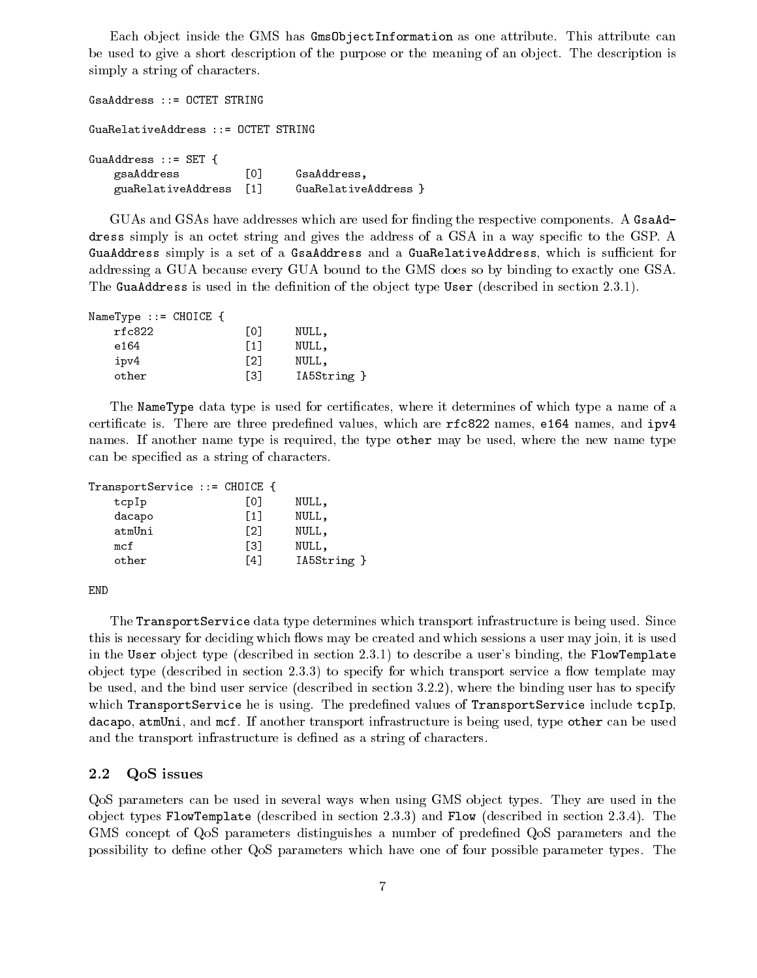Each object inside the GMS has Gms0bjectInformation as one attribute. This attribute can be used to give a short description of the purpose or the meaning of an object. The description is simply a string of characters.

GsaAddress ::= OCTET STRING GuaRelativeAddress ::= OCTET STRING GuaAddress ::= SET { gsaAddress [0] GsaAddress, guaRelativeAddress [1] GuaRelativeAddress }

GUAs and GSAs have addresses which are used for finding the respective components. A GsaAddress simply is an octet string and gives the address of a GSA in a way specific to the GSP. A GuaAddress simply is a set of a GsaAddress and a GuaRelativeAddress, which is sufficient for addressing a GUA because every GUA bound to the GMS does so by binding to exactly one GSA. The GuaAddress is used in the definition of the object type User (described in section 2.3.1).

| NameType $::=$ CHOICE $\{$ |     |             |
|----------------------------|-----|-------------|
| rfc822                     | Г01 | NULL,       |
| e164                       | [1] | NULL,       |
| ipv4                       | Г21 | NULL,       |
| other                      | Г31 | IA5String } |

The NameType data type is used for certicates, where it determines of which type a name of a certificate is. There are three predefined values, which are  $rfc822$  names, e164 names, and  $ipv4$ names. If another name type is required, the type other may be used, where the new name type can be specied as a string of characters.

| TransportService ::= CHOICE { |      |                |
|-------------------------------|------|----------------|
| $+$ $  +$                     | LOJ. | $\overline{1}$ |

| <b>UUPIP</b> | LV∃  | 14 J L L 1  |
|--------------|------|-------------|
| dacapo       | 「1]  | NULL,       |
| atmUni       | [2]  | NULL,       |
| mcf          | Г31  | NULL,       |
| other        | - 41 | IA5String } |
|              |      |             |

END

The TransportService data type determines which transport infrastructure is being used. Since this is necessary for deciding which flows may be created and which sessions a user may join, it is used in the User object type (described in section 2.3.1) to describe a user's binding, the FlowTemplate object type (described in section  $2.3.3$ ) to specify for which transport service a flow template may be used, and the bind user service (described in section 3.2.2), where the binding user has to specify which TransportService he is using. The predefined values of TransportService include tcpIp, dacapo, atmUni, and mcf. If another transport infrastructure is being used, type other can be used and the transport infrastructure is defined as a string of characters.

#### 2.2QoS issues

QoS parameters can be used in several ways when using GMS object types. They are used in the object types FlowTemplate (described in section 2.3.3) and Flow (described in section 2.3.4). The GMS concept of QoS parameters distinguishes a number of predened QoS parameters and the possibility to dene other QoS parameters which have one of four possible parameter types. The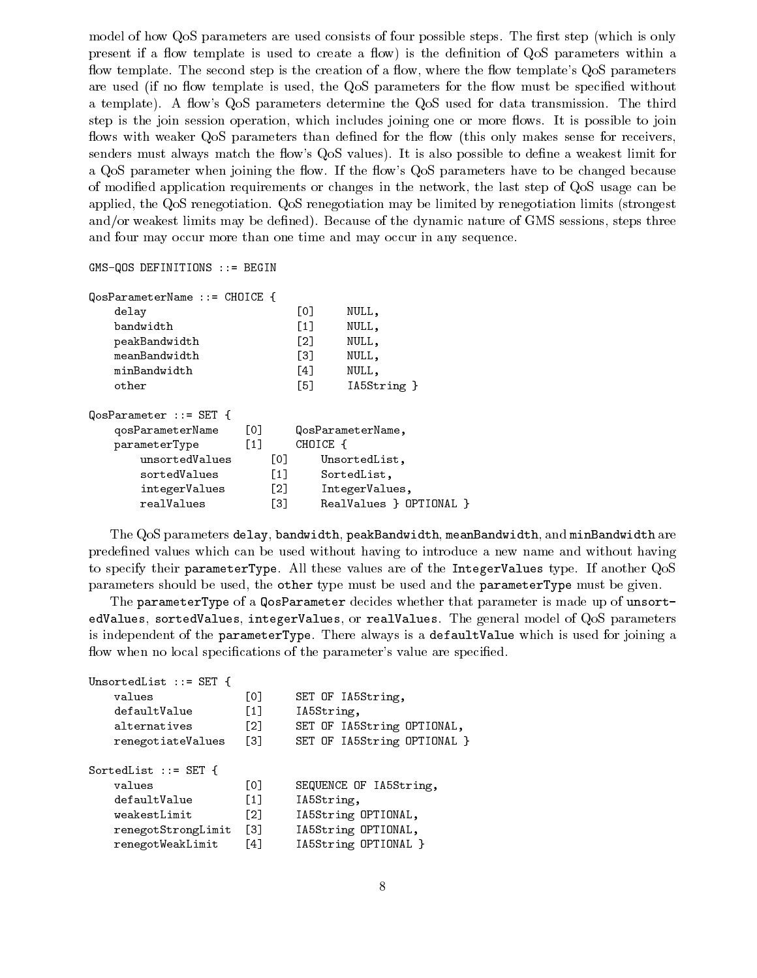model of how QoS parameters are used consists of four possible steps. The first step (which is only present if a flow template is used to create a flow) is the definition of QoS parameters within a flow template. The second step is the creation of a flow, where the flow template's QoS parameters are used (if no flow template is used, the QoS parameters for the flow must be specified without a template). A flow's QoS parameters determine the QoS used for data transmission. The third step is the join session operation, which includes joining one or more flows. It is possible to join flows with weaker QoS parameters than defined for the flow (this only makes sense for receivers, senders must always match the flow's QoS values). It is also possible to define a weakest limit for a QoS parameter when joining the flow. If the flow's QoS parameters have to be changed because of modied application requirements or changes in the network, the last step of QoS usage can be applied, the QoS renegotiation. QoS renegotiation may be limited by renegotiation limits (strongest and/or weakest limits may be defined). Because of the dynamic nature of GMS sessions, steps three and four may occur more than one time and may occur in any sequence.

GMS-QOS DEFINITIONS ::= BEGIN

| $QosParameterName :: = CHOICE {$ |                   |                   |                   |                         |
|----------------------------------|-------------------|-------------------|-------------------|-------------------------|
| delay                            |                   |                   | [0]               | NULL,                   |
| bandwidth                        |                   |                   | $\lceil 1 \rceil$ | NULL,                   |
| peakBandwidth                    |                   |                   | F21               | NULL,                   |
| meanBandwidth                    |                   |                   | T31               | NULL,                   |
| minBandwidth                     |                   |                   | $\lceil 4 \rceil$ | NULL,                   |
| other                            |                   |                   | [5]               | IA5String }             |
| $QosParameter :: = SET$ {        |                   |                   |                   |                         |
| qosParameterName                 | [O]               |                   |                   | QosParameterName,       |
| parameterType                    | $\lceil 1 \rceil$ |                   | CHOICE {          |                         |
| unsortedValues                   |                   | [0]               |                   | UnsortedList,           |
| sortedValues                     |                   | $\lceil 1 \rceil$ |                   | SortedList,             |
| integerValues                    |                   | $\lceil 2 \rceil$ |                   | IntegerValues,          |
| realValues                       |                   | Г31               |                   | RealValues } OPTIONAL } |

The QoS parameters delay, bandwidth, peakBandwidth, meanBandwidth, and minBandwidth are predened values which can be used without having to introduce a new name and without having to specify their parameterType. All these values are of the IntegerValues type. If another QoS parameters should be used, the other type must be used and the parameterType must be given.

The parameterType of a QosParameter decides whether that parameter is made up of unsortedValues, sortedValues, integerValues, or realValues. The general model of QoS parameters is independent of the parameterType. There always is a defaultValue which is used for joining a flow when no local specifications of the parameter's value are specified.

```
UnsortedList ::= SET {
   values [0] SET OF IA5String,
   defaultValue [1] IA5String,
   alternatives [2] SET OF IA5String OPTIONAL,
   renegotiateValues [3] SET OF IA5String OPTIONAL }
SortedList ::= SET {
   values [0] SEQUENCE OF IA5String,
   defaultValue [1] IA5String,
   weakestLimit [2] IA5String OPTIONAL,
   renegotStrongLimit [3] IA5String OPTIONAL,
   renegotWeakLimit [4] IA5String OPTIONAL }
```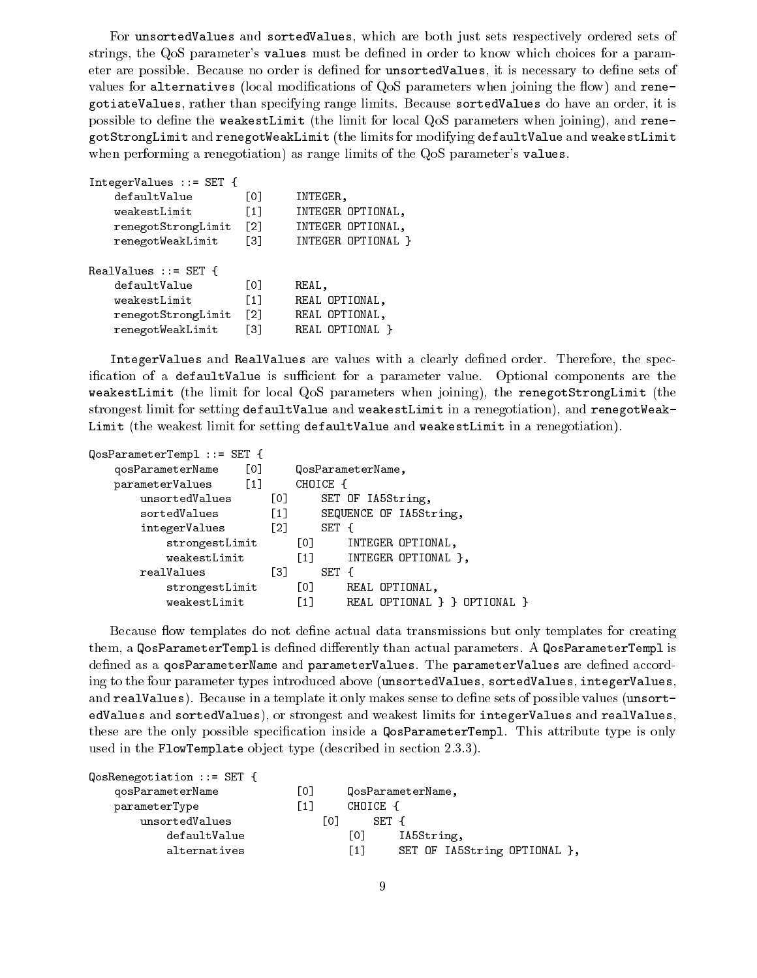For unsortedValues and sortedValues, which are both just sets respectively ordered sets of strings, the QoS parameter's values must be dened in order to know which choices for a parameter are possible. Because no order is defined for unsortedValues, it is necessary to define sets of values for alternatives (local modifications of  $QoS$  parameters when joining the flow) and renegotiateValues, rather than specifying range limits. Because sortedValues do have an order, it is possible to define the weakestLimit (the limit for local QoS parameters when joining), and renegotStrongLimit and renegotWeakLimit (the limits for modifying defaultValue and weakestLimit when performing a renegotiation) as range limits of the QoS parameter's values.

```
IntegerValues ::= SET {
   defaultValue [0] INTEGER,
   weakestLimit [1] INTEGER OPTIONAL,
   renegotStrongLimit [2] INTEGER OPTIONAL,
   renegotWeakLimit [3] INTEGER OPTIONAL }
RealValues ::= SET {
   defaultValue [0] REAL,
   weakestLimit [1] REAL OPTIONAL,
   renegotStrongLimit [2] REAL OPTIONAL,
   renegotWeakLimit [3] REAL OPTIONAL }
```
IntegerValues and RealValues are values with a clearly defined order. Therefore, the specification of a defaultValue is sufficient for a parameter value. Optional components are the weakestLimit (the limit for local QoS parameters when joining), the renegotStrongLimit (the strongest limit for setting defaultValue and weakestLimit in a renegotiation), and renegotWeak-Limit (the weakest limit for setting defaultValue and weakestLimit in a renegotiation).

| QosParameterTempl ::= SET { |                   |                                                   |
|-----------------------------|-------------------|---------------------------------------------------|
| [0]<br>qosParameterName     |                   | QosParameterName,                                 |
| parameterValues [1]         |                   | CHOICE {                                          |
| unsortedValues              | [0]               | SET OF IA5String,                                 |
| sortedValues                | $\left[1\right]$  | SEQUENCE OF IA5String,                            |
| integerValues               | $\lceil 2 \rceil$ | SET {                                             |
| strongestLimit              |                   | [0]<br>INTEGER OPTIONAL,                          |
| weakestLimit                |                   | INTEGER OPTIONAL },<br>$\left[1\right]$           |
| realValues                  | T31               | SET<br>$\mathcal{A}$                              |
| strongestLimit              |                   | [0]<br>REAL OPTIONAL,                             |
| weakestLimit                |                   | REAL OPTIONAL } } OPTIONAL }<br>$\lceil 1 \rceil$ |
|                             |                   |                                                   |

Because flow templates do not define actual data transmissions but only templates for creating them, a QosParameterTempl is defined differently than actual parameters. A QosParameterTempl is defined as a qosParameterName and parameterValues. The parameterValues are defined according to the four parameter types introduced above (unsortedValues, sortedValues, integerValues, and realValues). Because in a template it only makes sense to define sets of possible values (unsortedValues and sortedValues), or strongest and weakest limits for integerValues and realValues, these are the only possible specication inside a QosParameterTempl. This attribute type is only used in the FlowTemplate object type (described in section 2.3.3).

| $Q$ os $R$ enegotiation ::= SET { |     |          |                              |
|-----------------------------------|-----|----------|------------------------------|
| qosParameterName                  | [0] |          | QosParameterName,            |
| parameterType                     | [1] | CHOICE { |                              |
| unsortedValues                    | -01 | SET {    |                              |
| defaultValue                      |     | [0]      | IA5String,                   |
| alternatives                      |     | [1]      | SET OF IA5String OPTIONAL }, |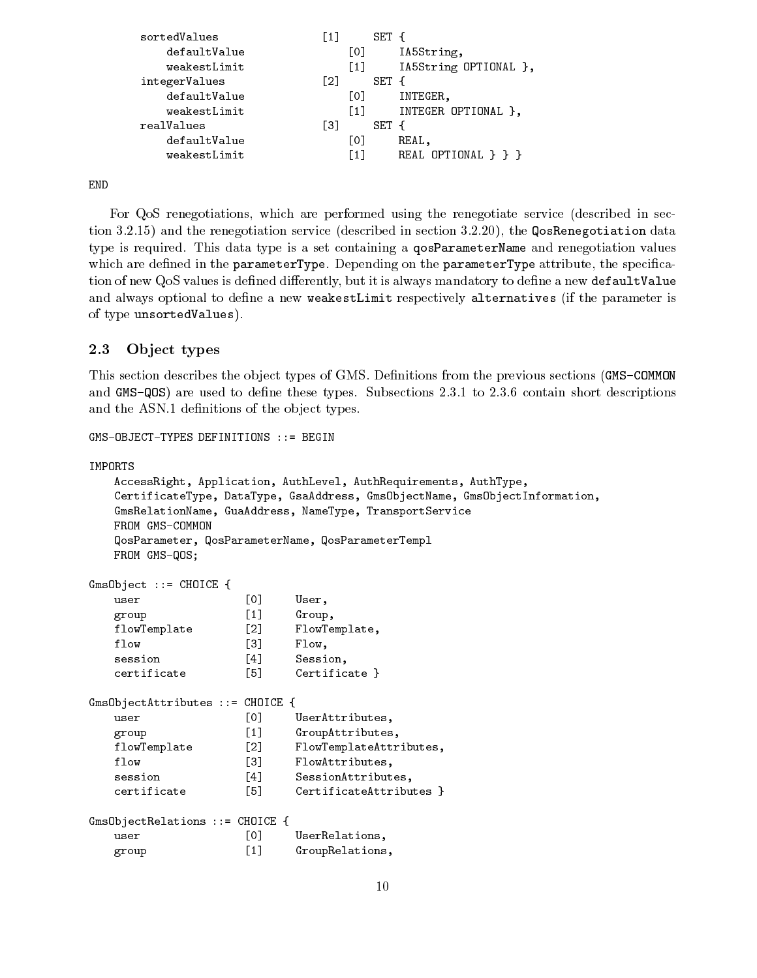```
sortedValues [1] SET {
                  \lceil 1 \rceildefaultValue [0] IA5String,
  weakestLimit [1] IA5String OPTIONAL },
integerValues [2] SET {
  defaultValue [0] INTEGER,
  weakestLimit [1] INTEGER OPTIONAL },
realValues [3] SET {
  defaultValue [0] REAL,
  weakestLimit [1] REAL OPTIONAL } } }
```
END

For QoS renegotiations, which are performed using the renegotiate service (described in section 3.2.15) and the renegotiation service (described in section 3.2.20), the QosRenegotiation data type is required. This data type is a set containing a qosParameterName and renegotiation values which are defined in the parameterType. Depending on the parameterType attribute, the specification of new QoS values is defined differently, but it is always mandatory to define a new defaultValue and always optional to define a new weakestLimit respectively alternatives (if the parameter is of type unsortedValues).

#### 2.3Ob ject types

This section describes the object types of GMS. Definitions from the previous sections (GMS-COMMON and GMS-QOS) are used to define these types. Subsections 2.3.1 to 2.3.6 contain short descriptions and the ASN.1 definitions of the object types.

GMS-OBJECT-TYPES DEFINITIONS ::= BEGIN

```
IMPORTS
```

```
AccessRight, Application, AuthLevel, AuthRequirements, AuthType,
   CertificateType, DataType, GsaAddress, GmsObjectName, GmsObjectInformation,
   GmsRelationName, GuaAddress, NameType, TransportService
   FROM GMS-COMMON
   QosParameter, QosParameterName, QosParameterTempl
   FROM GMS-QOS;
GmsObject ::= CHOICE {
   user and the contract of the contract of the contract of the contract of the contract of the contract of the c
   group [1] Group,
   flowTemplate [2] FlowTemplate,
   flow [3] Flow,
   session [4] Session,
   certificate [5] Certificate }
GmsObjectAttributes ::= CHOICE {
   user [0] UserAttributes,
   group [1] GroupAttributes,
   flowTemplate [2] FlowTemplateAttributes,
   flow [3] FlowAttributes,
   session [4] SessionAttributes,
   certificate [5] CertificateAttributes }
GmsObjectRelations ::= CHOICE {
   user [0] UserRelations,
   group [1] GroupRelations,
```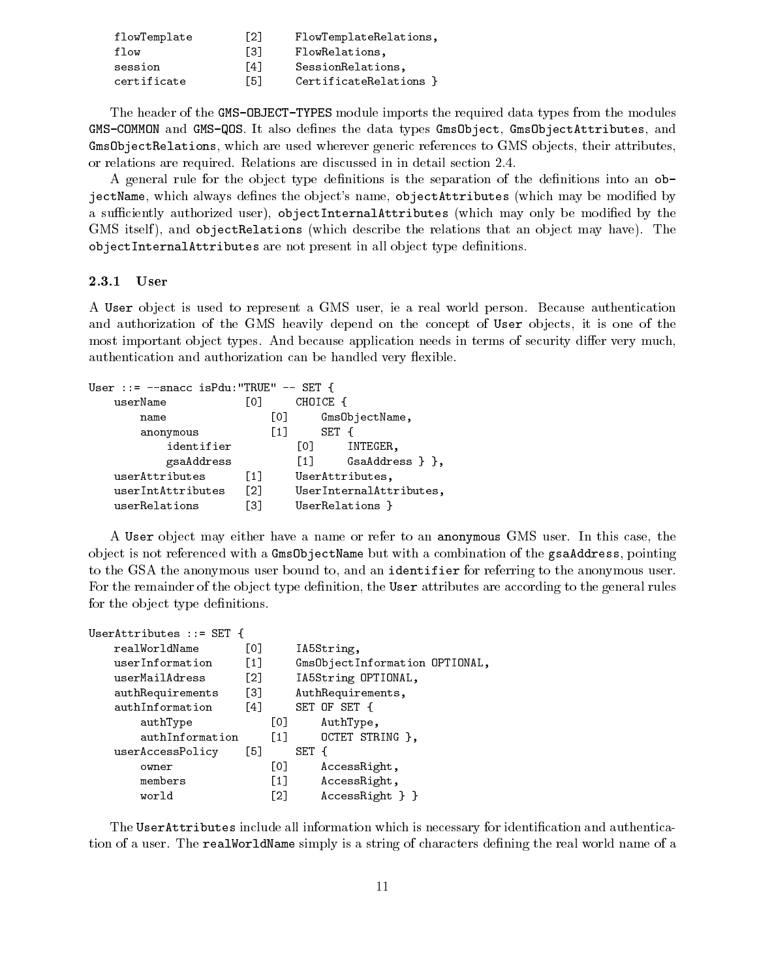| flowTemplate | F21 | FlowTemplateRelations, |
|--------------|-----|------------------------|
| flow         | Г31 | FlowRelations,         |
| session      | [4] | SessionRelations.      |
| certificate  | F51 | CertificateRelations } |

The header of the GMS-OBJECT-TYPES module imports the required data types from the modules GMS-COMMON and GMS-QOS. It also denes the data types GmsObject, GmsObjectAttributes, and GmsObjectRelations, which are used wherever generic references to GMS objects, their attributes, or relations are required. Relations are discussed in in detail section 2.4.

A general rule for the object type definitions is the separation of the definitions into an  $\circ b$ jectName, which always defines the object's name, objectAttributes (which may be modified by a sufficiently authorized user), objectInternalAttributes (which may only be modified by the GMS itself), and objectRelations (which describe the relations that an object may have). The objectInternalAttributes are not present in all object type definitions.

#### 2.3.1 User

 $\mathbf{A}$  and  $\mathbf{A}$  and  $\mathbf{A}$ 

A User ob ject is used to represent a GMS user, ie a real world person. Because authentication and authorization of the GMS heavily depend on the concept of User objects, it is one of the most important object types. And because application needs in terms of security differ very much, authentication and authorization can be handled very flexible.

| User ::= $--space$ isPdu:"TRUE" $--$ SET { |                   |                   |                         |  |
|--------------------------------------------|-------------------|-------------------|-------------------------|--|
| userName                                   | LO J              | CHOICE            |                         |  |
| name                                       | [O]               |                   | GmsObjectName,          |  |
| anonymous                                  | $\lceil 1 \rceil$ |                   | SET                     |  |
| identifier                                 |                   | [O]               | INTEGER,                |  |
| gsaAddress                                 |                   | $\lceil 1 \rceil$ | $GsAddress$ } },        |  |
| userAttributes                             | $\lceil 1 \rceil$ |                   | UserAttributes,         |  |
| userIntAttributes                          | [2]               |                   | UserInternalAttributes, |  |
| userRelations                              | Г31               |                   | UserRelations }         |  |

 $\sigma$ <sub>n</sub> $\sigma$   $\sigma$ 

A User ob ject may either have a name or refer to an anonymous GMS user. In this case, the ob ject is not referenced with a GmsObjectName but with a combination of the gsaAddress, pointing to the GSA the anonymous user bound to, and an identifier for referring to the anonymous user. For the remainder of the object type definition, the User attributes are according to the general rules for the object type definitions.

| USETAULTIDUUES ::= SEI 1 |                   |                   |       |                                |
|--------------------------|-------------------|-------------------|-------|--------------------------------|
| realWorldName            | L01               |                   |       | IA5String,                     |
| userInformation          | $\lceil 1 \rceil$ |                   |       | Gms0bjectInformation OPTIONAL, |
| userMailAdress           | F21               |                   |       | IA5String OPTIONAL,            |
| authRequirements         | [3]               |                   |       | AuthRequirements,              |
| authInformation          | $\lceil 4 \rceil$ |                   |       | SET OF SET {                   |
| authType                 |                   | LO L              |       | AuthType,                      |
| authInformation          |                   | $\lceil 1 \rceil$ |       | OCTET STRING },                |
| userAccessPolicy         | [5]               |                   | SET { |                                |
| owner                    |                   | [0]               |       | AccessRight,                   |
| members                  |                   | $\left[1\right]$  |       | AccessRight,                   |
| world                    |                   | F21               |       | $AccessRight$ } }              |

The UserAttributes include all information which is necessary for identication and authentication of a user. The realWorldName simply is a string of characters defining the real world name of a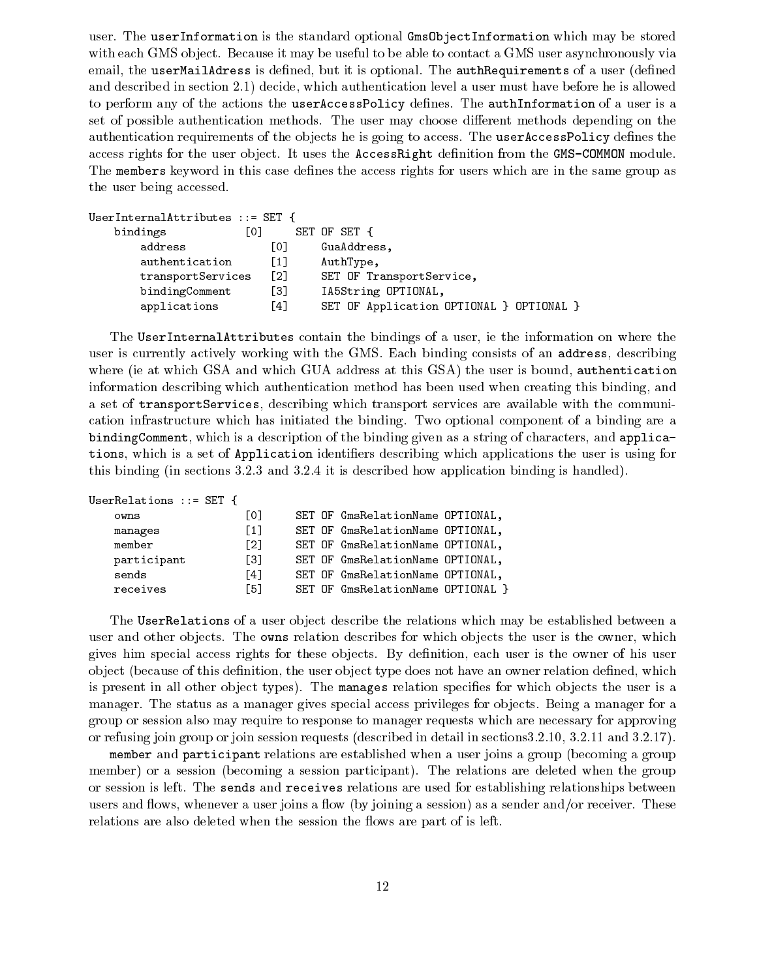user. The userInformation is the standard optional GmsObjectInformation which may be stored with each GMS object. Because it may be useful to be able to contact a GMS user asynchronously via email, the userMailAdress is defined, but it is optional. The authRequirements of a user (defined and described in section 2.1) decide, which authentication level a user must have before he is allowed to perform any of the actions the userAccessPolicy defines. The authInformation of a user is a set of possible authentication methods. The user may choose different methods depending on the authentication requirements of the objects he is going to access. The userAccessPolicy defines the access rights for the user object. It uses the AccessRight definition from the GMS-COMMON module. The members keyword in this case defines the access rights for users which are in the same group as the user being accessed.

| UserInternalAttributes $::=$ SET { |       |                                          |
|------------------------------------|-------|------------------------------------------|
| bindings                           | Г01   | SET OF SET {                             |
| address                            | [0]   | GuaAddress,                              |
| authentication                     | $[1]$ | AuthType,                                |
| transportServices                  | [2]   | SET OF TransportService,                 |
| bindingComment                     | Г31   | IA5String OPTIONAL,                      |
| applications                       | -41   | SET OF Application OPTIONAL } OPTIONAL } |

The UserInternalAttributes contain the bindings of a user, ie the information on where the user is currently actively working with the GMS. Each binding consists of an address, describing where (ie at which GSA and which GUA address at this GSA) the user is bound, authentication information describing which authentication method has been used when creating this binding, and a set of transportServices, describing which transport services are available with the communication infrastructure which has initiated the binding. Two optional component of a binding are a bindingComment, which is a description of the binding given as a string of characters, and applications, which is a set of Application identifiers describing which applications the user is using for this binding (in sections 3.2.3 and 3.2.4 it is described how application binding is handled).

| UserRelations ::= SET i |                   |                                   |  |
|-------------------------|-------------------|-----------------------------------|--|
| owns                    | L0J               | SET OF GmsRelationName OPTIONAL,  |  |
| manages                 | $\lceil 1 \rceil$ | SET OF GmsRelationName OPTIONAL,  |  |
| member                  | $\lceil 2 \rceil$ | SET OF GmsRelationName OPTIONAL,  |  |
| participant             | [3]               | SET OF GmsRelationName OPTIONAL,  |  |
| sends                   | $\lceil 4 \rceil$ | SET OF GmsRelationName OPTIONAL,  |  |
| receives                | $\lceil 5 \rceil$ | SET OF GmsRelationName OPTIONAL } |  |

The UserRelations of a user object describe the relations which may be established between a user and other objects. The owns relation describes for which objects the user is the owner, which gives him special access rights for these objects. By definition, each user is the owner of his user object (because of this definition, the user object type does not have an owner relation defined, which is present in all other object types). The manages relation specifies for which objects the user is a manager. The status as a manager gives special access privileges for objects. Being a manager for a group or session also may require to response to manager requests which are necessary for approving or refusing join group or join session requests (described in detail in sections3.2.10, 3.2.11 and 3.2.17).

member and participant relations are established when a user joins a group (becoming a group member) or a session (becoming a session participant). The relations are deleted when the group or session is left. The sends and receives relations are used for establishing relationships between users and flows, whenever a user joins a flow (by joining a session) as a sender and/or receiver. These relations are also deleted when the session the flows are part of is left.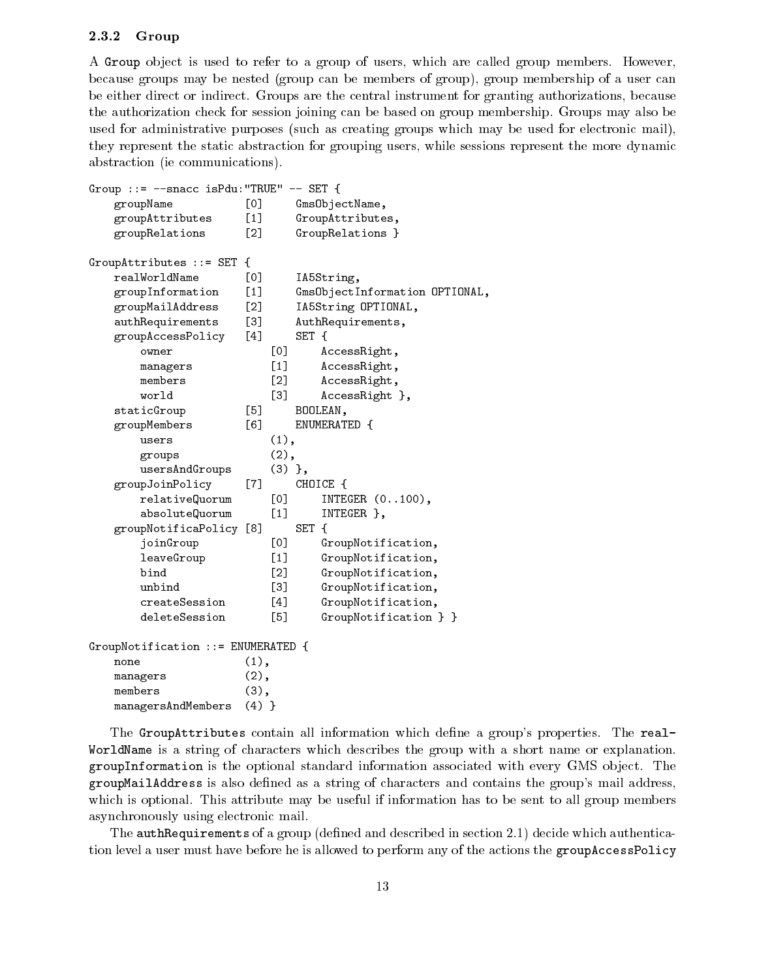#### 2.3.2 Group

A Group ob ject is used to refer to a group of users, which are called group members. However, because groups may be nested (group can be members of group), group membership of a user can be either direct or indirect. Groups are the central instrument for granting authorizations, because the authorization check for session joining can be based on group membership. Groups may also be used for administrative purposes (such as creating groups which may be used for electronic mail), they represent the static abstraction for grouping users, while sessions represent the more dynamic abstraction (ie communications).

```
Group ::= --snacc isPdu:"TRUE" -- SET {
   groupName [0] GmsObjectName,
   groupAttributes [1] GroupAttributes,
   groupRelations [2] GroupRelations }
GroupAttributes ::= SET {
   realWorldName [0] IA5String,
   groupInformation [1] GmsObjectInformation OPTIONAL,
   groupMailAddress [2] IA5String OPTIONAL,
   authRequirements [3] AuthRequirements,
   groupAccessPolicy [4] SET {
       owner [0] AccessRight,
       managers [1] AccessRight,
       members [2] AccessRight,
       world [3] AccessRight },
   staticGroup [5] BOOLEAN,
   groupMembers [6] ENUMERATED {
       users (1),
       groups (2),
       usersAndGroups (3) },
   groupJoinPolicy [7] CHOICE {
       relativeQuorum [0] INTEGER (0..100),
       absoluteQuorum [1] INTEGER },
   groupNotificaPolicy [8] SET {
       joinGroup [0] GroupNotification,
       leaveGroup [1] GroupNotification,
       bind [2] GroupNotification,
       unbind
                          131GroupNotification,
       createSession [4] GroupNotification,
       deleteSession [5] GroupNotification } }
GroupNotification ::= ENUMERATED {
   none (1), and (1), and (1), and (1), and (1), and (1), and (1), and (1), and (1), and (1), and (1), and (1), and (1), and (1), and (1), and (1), and (1), and (1), and (1), and (1), and (1), and (1), and (1), and (1), and (
   managers (2),
   members (3),
   managersAndMembers (4) }
```
The GroupAttributes contain all information which define a group's properties. The real-WorldName is a string of characters which describes the group with a short name or explanation. groupInformation is the optional standard information associated with every GMS object. The groupMailAddress is also dened asa string of characters and contains the group's mail address, which is optional. This attribute may be useful if information has to be sent to all group members asynchronously using electronic mail.

The authRequirements of a group (defined and described in section 2.1) decide which authentication level a user must have before he is allowed to perform any of the actions the groupAccessPolicy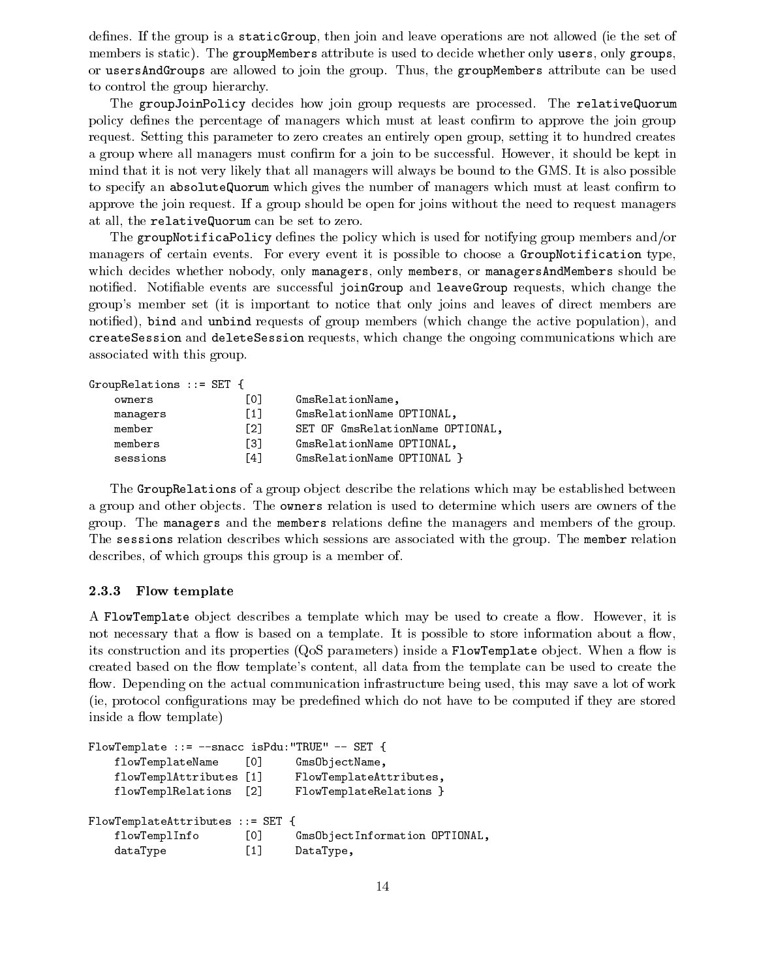defines. If the group is a static Group, then join and leave operations are not allowed (ie the set of members is static). The groupMembers attribute is used to decide whether only users, only groups, or usersAndGroups are allowed to join the group. Thus, the groupMembers attribute can be used to control the group hierarchy.

The groupJoinPolicy decides how join group requests are processed. The relativeQuorum policy defines the percentage of managers which must at least confirm to approve the join group request. Setting this parameter to zero creates an entirely open group, setting it to hundred creates a group where all managers must confirm for a join to be successful. However, it should be kept in mind that it is not very likely that all managers will always be bound to the GMS. It is also possible to specify an absoluteQuorum which gives the number of managers which must at least confirm to approve the join request. If a group should be open for joins without the need to request managers at all, the relativeQuorum can be set to zero.

The groupNotificaPolicy defines the policy which is used for notifying group members and/or managers of certain events. For every event it is possible to choose a GroupNotification type, which decides whether nobody, only managers, only members, or managersAndMembers should be notified. Notifiable events are successful joinGroup and leaveGroup requests, which change the group's member set (it is important to notice that only joins and leaves of direct members are notied), bind and unbind requests of group members (which change the active population), and createSession and deleteSession requests, which change the ongoing communications which are associated with this group.

```
GroupRelations ::= SET {
  owners [0] GmsRelationName,
  managers [1] GmsRelationName OPTIONAL,
  member [2] SET OF GmsRelationName OPTIONAL,
  members [3] GmsRelationName OPTIONAL,
  sessions [4] GmsRelationName OPTIONAL }
```
The GroupRelations of a group object describe the relations which may be established between a group and other objects. The **owners** relation is used to determine which users are owners of the group. The managers and the members relations define the managers and members of the group. The sessions relation describes which sessions are associated with the group. The member relation describes, of which groups this group is a member of.

### 2.3.3 Flow template

A FlowTemplate object describes a template which may be used to create a flow. However, it is not necessary that a flow is based on a template. It is possible to store information about a flow, its construction and its properties  $(QoS$  parameters) inside a FlowTemplate object. When a flow is created based on the flow template's content, all data from the template can be used to create the flow. Depending on the actual communication infrastructure being used, this may save a lot of work (ie, protocol congurations may be predened which do not have to be computed if they are stored inside a flow template)

```
FlowTemplate ::= --snacc isPdu:"TRUE" -- SET {
   flowTemplateName [0] GmsObjectName,
   flowTemplAttributes [1] FlowTemplateAttributes,
   flowTemplRelations [2] FlowTemplateRelations }
FlowTemplateAttributes ::= SET {
   flowTemplInfo [0] GmsObjectInformation OPTIONAL,
   dataType [1] DataType,
```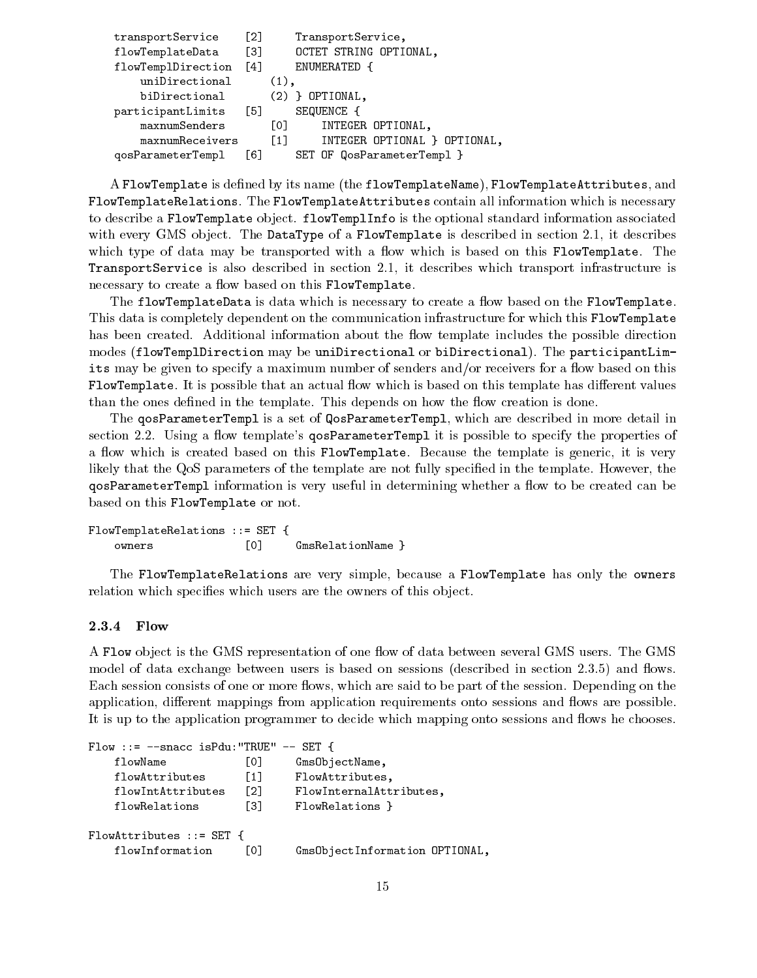```
transportService [2] TransportService,
flowTemplateData [3] OCTET STRING OPTIONAL,
flowTemplDirection [4] ENUMERATED {
   uniDirectional (1),
   biDirectional (2) } OPTIONAL,
participantLimits [5] SEQUENCE {
   maxnumSenders [0] INTEGER OPTIONAL,
   maxnumReceivers [1] INTEGER OPTIONAL } OPTIONAL,
qosParameterTempl [6] SET OF QosParameterTempl }
```
A FlowTemplate is defined by its name (the flowTemplateName), FlowTemplateAttributes, and FlowTemplateRelations. The FlowTemplateAttributes contain all information which is necessary to describe a FlowTemplate object. flowTemplInfo is the optional standard information associated with every GMS object. The DataType of a FlowTemplate is described in section 2.1, it describes which type of data may be transported with a flow which is based on this FlowTemplate. The TransportService is also described in section 2.1, it describes which transport infrastructure is necessary to create a flow based on this FlowTemplate.

The flowTemplateData is data which is necessary to create a flow based on the FlowTemplate. This data is completely dependent on the communication infrastructure for which this FlowTemplate has been created. Additional information about the flow template includes the possible direction modes (flowTemplDirection may be uniDirectional or biDirectional). The participantLimits may be given to specify a maximum number of senders and/or receivers for a flow based on this FlowTemplate. It is possible that an actual flow which is based on this template has different values than the ones defined in the template. This depends on how the flow creation is done.

The qosParameterTempl is a set of QosParameterTempl, which are described in more detail in section 2.2. Using a flow template's **qosParameterTempl** it is possible to specify the properties of a flow which is created based on this FlowTemplate. Because the template is generic, it is very likely that the QoS parameters of the template are not fully specied in the template. However, the qosParameterTempl information is very useful in determining whether a flow to be created can be based on this FlowTemplate or not.

FlowTemplateRelations ::= SET { owners [0] GmsRelationName }

The FlowTemplateRelations are very simple, because a FlowTemplate has only the owners relation which specifies which users are the owners of this object.

#### 2.3.4 Flow

A Flow object is the GMS representation of one flow of data between several GMS users. The GMS model of data exchange between users is based on sessions (described in section 2.3.5) and flows. Each session consists of one or more flows, which are said to be part of the session. Depending on the application, different mappings from application requirements onto sessions and flows are possible. It is up to the application programmer to decide which mapping onto sessions and flows he chooses.

```
Flow ::= --snacc isPdu:"TRUE" -- SET {
   flowName [0] GmsObjectName,
   flowAttributes [1] FlowAttributes,
   flowIntAttributes [2] FlowInternalAttributes,
   flowRelations [3] FlowRelations }
FlowAttributes ::= SET {
   flowInformation [0] GmsObjectInformation OPTIONAL,
```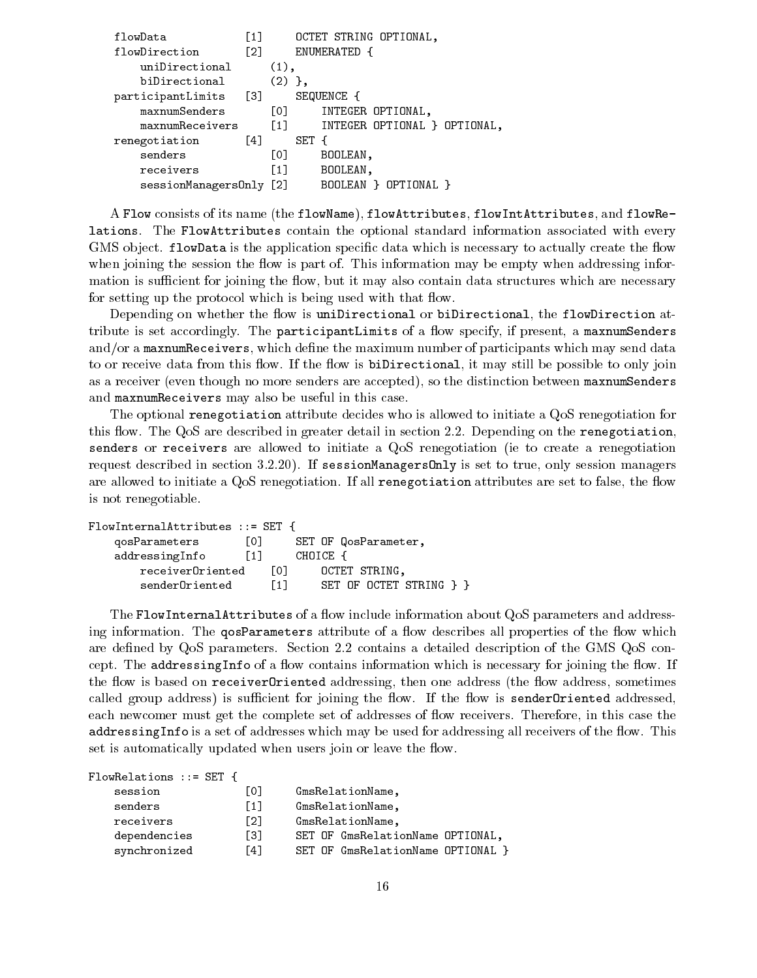| flowData                | [1]               |                     |       | OCTET STRING OPTIONAL,       |
|-------------------------|-------------------|---------------------|-------|------------------------------|
| flowDirection           | $\lceil 2 \rceil$ |                     |       | ENUMERATED {                 |
| uniDirectional          |                   | $(1)$ ,             |       |                              |
| biDirectional           |                   | $(2)$ },            |       |                              |
| participantLimits [3]   |                   |                     |       | SEQUENCE {                   |
| maxnumSenders           |                   | $\lbrack 0 \rbrack$ |       | INTEGER OPTIONAL,            |
| maxnumReceivers         |                   | $\left[1\right]$    |       | INTEGER OPTIONAL } OPTIONAL, |
| renegotiation           | [4]               |                     | SET { |                              |
| senders                 |                   | [0]                 |       | BOOLEAN,                     |
| receivers               |                   | $\lceil 1 \rceil$   |       | BOOLEAN,                     |
| sessionManagersOnly [2] |                   |                     |       | BOOLEAN } OPTIONAL }         |
|                         |                   |                     |       |                              |

A Flow consists of its name (the flowName), flowAttributes, flowIntAttributes, and flowRelations. The FlowAttributes contain the optional standard information associated with every GMS object. flowData is the application specific data which is necessary to actually create the flow when joining the session the flow is part of. This information may be empty when addressing information is sufficient for joining the flow, but it may also contain data structures which are necessary for setting up the protocol which is being used with that flow.

Depending on whether the flow is uniDirectional or biDirectional, the flowDirection attribute is set accordingly. The participantLimits of a flow specify, if present, a maxnum Senders and/or a maxnumReceivers, which define the maximum number of participants which may send data to or receive data from this flow. If the flow is biDirectional, it may still be possible to only join as a receiver (even though no more senders are accepted), so the distinction between maxnumSenders and maxnumReceivers may also be useful in this case.

The optional renegotiation attribute decides who is allowed to initiate a QoS renegotiation for this flow. The QoS are described in greater detail in section 2.2. Depending on the renegotiation. senders or receivers are allowed to initiate a QoS renegotiation (ie to create a renegotiation request described in section 3.2.20). If sessionManagersOnly is set to true, only session managers are allowed to initiate a QoS renegotiation. If all renegotiation attributes are set to false, the flow is not renegotiable.

| FlowInternalAttribute |                   |      |          |                         |  |
|-----------------------|-------------------|------|----------|-------------------------|--|
| qosParameters         | LOJ.              |      |          | SET OF QosParameter,    |  |
| addressingInfo        | $\lceil 1 \rceil$ |      | CHOICE { |                         |  |
| receiverOriented      |                   | LOJ. |          | OCTET STRING.           |  |
| senderOriented        |                   | T1 1 |          | SET OF OCTET STRING } } |  |

The FlowInternalAttributes of a flow include information about QoS parameters and addressing information. The qosParameters attribute of a flow describes all properties of the flow which are defined by QoS parameters. Section 2.2 contains a detailed description of the GMS QoS concept. The addressingInfo of a flow contains information which is necessary for joining the flow. If the flow is based on receiver Oriented addressing, then one address (the flow address, sometimes called group address) is sufficient for joining the flow. If the flow is sender Oriented addressed, each newcomer must get the complete set of addresses of flow receivers. Therefore, in this case the addressing Info is a set of addresses which may be used for addressing all receivers of the flow. This set is automatically updated when users join or leave the flow.

| $FlowRelationship: = SET$ |     |                                   |
|---------------------------|-----|-----------------------------------|
| session                   | L01 | GmsRelationName,                  |
| senders                   | [1] | GmsRelationName,                  |
| receivers                 | F21 | GmsRelationName,                  |
| dependencies              | Г31 | SET OF GmsRelationName OPTIONAL,  |
| synchronized              | Γ41 | SET OF GmsRelationName OPTIONAL } |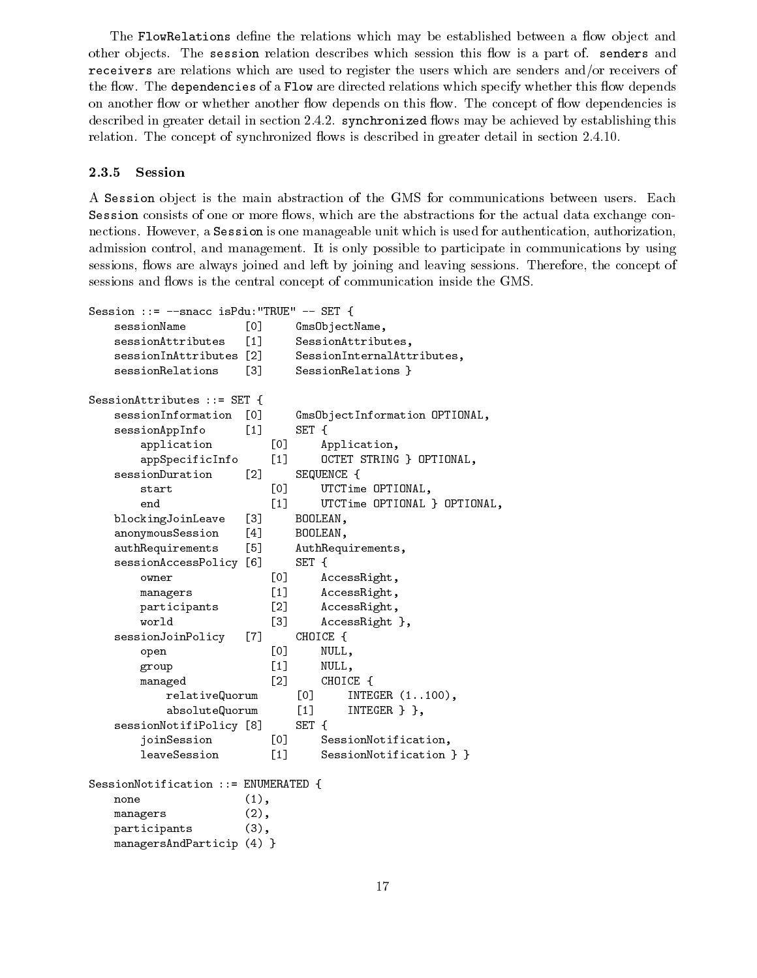The FlowRelations define the relations which may be established between a flow object and other objects. The session relation describes which session this flow is a part of. senders and receivers are relations which are used to register the users which are senders and/or receivers of the flow. The dependencies of a Flow are directed relations which specify whether this flow depends on another flow or whether another flow depends on this flow. The concept of flow dependencies is described in greater detail in section 2.4.2. synchronized flows may be achieved by establishing this relation. The concept of synchronized flows is described in greater detail in section 2.4.10.

#### 2.3.5 **Session**

A Session ob ject is the main abstraction of the GMS for communications between users. Each Session consists of one or more flows, which are the abstractions for the actual data exchange connections. However, a Session is one manageable unit which is used for authentication, authorization, admission control, and management. It is only possible to participate in communications by using sessions, flows are always joined and left by joining and leaving sessions. Therefore, the concept of sessions and flows is the central concept of communication inside the GMS.

```
Session ::= --snacc isPdu:"TRUE" -- SET {
   sessionName [0] GmsObjectName,
   sessionAttributes [1] SessionAttributes,
   sessionInAttributes [2] SessionInternalAttributes,
   sessionRelations [3] SessionRelations }
SessionAttributes ::= SET {
   sessionInformation [0] GmsObjectInformation OPTIONAL,
   sessionAppInfo [1] SET {
      application [0] Application,
      appSpecificInfo [1] OCTET STRING } OPTIONAL,
   sessionDuration [2] SEQUENCE {
      start [0] UTCTime OPTIONAL,
      end [1] UTCTime OPTIONAL } OPTIONAL,
   blockingJoinLeave [3] BOOLEAN,
   anonymousSession [4] BOOLEAN,
   authRequirements [5] AuthRequirements,
   sessionAccessPolicy [6] SET {
      owner [0] AccessRight,
      managers [1] AccessRight,
      participants [2] AccessRight,
      world [3] AccessRight },
   sessionJoinPolicy [7] CHOICE {
      open [0] NULL,
      group [1] NULL,
      managed [2] CHOICE {
         relativeQuorum [0] INTEGER (1..100),
         absoluteQuorum [1] INTEGER } },
   sessionNotifiPolicy [8] SET {
      joinSession [0] SessionNotification,
      leaveSession [1] SessionNotification } }
SessionNotification ::= ENUMERATED {
   none (1),
   managers (2),
   participants (3),
   managersAndParticip (4) }
```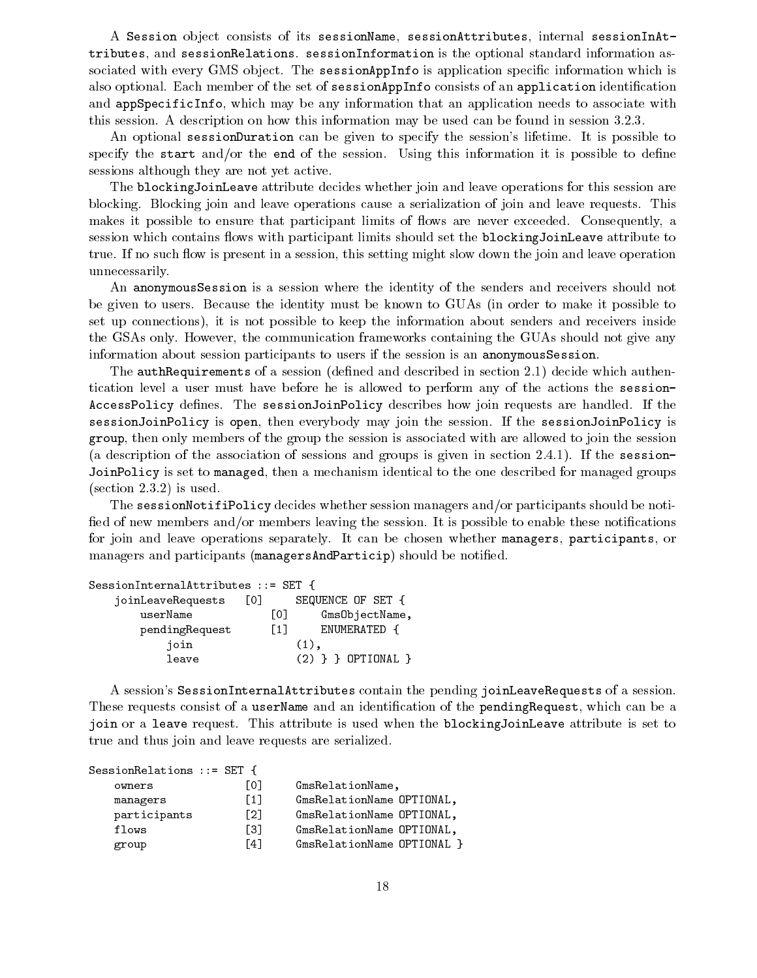A Session object consists of its sessionName, sessionAttributes, internal sessionInAttributes, and sessionRelations. sessionInformation is the optional standard information associated with every GMS object. The sessionAppInfo is application specific information which is also optional. Each member of the set of sessionAppInfo consists of an application identification and appSpecificInfo, which may be any information that an application needs to associate with this session. A description on how this information may be used can be found in session 3.2.3.

An optional sessionDuration can be given to specify the session's lifetime. It is possible to specify the start and/or the end of the session. Using this information it is possible to define sessions although they are not yet active.

The blockingJoinLeave attribute decides whether join and leave operations for this session are blocking. Blocking join and leave operations cause a serialization of join and leave requests. This makes it possible to ensure that participant limits of flows are never exceeded. Consequently, a session which contains flows with participant limits should set the blockingJoinLeave attribute to true. If no such flow is present in a session, this setting might slow down the join and leave operation unnecessarily.

An anonymousSession is a session where the identity of the senders and receivers should not be given to users. Because the identity must be known to GUAs (in order to make it possible to set up connections), it is not possible to keep the information about senders and receivers inside the GSAs only. However, the communication frameworks containing the GUAs should not give any information about session participants to users if the session is an anonymousSession.

The authRequirements of a session (defined and described in section 2.1) decide which authentication level a user must have before he is allowed to perform any of the actions the session-AccessPolicy defines. The sessionJoinPolicy describes how join requests are handled. If the sessionJoinPolicy is open, then everybody may join the session. If the sessionJoinPolicy is group, then only members of the group the session is associated with are allowed to join the session (a description of the association of sessions and groups is given in section 2.4.1). If the session-JoinPolicy is set to managed, then a mechanism identical to the one described for managed groups (section 2.3.2) is used.

The sessionNotifiPolicy decides whether session managers and/or participants should be noti fied of new members and/or members leaving the session. It is possible to enable these notifications for join and leave operations separately. It can be chosen whether managers, participants, or managers and participants (managersAndParticip) should be notified.

| $SessionInternalAttribute$ ibutes ::= SET { |                                   |
|---------------------------------------------|-----------------------------------|
| joinLeaveRequests                           | SEQUENCE OF SET {<br>LO J         |
| userName                                    | L0J<br>GmsObjectName,             |
| pendingRequest                              | ENUMERATED {<br>$\lceil 1 \rceil$ |
| join                                        | $(1)$ .                           |
| leave                                       | $(2)$ } } OPTIONAL }              |

A session's SessionInternalAttributes contain the pending joinLeaveRequests of a session. These requests consist of a userName and an identification of the pendingRequest, which can be a join or a leave request. This attribute is used when the blockingJoinLeave attribute is set to true and thus join and leave requests are serialized.

| SessionRelations ::= SET { |                   |                            |
|----------------------------|-------------------|----------------------------|
| owners                     | L01               | GmsRelationName,           |
| managers                   | $\lceil 1 \rceil$ | GmsRelationName OPTIONAL,  |
| participants               | F21               | GmsRelationName OPTIONAL,  |
| flows                      | Г31               | GmsRelationName OPTIONAL,  |
| group                      | <b>141</b>        | GmsRelationName OPTIONAL } |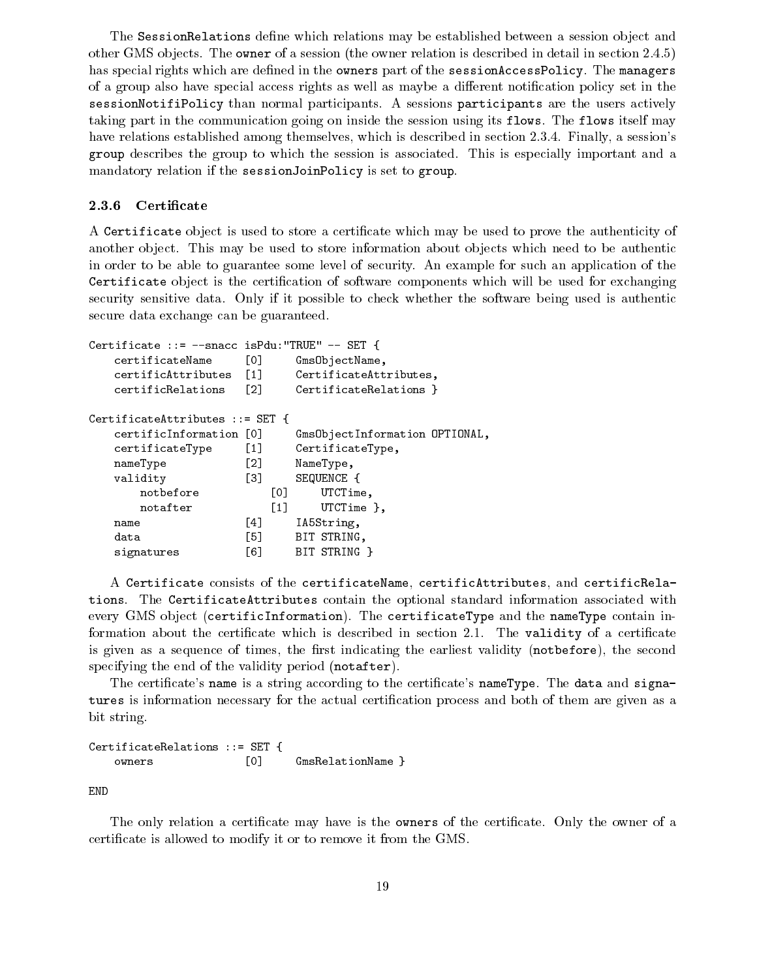The SessionRelations define which relations may be established between a session object and other GMS objects. The owner of a session (the owner relation is described in detail in section 2.4.5) has special rights which are defined in the owners part of the sessionAccessPolicy. The managers of a group also have special access rights as well as maybe a different notification policy set in the sessionNotifiPolicy than normal participants. A sessions participants are the users actively taking part in the communication going on inside the session using its flows. The flows itself may have relations established among themselves, which is described in section 2.3.4. Finally, a session's group describes the group to which the session is associated. This is especially important and a mandatory relation if the sessionJoinPolicy is set to group.

#### 2.3.6 Certificate

A Certificate object is used to store a certificate which may be used to prove the authenticity of another object. This may be used to store information about objects which need to be authentic in order to be able to guarantee some level of security. An example for such an application of the Certificate object is the certification of software components which will be used for exchanging security sensitive data. Only if it possible to check whether the software being used is authentic secure data exchange can be guaranteed.

```
Certificate ::= --snacc isPdu:"TRUE" -- SET {
   certificateName [0] GmsObjectName,
   certificAttributes [1] CertificateAttributes,
   certificRelations [2] CertificateRelations }
CertificateAttributes ::= SET {
   certificInformation [0] GmsObjectInformation OPTIONAL,
   certificateType [1] CertificateType,
   nameType [2] NameType,
   validity [3] SEQUENCE {
      notbefore [0] UTCTime,
      notafter [1] UTCTime },
                   [4] IA5String,
   name
   data [5] BIT STRING,
   signatures [6] BIT STRING }
```
A Certificate consists of the certificateName, certificAttributes, and certificRelations. The CertificateAttributes contain the optional standard information associated with every GMS object (certificInformation). The certificateType and the nameType contain information about the certificate which is described in section 2.1. The validity of a certificate is given as a sequence of times, the first indicating the earliest validity (notbefore), the second specifying the end of the validity period (notafter).

The certificate's name is a string according to the certificate's nameType. The data and signatures is information necessary for the actual certification process and both of them are given as a bit string.

CertificateRelations ::= SET { [0] GmsRelationName } owners

END

The only relation a certificate may have is the **owners** of the certificate. Only the owner of a certicate is allowed to modify it or to remove it from the GMS.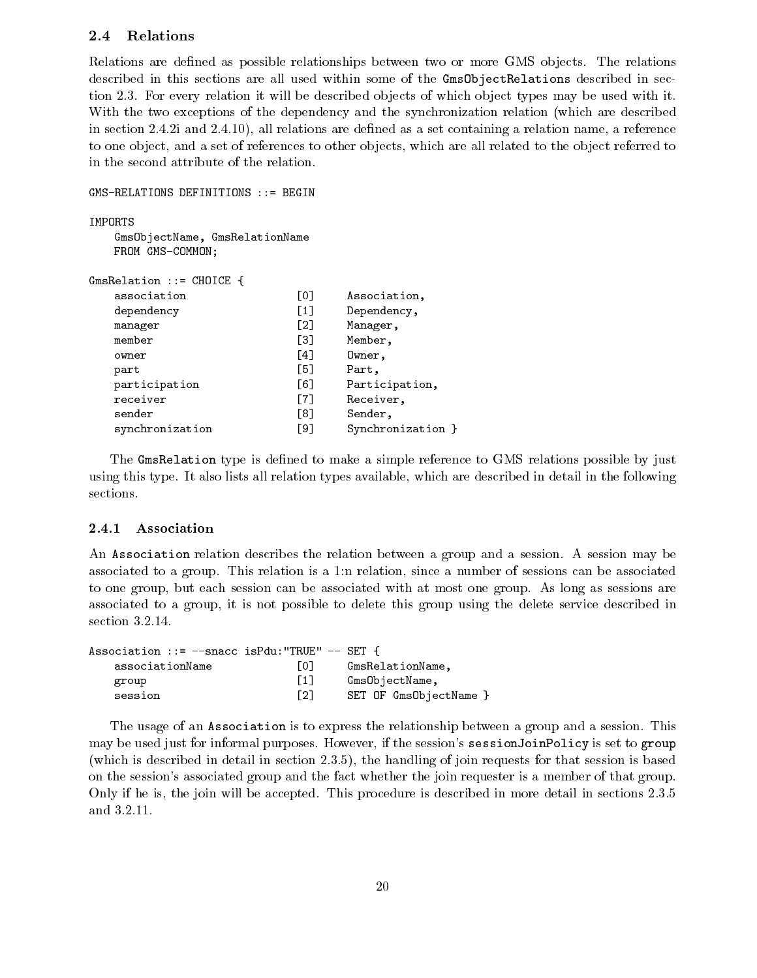#### 2.4Relations

Relations are defined as possible relationships between two or more GMS objects. The relations described in this sections are all used within some of the GmsObjectRelations described in section 2.3. For every relation it will be described objects of which object types may be used with it. With the two exceptions of the dependency and the synchronization relation (which are described in section 2.4.2i and 2.4.10), all relations are defined as a set containing a relation name, a reference to one object, and a set of references to other objects, which are all related to the object referred to in the second attribute of the relation.

```
GMS-RELATIONS DEFINITIONS ::= BEGIN
    GmsObjectName, GmsRelationName
    FROM GMS-COMMON;
GmsRelation ::= CHOICE {
    association [0] Association,
    dependency [1] Dependency,
    manager [2] Manager,
    member [3] Member,
    owner and \mathbf{A} owner, we have a set of the contract of the contract of the contract of the contract of the contract of the contract of the contract of the contract of the contract of the contract of the contract of the
    part [5] Part,
    participation [6] Participation,
    receiver [7] Receiver,
    sender [8] Sender, Sender, Sender, Sender, Sender, Sender, Sender, Sender, Sender, Sender, Sender, Sender, Se
    synchronization [9] Synchronization }
```
The GmsRelation type is defined to make a simple reference to GMS relations possible by just using this type. It also lists all relation types available, which are described in detail in the following sections.

### 2.4.1 Association

An Association relation describes the relation between a group and a session. A session may be associated to a group. This relation is a 1:n relation, since a number of sessions can be associated to one group, but each session can be associated with at most one group. As long as sessions are associated to a group, it is not possible to delete this group using the delete service described in section 3.2.14.

| Association ::= $-$ -snacc isPdu:"TRUE" $-$ SET { |                   |                        |
|---------------------------------------------------|-------------------|------------------------|
| associationName                                   | LO J              | GmsRelationName,       |
| group                                             | $\lceil 1 \rceil$ | GmsObjectName,         |
| session                                           | [2]               | SET OF GmsObjectName } |

The usage of an Association is to express the relationship between a group and a session. This may be used just for informal purposes. However, if the session's sessionJoinPolicy is set to group (which is described in detail in section 2.3.5), the handling of join requests for that session is based on the session's associated group and the fact whether the join requester is a member of that group. Only if he is, the join will be accepted. This procedure is described in more detail in sections 2.3.5 and 3.2.11.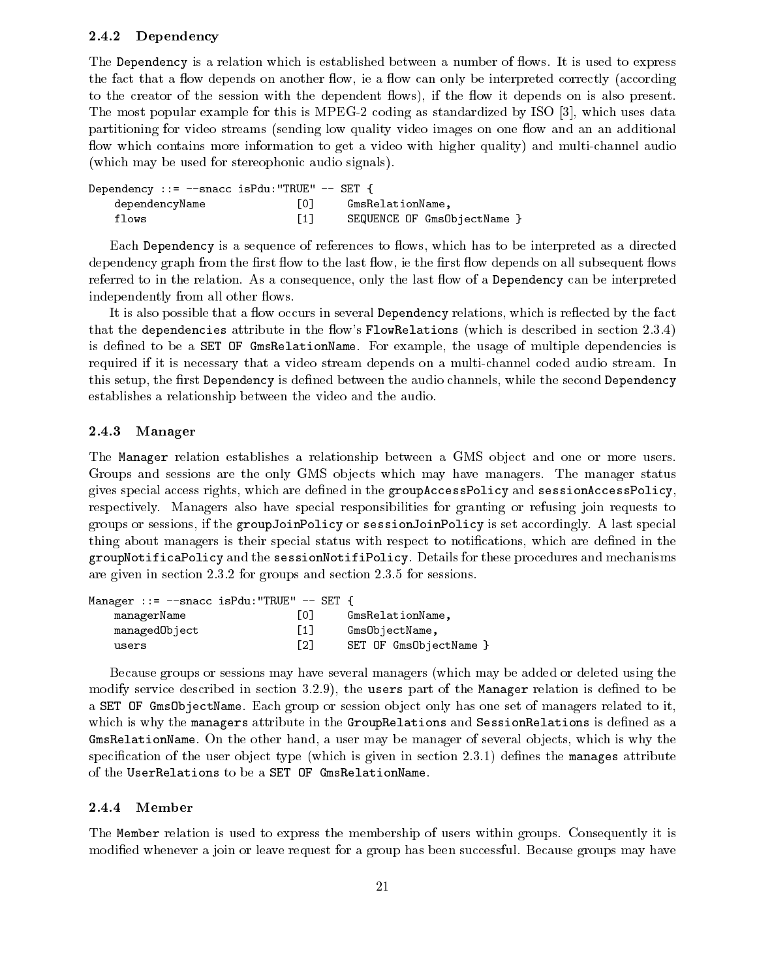#### 2.4.2 Dependency

The Dependency is a relation which is established between a number of flows. It is used to express the fact that a flow depends on another flow, ie a flow can only be interpreted correctly (according to the creator of the session with the dependent flows), if the flow it depends on is also present. The most popular example for this is MPEG-2 coding as standardized by ISO [3], which uses data partitioning for video streams (sending low quality video images on one flow and an an additional flow which contains more information to get a video with higher quality) and multi-channel audio (which may be used for stereophonic audio signals).

| Dependency ::= --snacc isPdu: "TRUE" -- SET { |     |                             |
|-----------------------------------------------|-----|-----------------------------|
| dependencyName                                | 101 | GmsRelationName.            |
| flows                                         |     | SEQUENCE OF GmsObjectName } |

Each Dependency is a sequence of references to flows, which has to be interpreted as a directed dependency graph from the first flow to the last flow, ie the first flow depends on all subsequent flows referred to in the relation. As a consequence, only the last flow of a Dependency can be interpreted independently from all other flows.

It is also possible that a flow occurs in several Dependency relations, which is reflected by the fact that the dependencies attribute in the flow's FlowRelations (which is described in section  $2.3.4$ ) is defined to be a SET OF GmsRelationName. For example, the usage of multiple dependencies is required if it is necessary that a video stream depends on a multi-channel coded audio stream. In this setup, the first Dependency is defined between the audio channels, while the second Dependency establishes a relationship between the video and the audio.

### 2.4.3 Manager

The Manager relation establishes a relationship between a GMS object and one or more users. Groups and sessions are the only GMS objects which may have managers. The manager status gives special access rights, which are defined in the groupAccessPolicy and sessionAccessPolicy, respectively. Managers also have special responsibilities for granting or refusing join requests to groups or sessions, if the groupJoinPolicy or sessionJoinPolicy is set accordingly. A last special thing about managers is their special status with respect to notications, which are dened in the groupNotificaPolicy and the sessionNotifiPolicy. Details for these procedures and mechanisms are given in section 2.3.2 for groups and section 2.3.5 for sessions.

| Manager ::= $--$ snacc isPdu: "TRUE" $--$ SET { |                   |                        |
|-------------------------------------------------|-------------------|------------------------|
| managerName                                     | LO J              | GmsRelationName,       |
| managedObject                                   | $\lceil 1 \rceil$ | GmsObjectName,         |
| users                                           | Г21               | SET OF GmsObjectName } |

Because groups or sessions may have several managers (which may be added or deleted using the modify service described in section  $3.2.9$ ), the users part of the Manager relation is defined to be a SET OF GmsObjectName. Each group or session object only has one set of managers related to it, which is why the managers attribute in the GroupRelations and SessionRelations is defined as a GmsRelationName. On the other hand, a user may be manager of several objects, which is why the specification of the user object type (which is given in section  $(2.3.1)$ ) defines the manages attribute of the UserRelations to be a SET OF GmsRelationName.

### 2.4.4 Member

The Member relation is used to express the membership of users within groups. Consequently it is modied whenever a join or leave request for a group has been successful. Because groups may have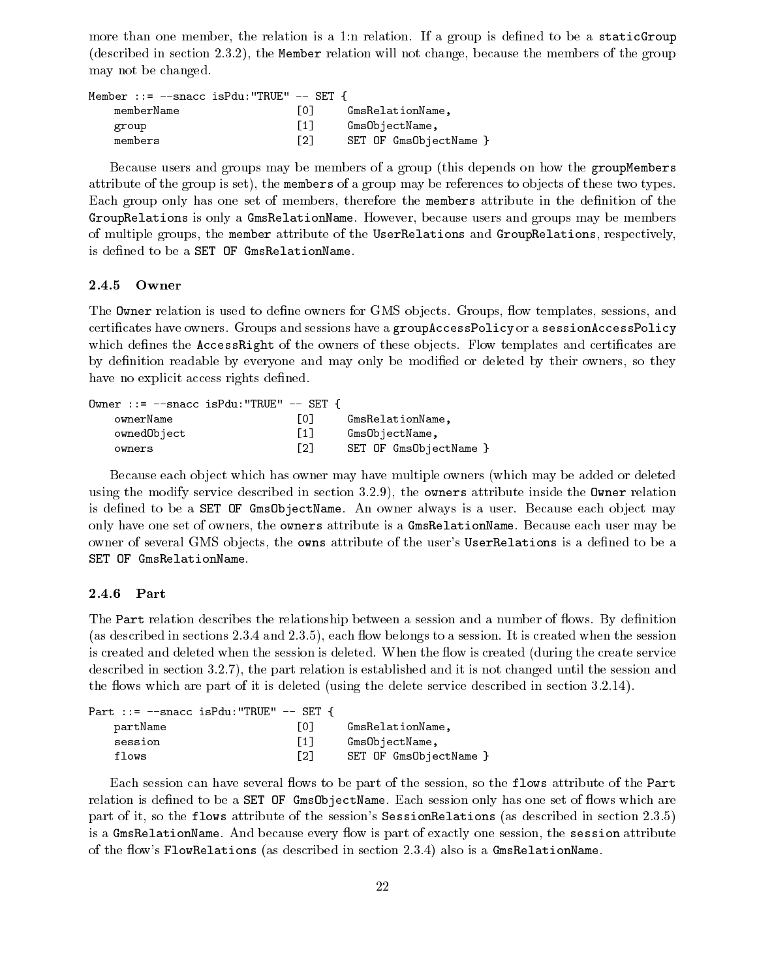more than one member, the relation is a 1:n relation. If a group is defined to be a staticGroup (described in section 2.3.2), the Member relation will not change, because the members of the group may not be changed.

| Member ::= $-$ snacc isPdu:"TRUE" $-$ SET { |                   |                        |
|---------------------------------------------|-------------------|------------------------|
| memberName                                  | LO J              | GmsRelationName.       |
| group                                       | $\lceil 1 \rceil$ | GmsObjectName,         |
| members                                     | F21               | SET OF GmsObjectName } |

Because users and groups may be members of a group (this depends on how the groupMembers attribute of the group is set), the members of a group may be references to ob jects of these two types. Each group only has one set of members, therefore the members attribute in the definition of the GroupRelations is only a GmsRelationName. However, because users and groups may be members of multiple groups, the member attribute of the UserRelations and GroupRelations, respectively, is defined to be a SET OF GmsRelationName.

### 2.4.5 Owner

The **Owner** relation is used to define owners for GMS objects. Groups, flow templates, sessions, and certicates have owners. Groups and sessions have a groupAccessPolicy or a sessionAccessPolicy which defines the AccessRight of the owners of these objects. Flow templates and certificates are by definition readable by everyone and may only be modified or deleted by their owners, so they have no explicit access rights defined.

| Owner ::= $--$ snacc isPdu:"TRUE" $--$ SET { |      |                        |
|----------------------------------------------|------|------------------------|
| ownerName                                    | LO J | GmsRelationName.       |
| ownedObject                                  | [1]  | GmsObjectName,         |
| owners                                       | Г21  | SET OF GmsObjectName } |

Because each object which has owner may have multiple owners (which may be added or deleted using the modify service described in section 3.2.9), the owners attribute inside the Owner relation is defined to be a SET OF GmsObjectName. An owner always is a user. Because each object may only have one set of owners, the owners attribute is a GmsRelationName. Because each user may be owner of several GMS objects, the owns attribute of the user's UserRelations is a defined to be a SET OF GmsRelationName.

### 2.4.6 Part

The Part relation describes the relationship between a session and a number of flows. By definition (as described in sections  $2.3.4$  and  $2.3.5$ ), each flow belongs to a session. It is created when the session is created and deleted when the session is deleted. When the flow is created (during the create service described in section 3.2.7), the part relation is established and it is not changed until the session and the flows which are part of it is deleted (using the delete service described in section 3.2.14).

| Part ::= $-\text{space}$ is Pdu: "TRUE" $-\text{SET}$ { |                   |                        |
|---------------------------------------------------------|-------------------|------------------------|
| partName                                                | LO J              | GmsRelationName.       |
| session                                                 | $\lceil 1 \rceil$ | GmsObjectName,         |
| flows                                                   | [2]               | SET OF GmsObjectName } |

Each session can have several flows to be part of the session, so the flows attribute of the Part relation is defined to be a SET OF GmsObjectName. Each session only has one set of flows which are part of it, so the flows attribute of the session's SessionRelations (as described in section 2.3.5) is a GmsRelationName. And because every flow is part of exactly one session, the session attribute of the flow's FlowRelations (as described in section 2.3.4) also is a GmsRelationName.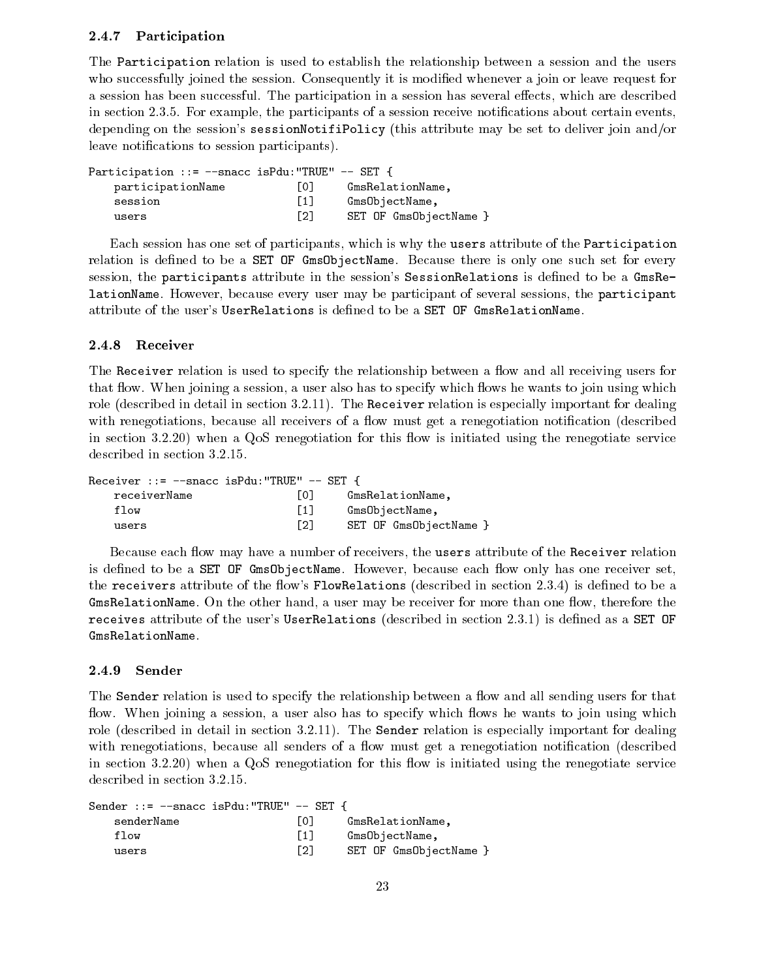#### 2.4.7 Participation

The Participation relation is used to establish the relationship between a session and the users who successfully joined the session. Consequently it is modified whenever a join or leave request for a session has been successful. The participation in a session has several effects, which are described in section 2.3.5. For example, the participants of a session receive notifications about certain events, depending on the session's sessionNotifiPolicy (this attribute may be set to deliver join and/or leave notifications to session participants).

| Participation ::= --snacc isPdu: "TRUE" -- SET { |                   |                        |
|--------------------------------------------------|-------------------|------------------------|
| participationName                                | LO J              | GmsRelationName.       |
| session                                          | $\lceil 1 \rceil$ | GmsObjectName,         |
| users                                            | [2]               | SET OF GmsObjectName } |

Each session has one set of participants, which is why the users attribute of the Participation relation is defined to be a SET OF Gms0bjectName. Because there is only one such set for every session, the participants attribute in the session's SessionRelations is defined to be a GmsRelationName. However, because every user may be participant of several sessions, the participant attribute of the user's UserRelations is dened to be a SET OF GmsRelationName.

### 2.4.8 Receiver

The Receiver relation is used to specify the relationship between a flow and all receiving users for that flow. When joining a session, a user also has to specify which flows he wants to join using which role (described in detail in section 3.2.11). The Receiver relation is especially important for dealing with renegotiations, because all receivers of a flow must get a renegotiation notification (described in section  $3.2.20$ ) when a QoS renegotiation for this flow is initiated using the renegotiate service described in section 3.2.15.

| Receiver ::= $-$ snacc isPdu:"TRUE" $-$ SET { |                  |                        |
|-----------------------------------------------|------------------|------------------------|
| receiverName                                  | LO J             | GmsRelationName.       |
| flow                                          | $\left[1\right]$ | GmsObjectName,         |
| users                                         | [2]              | SET OF GmsObjectName } |

Because each flow may have a number of receivers, the users attribute of the Receiver relation is defined to be a SET OF GmsObjectName. However, because each flow only has one receiver set, the receivers attribute of the flow's FlowRelations (described in section 2.3.4) is defined to be a  $GmsRelationName.$  On the other hand, a user may be receiver for more than one flow, therefore the receives attribute of the user's UserRelations (described in section 2.3.1) is defined as a SET OF GmsRelationName.

#### 2.4.9 Sender

The Sender relation is used to specify the relationship between a flow and all sending users for that flow. When joining a session, a user also has to specify which flows he wants to join using which role (described in detail in section 3.2.11). The Sender relation is especially important for dealing with renegotiations, because all senders of a flow must get a renegotiation notification (described in section  $3.2.20$ ) when a QoS renegotiation for this flow is initiated using the renegotiate service described in section 3.2.15.

| Sender ::= --snacc isPdu:"TRUE" -- SET { |                   |                        |
|------------------------------------------|-------------------|------------------------|
| senderName                               | $\overline{101}$  | GmsRelationName.       |
| flow                                     | $\lceil 1 \rceil$ | GmsObjectName,         |
| users                                    | $\lceil 2 \rceil$ | SET OF GmsObjectName } |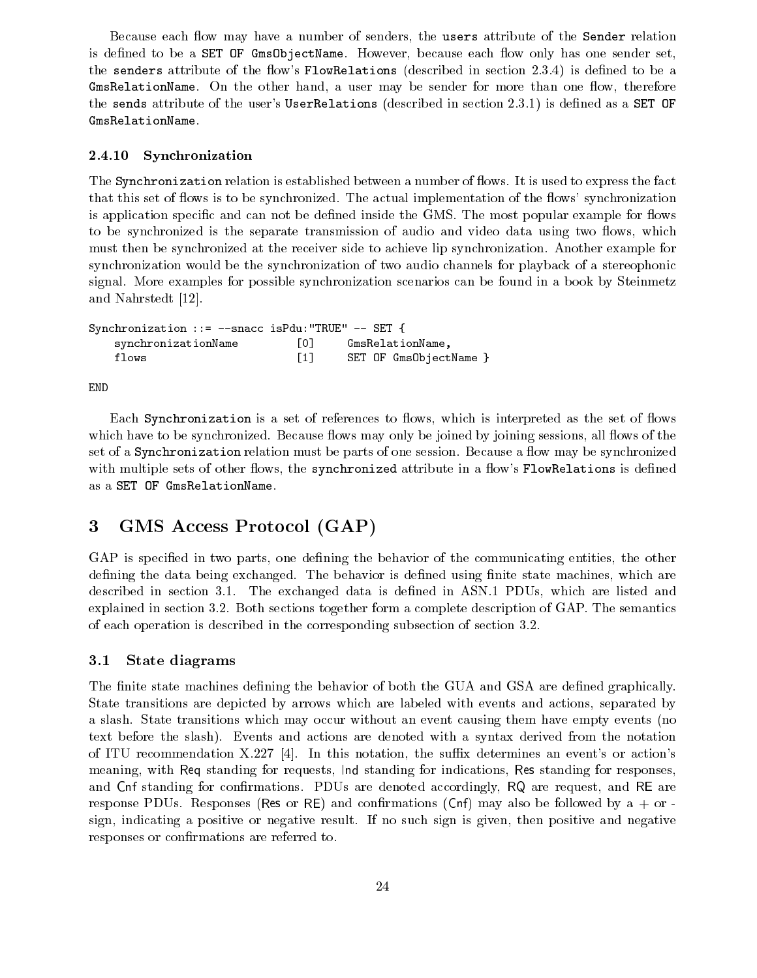Because each flow may have a number of senders, the users attribute of the Sender relation is defined to be a SET OF GmsObjectName. However, because each flow only has one sender set, the senders attribute of the flow's FlowRelations (described in section 2.3.4) is defined to be a GmsRelationName. On the other hand, a user may be sender for more than one flow, therefore the sends attribute of the user's UserRelations (described in section 2.3.1) is defined as a SET OF GmsRelationName.

### 2.4.10 Synchronization

The Synchronization relation is established between a number of flows. It is used to express the fact that this set of flows is to be synchronized. The actual implementation of the flows' synchronization is application specific and can not be defined inside the GMS. The most popular example for flows to be synchronized is the separate transmission of audio and video data using two flows, which must then be synchronized at the receiver side to achieve lip synchronization. Another example for synchronization would be the synchronization of two audio channels for playback of a stereophonic signal. More examples for possible synchronization scenarios can be found in a book by Steinmetz and Nahrstedt [12].

Synchronization ::= --snacc isPdu:"TRUE" -- SET { synchronizationName [0] GmsRelationName, flows [1] SET OF GmsObjectName }

END

Each Synchronization is a set of references to flows, which is interpreted as the set of flows which have to be synchronized. Because flows may only be joined by joining sessions, all flows of the set of a Synchronization relation must be parts of one session. Because a flow may be synchronized with multiple sets of other flows, the synchronized attribute in a flow's FlowRelations is defined as a SET OF GmsRelationName.

## 3 GMS Access Protocol (GAP)

GAP is specified in two parts, one defining the behavior of the communicating entities, the other defining the data being exchanged. The behavior is defined using finite state machines, which are described in section 3.1. The exchanged data is defined in ASN.1 PDUs, which are listed and explained in section 3.2. Both sections together form a complete description of GAP. The semantics of each operation is described in the corresponding subsection of section 3.2.

#### 3.1State diagrams

The finite state machines defining the behavior of both the GUA and GSA are defined graphically. State transitions are depicted by arrows which are labeled with events and actions, separated by a slash. State transitions which may occur without an event causing them have empty events (no text before the slash). Events and actions are denoted with a syntax derived from the notation of ITU recommendation  $X.227$  [4]. In this notation, the suffix determines an event's or action's meaning, with Req standing for requests, Ind standing for indications, Res standing for responses, and Cnf standing for confirmations. PDUs are denoted accordingly, RQ are request, and RE are response PDUs. Responses (Res or RE) and confirmations (Cnf) may also be followed by  $a + or$ . sign, indicating a positive or negative result. If no such sign is given, then positive and negative responses or confirmations are referred to.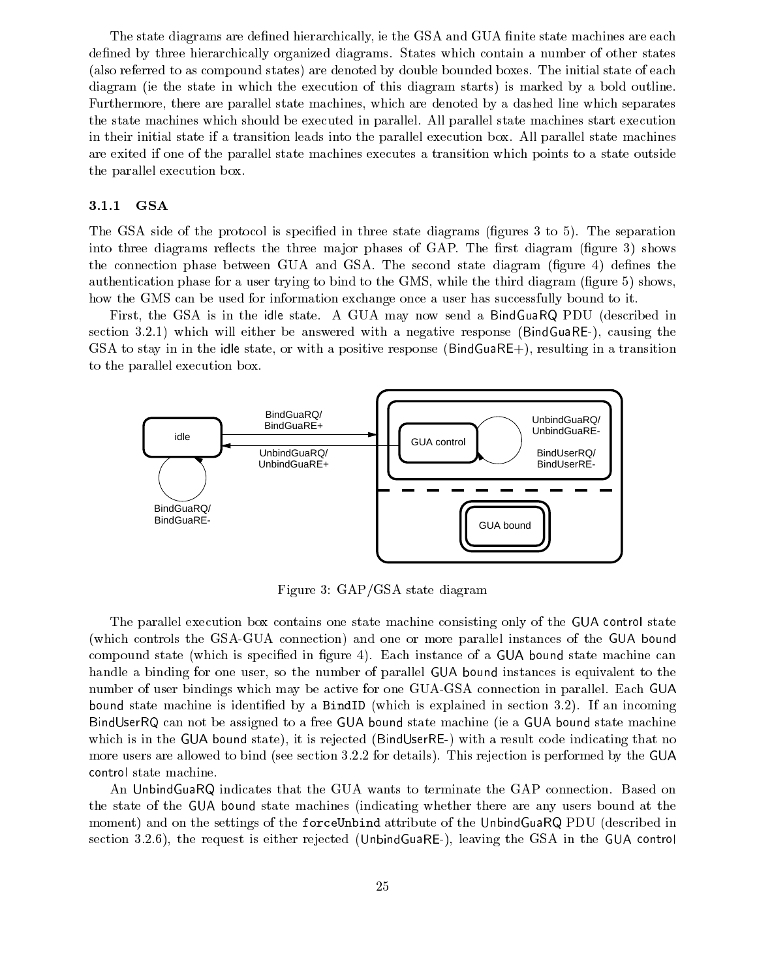The state diagrams are defined hierarchically, ie the GSA and GUA finite state machines are each defined by three hierarchically organized diagrams. States which contain a number of other states (also referred to as compound states) are denoted by double bounded boxes. The initial state of each diagram (ie the state in which the execution of this diagram starts) is marked by a bold outline. Furthermore, there are parallel state machines, which are denoted by a dashed line which separates the state machines which should be executed in parallel. All parallel state machines start execution in their initial state if a transition leads into the parallel execution box. All parallel state machines are exited if one of the parallel state machines executes a transition which points to a state outside the parallel execution box.

#### 3.1.1 GSA

The GSA side of the protocol is specified in three state diagrams (figures 3 to 5). The separation into three diagrams reflects the three major phases of GAP. The first diagram (figure 3) shows the connection phase between GUA and GSA. The second state diagram (figure 4) defines the authentication phase for a user trying to bind to the GMS, while the third diagram (figure 5) shows, how the GMS can be used for information exchange once a user has successfully bound to it.

First, the GSA is in the idle state. A GUA may now send a BindGuaRQ PDU (described in section 3.2.1) which will either be answered with a negative response (BindGuaRE-), causing the GSA to stay in in the idle state, or with a positive response (BindGuaRE+), resulting in a transition to the parallel execution box.



Figure 3: GAP/GSA state diagram

The parallel execution box contains one state machine consisting only of the GUA control state (which controls the GSA-GUA connection) and one or more parallel instances of the GUA bound compound state (which is specified in figure 4). Each instance of a GUA bound state machine can handle a binding for one user, so the number of parallel GUA bound instances is equivalent to the number of user bindings which may be active for one GUA-GSA connection in parallel. Each GUA bound state machine is identied by a BindID (which is explained in section 3.2). If an incoming BindUserRQ can not be assigned to a free GUA bound state machine (ie a GUA bound state machine which is in the GUA bound state), it is rejected (BindUserRE-) with a result code indicating that no more users are allowed to bind (see section 3.2.2 for details). This rejection is performed by the GUA control state machine.

An UnbindGuaRQ indicates that the GUA wants to terminate the GAP connection. Based on the state of the GUA bound state machines (indicating whether there are any users bound at the moment) and on the settings of the forceUnbind attribute of the UnbindGuaRQ PDU (described in section 3.2.6), the request is either rejected (UnbindGuaRE-), leaving the GSA in the GUA control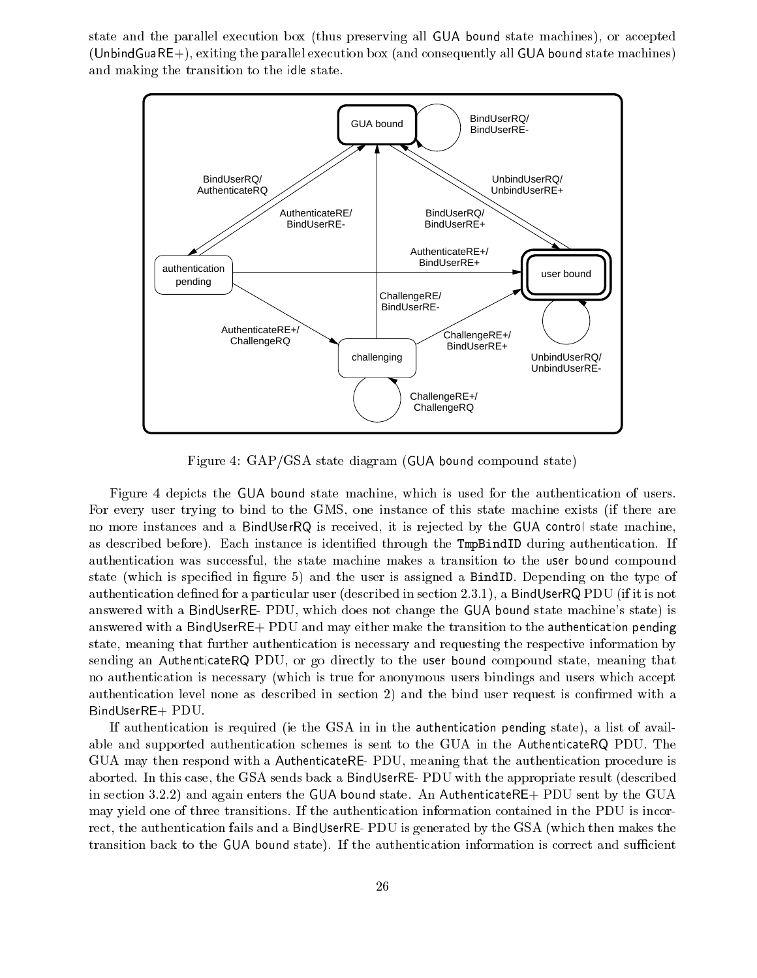state and the parallel execution box (thus preserving allGUA bound state machines), or accepted (UnbindGuaRE+), exiting the parallel execution box (and consequently all GUA bound state machines) and making the transition to the idle state.



Figure 4: GAP/GSA state diagram (GUA bound compound state)

Figure 4 depicts the GUA bound state machine, which is used for the authentication of users. For every user trying to bind to the GMS, one instance of this state machine exists (if there are no more instances and a BindUserRQ is received, it is rejected by the GUA control state machine, as described before). Each instance is identified through the TmpBindID during authentication. If authentication was successful, the state machine makes a transition to the user bound compound state (which is specified in figure 5) and the user is assigned a BindID. Depending on the type of authentication defined for a particular user (described in section 2.3.1), a BindUserRQ PDU (if it is not answered with a BindUserRE- PDU, which does not change the GUA bound state machine's state) is answered with a BindUserRE+ PDU and may either make the transition to the authentication pending state, meaning that further authentication is necessary and requesting the respective information by sending an AuthenticateRQ PDU, or go directly to the user bound compound state, meaning that no authentication is necessary (which is true for anonymous users bindings and users which accept authentication level none as described in section 2) and the bind user request is confirmed with a BindUserRE+ PDU.

If authentication is required (ie the GSA in in the authentication pending state), a list of available and supported authentication schemes is sent to the GUA in the AuthenticateRQ PDU. The GUA may then respond with a AuthenticateRE- PDU, meaning that the authentication procedure is aborted. In this case, the GSA sends back a BindUserRE- PDU with the appropriate result (described in section 3.2.2) and again enters the GUA bound state. An AuthenticateRE+ PDU sent by the GUA may yield one of three transitions. If the authentication information contained in the PDU is incorrect, the authentication fails and a BindUserRE- PDU is generated by the GSA (which then makes the transition back to the GUA bound state). If the authentication information is correct and sufficient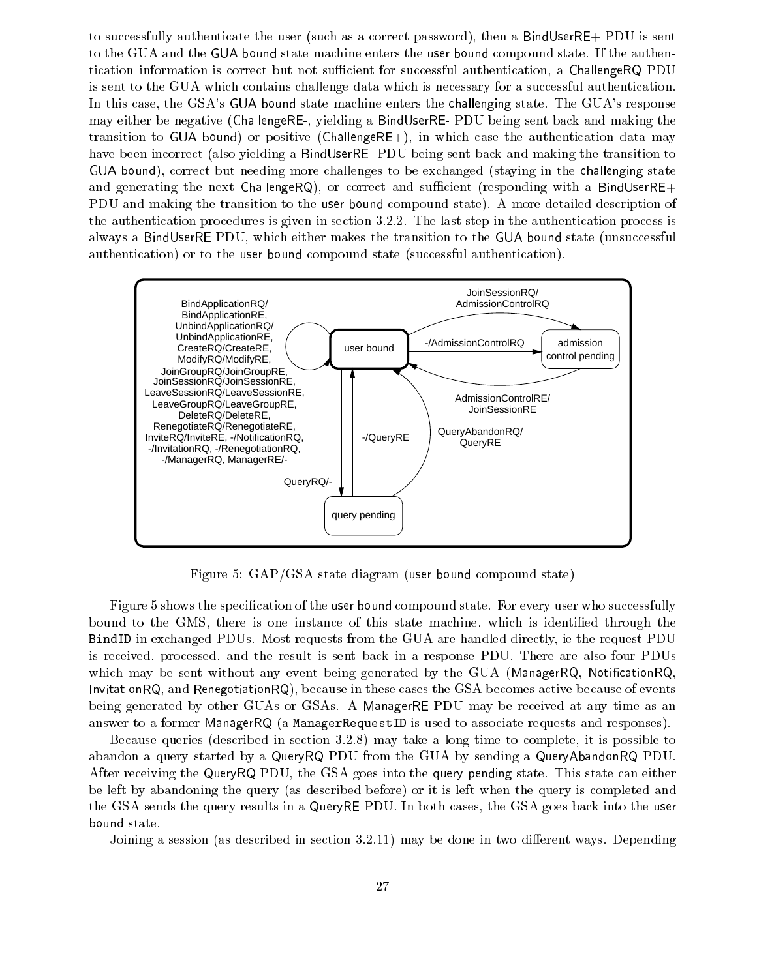to successfully authenticate the user (such as a correct password), then a BindUserRE+ PDU is sent to the GUA and the GUA bound state machine enters the user bound compound state. If the authentication information is correct but not sufficient for successful authentication, a ChallengeRQ PDU is sent to the GUA which contains challenge data which is necessary for a successful authentication. In this case, the GSA's GUA bound state machine enters the challenging state. The GUA's response may either be negative (ChallengeRE-, yielding a BindUserRE- PDU being sent back and making the transition to GUA bound) or positive (ChallengeRE+), in which case the authentication data may have been incorrect (also yielding a BindUserRE- PDU being sent back and making the transition to GUA bound), correct but needing more challenges to be exchanged (staying in the challenging state and generating the next ChallengeRQ), or correct and sufficient (responding with a BindUserRE+ PDU and making the transition to the user bound compound state). A more detailed description of the authentication procedures is given in section 3.2.2. The last step in the authentication process is always a BindUserRE PDU, which either makes the transition to the GUA bound state (unsuccessful authentication) or to the user bound compound state (successful authentication).



Figure 5: GAP/GSA state diagram (user bound compound state)

Figure 5 shows the specication of the user bound compound state. For every user who successfully bound to the GMS, there is one instance of this state machine, which is identified through the BindID in exchanged PDUs. Most requests from the GUA are handled directly, ie the request PDU is received, processed, and the result is sent back in a response PDU. There are also four PDUs which may be sent without any event being generated by the GUA (ManagerRQ, NotificationRQ, InvitationRQ, and RenegotiationRQ), because in these cases the GSA becomes active because of events being generated by other GUAs or GSAs. A ManagerRE PDU may be received atany time as an answer to a former ManagerRQ (a ManagerRequestID is used to associate requests and responses).

Because queries (described in section 3.2.8) may take a long time to complete, it is possible to abandon a query started by a QueryRQ PDU from the GUA by sending a QueryAbandonRQ PDU. After receiving the QueryRQ PDU, the GSA goes into the query pending state. This state can either be left by abandoning the query (as described before) or it is left when the query is completed and the GSA sends the query results in a QueryRE PDU. In both cases, the GSA goes back into the user bound state.

Joining a session (as described in section 3.2.11) may be done in two different ways. Depending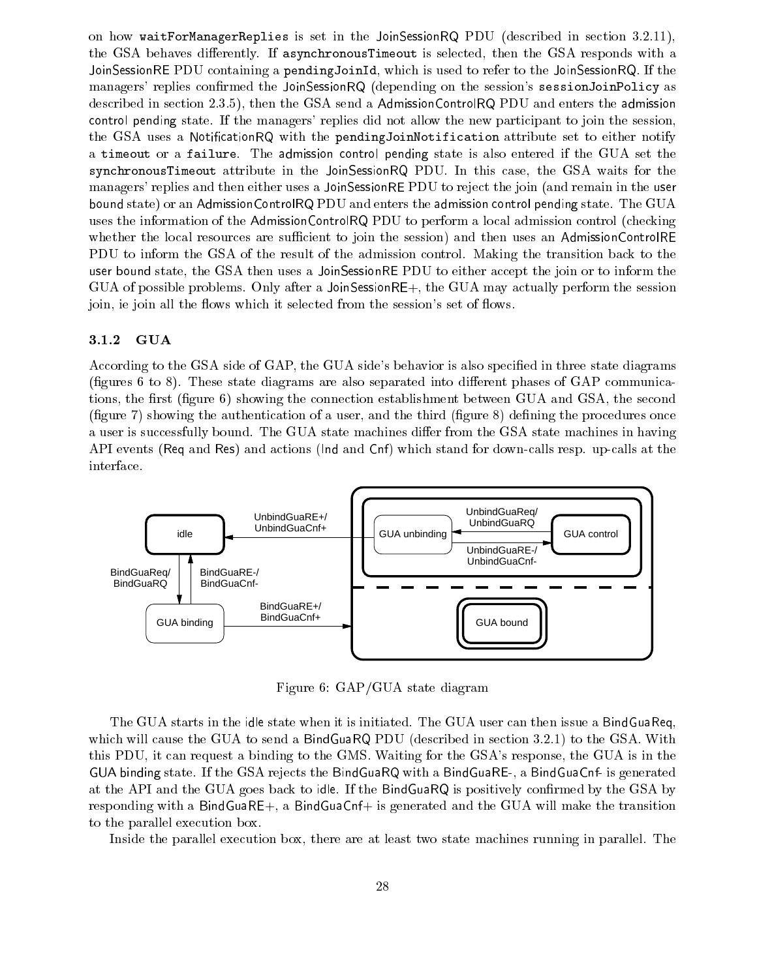on how waitForManagerReplies is set in the JoinSessionRQ PDU (described in section 3.2.11), the GSA behaves differently. If asynchronousTimeout is selected, then the GSA responds with a JoinSessionRE PDU containing a pendingJoinId, which is used to refer to the JoinSessionRQ. If the managers' replies confirmed the JoinSessionRQ (depending on the session's sessionJoinPolicy as described in section 2.3.5), then the GSA send a AdmissionControlRQ PDU and enters the admission control pending state. If the managers' replies did not allow the new participant to join the session, the GSA uses a Notification RQ with the pending Join Notification attribute set to either notify a timeout or a failure. The admission control pending state is also entered if the GUA set the synchronousTimeout attribute in the JoinSessionRQ PDU. In this case, the GSA waits for the managers' replies and then either uses a JoinSessionRE PDU to reject the join (and remain in the user bound state) or an AdmissionControlRQ PDU and enters the admission control pending state. The GUA uses the information of the AdmissionControlRQ PDU to perform a local admission control (checking whether the local resources are sufficient to join the session) and then uses an AdmissionControlRE PDU to inform the GSA of the result of the admission control. Making the transition back to the user bound state, the GSA then uses a JoinSessionRE PDU to either accept the join or to inform the GUA of possible problems. Only after a JoinSessionRE+, the GUA may actually perform the session join, ie join all the flows which it selected from the session's set of flows.

### 3.1.2 GUA

According to the GSA side of GAP, the GUA side's behavior is also specified in three state diagrams (figures 6 to 8). These state diagrams are also separated into different phases of  $GAP$  communications, the first (figure 6) showing the connection establishment between GUA and GSA, the second (figure 7) showing the authentication of a user, and the third (figure  $8$ ) defining the procedures once a user is successfully bound. The GUA state machines differ from the GSA state machines in having API events (Req and Res) and actions (Ind and Cnf) which stand for down-calls resp. up-calls at the interface.



Figure 6: GAP/GUA state diagram

The GUA starts in the idle state when it is initiated. The GUA user can then issue a BindGuaReq, which will cause the GUA to send a BindGuaRQ PDU (described in section 3.2.1) to the GSA. With this PDU, it can request a binding to the GMS. Waiting for the GSA's response, the GUA is in the GUA binding state. If the GSA rejects the BindGuaRQ with a BindGuaRE-, a BindGuaCnf- is generated at the API and the GUA goes back to idle. If the BindGuaRQ is positively confirmed by the GSA by responding with a BindGuaRE+, a BindGuaCnf+ is generated and the GUA will make the transition to the parallel execution box.

Inside the parallel execution box, there are at least two state machines running in parallel. The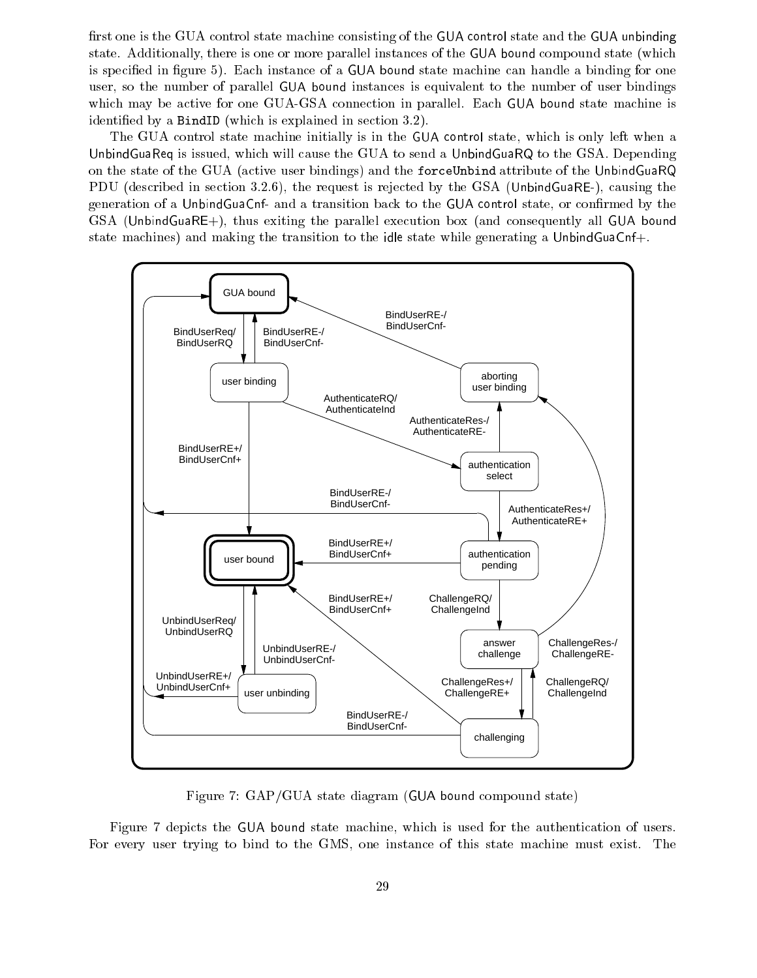first one is the GUA control state machine consisting of the GUA control state and the GUA unbinding state. Additionally, there is one or more parallel instances of the GUA bound compound state (which is specified in figure 5). Each instance of a GUA bound state machine can handle a binding for one user, so the number of parallel GUA bound instances is equivalent to the number of user bindings which may be active for one GUA-GSA connection in parallel. Each GUA bound state machine is identied by a BindID (which is explained in section 3.2).

The GUA control state machine initially is in the GUA control state, which is only left when a UnbindGuaReq is issued, which will cause the GUA to send a UnbindGuaRQ to the GSA. Depending on the state of the GUA (active user bindings) and the forceUnbind attribute of the UnbindGuaRQ PDU (described in section 3.2.6), the request is rejected by the GSA (UnbindGuaRE-), causing the generation of a UnbindGuaCnf- and a transition back to the GUA control state, or confirmed by the GSA (UnbindGuaRE+), thus exiting the parallel execution box (and consequently all GUA bound state machines) and making the transition to the idle state while generating a UnbindGuaCnf+.



Figure 7: GAP/GUA state diagram (GUA bound compound state)

Figure 7 depicts the GUA bound state machine, which is used for the authentication of users. For every user trying to bind to the GMS, one instance of this state machine must exist. The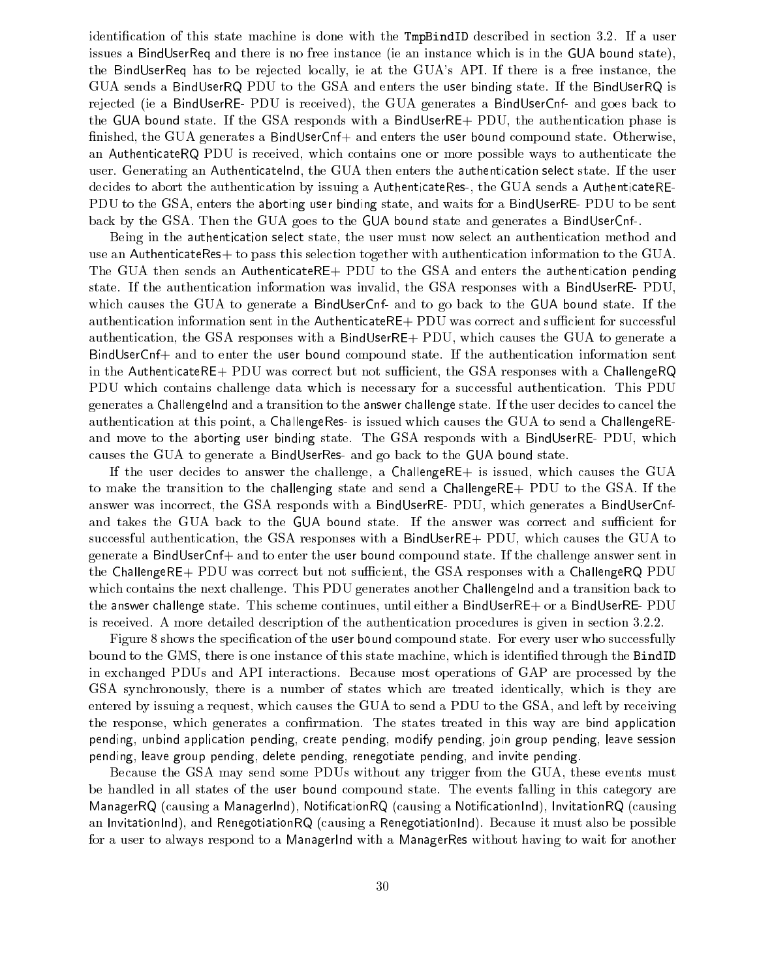identification of this state machine is done with the  $TmpBindID$  described in section 3.2. If a user issues a BindUserReq and there is no free instance (ie an instance which is in the GUA bound state), the BindUserReq has to be rejected locally, ie at the GUA's API. If there is a free instance, the GUA sends a BindUserRQ PDU to the GSA and enters the user binding state. If the BindUserRQ is rejected (ie a BindUserRE- PDU is received), the GUA generates a BindUserCnf- and goes back to the GUA bound state. If the GSA responds with a BindUserRE+ PDU, the authentication phase is finished, the GUA generates a BindUserCnf+ and enters the user bound compound state. Otherwise, an AuthenticateRQ PDU is received, which contains one or more possible ways to authenticate the user. Generating an AuthenticateInd, the GUA then enters the authentication select state. If the user decides to abort the authentication by issuing a AuthenticateRes-, the GUA sends a AuthenticateRE-PDU to the GSA, enters the aborting user binding state, and waits for a BindUserRE- PDU to be sent back by the GSA. Then the GUA goes to the GUA bound state and generates a BindUserCnf-.

Being in the authentication select state, the user must now select an authentication method and use an AuthenticateRes+ to pass this selection together with authentication information to the GUA. The GUA then sends an AuthenticateRE+ PDU to the GSA and enters the authentication pending state. If the authentication information was invalid, the GSA responses with a BindUserRE- PDU, which causes the GUA to generate a BindUserCnf- and to go back to the GUA bound state. If the authentication information sent in the AuthenticateRE+ PDU was correct and sufficient for successful authentication, the GSA responses with a BindUserRE+ PDU, which causes the GUA to generate a BindUserCnf+ and to enter the user bound compound state. If the authentication information sent in the AuthenticateRE+ PDU was correct but not sufficient, the GSA responses with a ChallengeRQ PDU which contains challenge data which is necessary for a successful authentication. This PDU generates a Challengelnd and a transition to the answer challenge state. If the user decides to cancel the authentication at this point, a ChallengeRes- is issued which causes the GUA to send a ChallengeREand move to the aborting user binding state. The GSA responds with a BindUserRE- PDU, which causes the GUA to generate a BindUserRes- and go back to the GUA bound state.

If the user decides to answer the challenge, a ChallengeRE+ is issued, which causes the GUA to make the transition to the challenging state and send a ChallengeRE+ PDU to the GSA. If the answer was incorrect, the GSA responds with a BindUserRE- PDU, which generates a BindUserCnfand takes the GUA back to the GUA bound state. If the answer was correct and sufficient for successful authentication, the GSA responses with a BindUserRE+ PDU, which causes the GUA to generate a BindUserCnf+ and to enter the user bound compound state. If the challenge answer sent in the ChallengeRE+ PDU was correct but not sufficient, the GSA responses with a ChallengeRQ PDU which contains the next challenge. This PDU generates another Challengelnd and a transition back to the answer challenge state. This scheme continues, until either a BindUserRE+ or a BindUserRE- PDU is received. A more detailed description of the authentication procedures is given in section 3.2.2.

Figure 8 shows the specification of the user bound compound state. For every user who successfully bound to the GMS, there is one instance of this state machine, which is identied through the BindID in exchanged PDUs and API interactions. Because most operations of GAP are processed by the GSA synchronously, there is a number of states which are treated identically, which is they are entered by issuing a request, which causes the GUA to send a PDU to the GSA, and left by receiving the response, which generates a confirmation. The states treated in this way are bind application pending, unbind application pending, create pending, modify pending, join group pending, leave session pending, leave group pending, delete pending, renegotiate pending, and invite pending.

Because the GSA may send some PDUs without any trigger from the GUA, these events must be handled in all states of the user bound compound state. The events falling in this category are ManagerRQ (causing a ManagerInd), NotificationRQ (causing a NotificationInd), InvitationRQ (causing an InvitationInd), and RenegotiationRQ (causing a RenegotiationInd). Because it must also be possible for a user to always respond to a ManagerInd with a ManagerRes without having to wait for another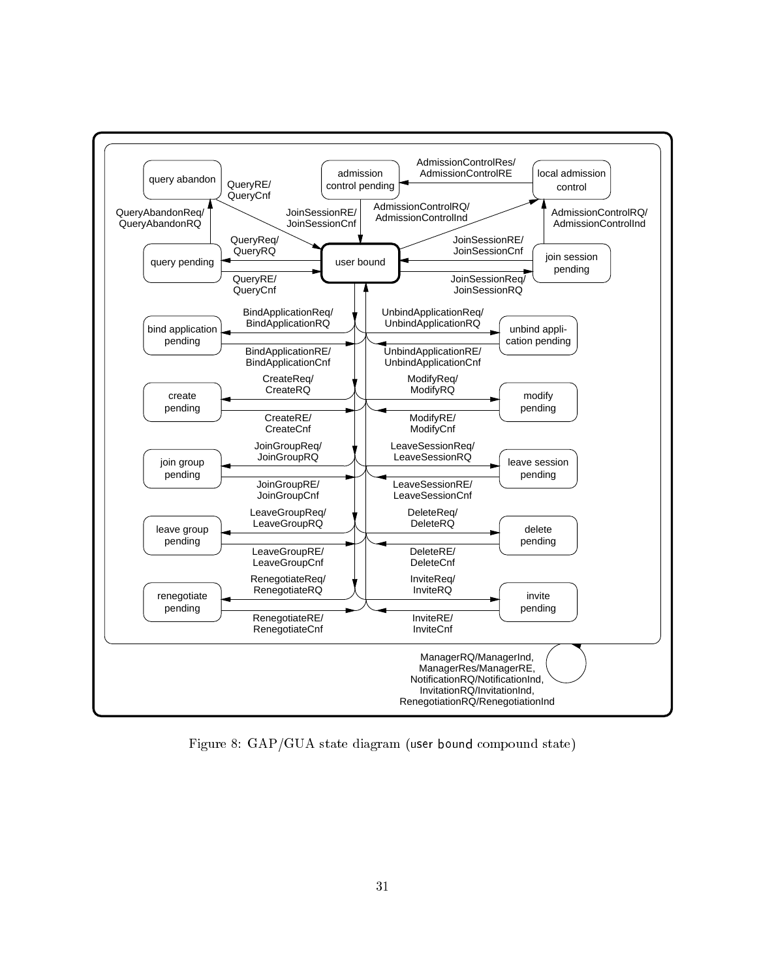

Figure 8: GAP/GUA state diagram (user bound compound state)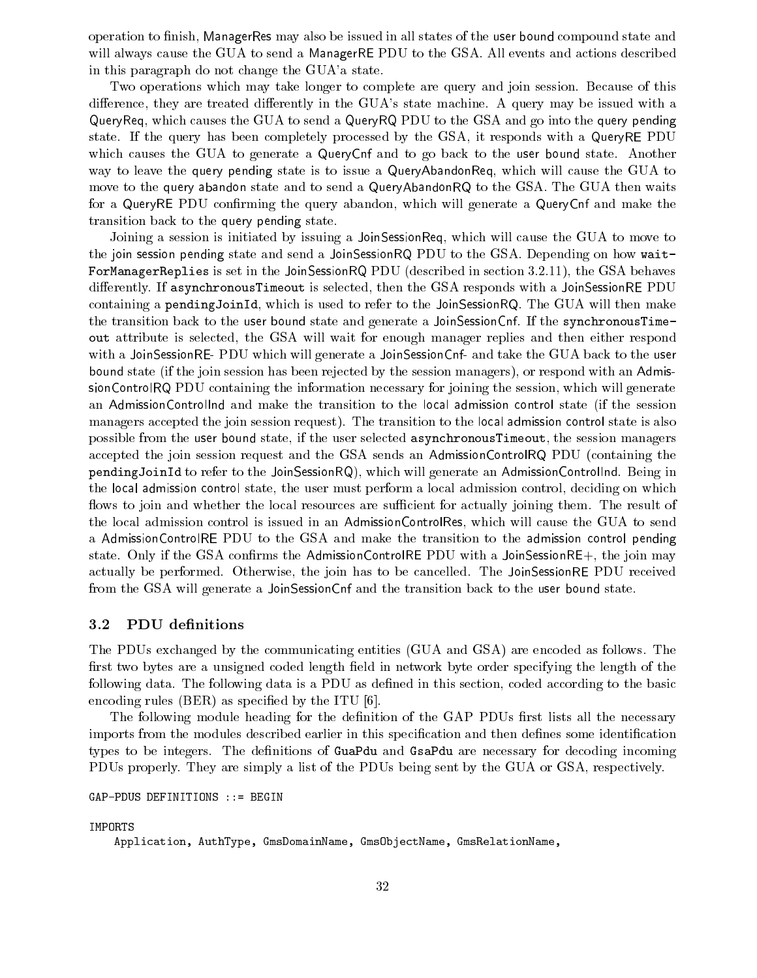operation to finish, ManagerRes may also be issued in all states of the user bound compound state and will always cause the GUA to send a ManagerRE PDU to the GSA. All events and actions described in this paragraph do not change the GUA'a state.

Two operations which may take longer to complete are query and join session. Because of this difference, they are treated differently in the GUA's state machine. A query may be issued with a QueryReq, which causes the GUA to send a QueryRQ PDU to the GSA and go into the query pending state. If the query has been completely processed by the GSA, it responds with a QueryRE PDU which causes the GUA to generate a QueryCnf and to go back to the user bound state. Another way to leave the query pending state is to issue a QueryAbandonReq, which will cause the GUA to move to the query abandon state and to send a QueryAbandonRQ to the GSA. The GUA then waits for a QueryRE PDU confirming the query abandon, which will generate a QueryCnf and make the transition back to the query pending state.

Joining a session is initiated by issuing a JoinSessionReq, which will cause the GUA to move to the join session pending state and send a JoinSessionRQ PDU to the GSA. Depending on how wait-ForManagerReplies is set in the JoinSessionRQ PDU (described in section 3.2.11), the GSA behaves differently. If as ynchronous Time out is selected, then the GSA responds with a JoinSessionRE PDU containing a pendingJoinId, which is used to refer to the JoinSessionRQ. The GUA will then make the transition back to the user bound state and generate a JoinSessionCnf. If the synchronousTimeout attribute is selected, the GSA will wait for enough manager replies and then either respond with a JoinSessionRE- PDU which will generate a JoinSessionCnf- and take the GUA back to the user bound state (if the join session has been rejected by the session managers), or respond with an AdmissionControlRQ PDU containing the information necessary for joining the session, which will generate an AdmissionControlInd and make the transition to the local admission control state (if the session managers accepted the join session request). The transition to the local admission control state is also possible from the user bound state, if the user selected asynchronousTimeout, the session managers accepted the join session request and the GSA sends an AdmissionControlRQ PDU (containing the pendingJoinId to refer to the JoinSessionRQ), which will generate an AdmissionControlInd. Being in the local admission control state, the user must perform a local admission control, deciding on which flows to join and whether the local resources are sufficient for actually joining them. The result of the local admission control is issued in an AdmissionControlRes, which will cause the GUA to send a AdmissionControlRE PDU to the GSA and make the transition to the admission control pending state. Only if the GSA confirms the AdmissionControlRE PDU with a JoinSessionRE+, the join may actually be performed. Otherwise, the join has to be cancelled. The JoinSessionRE PDU received from the GSA will generate a JoinSessionCnf and the transition back to the user bound state.

#### 3.2PDU definitions

The PDUs exchanged by the communicating entities (GUA and GSA) are encoded as follows. The first two bytes are a unsigned coded length field in network byte order specifying the length of the following data. The following data is a PDU as defined in this section, coded according to the basic encoding rules  $(BER)$  as specified by the ITU [6].

The following module heading for the definition of the GAP PDUs first lists all the necessary imports from the modules described earlier in this specification and then defines some identification types to be integers. The definitions of GuaPdu and GsaPdu are necessary for decoding incoming PDUs properly. They are simply a list of the PDUs being sent by the GUA or GSA, respectively.

GAP-PDUS DEFINITIONS ::= BEGIN

IMPORTS

Application, AuthType, GmsDomainName, GmsObjectName, GmsRelationName,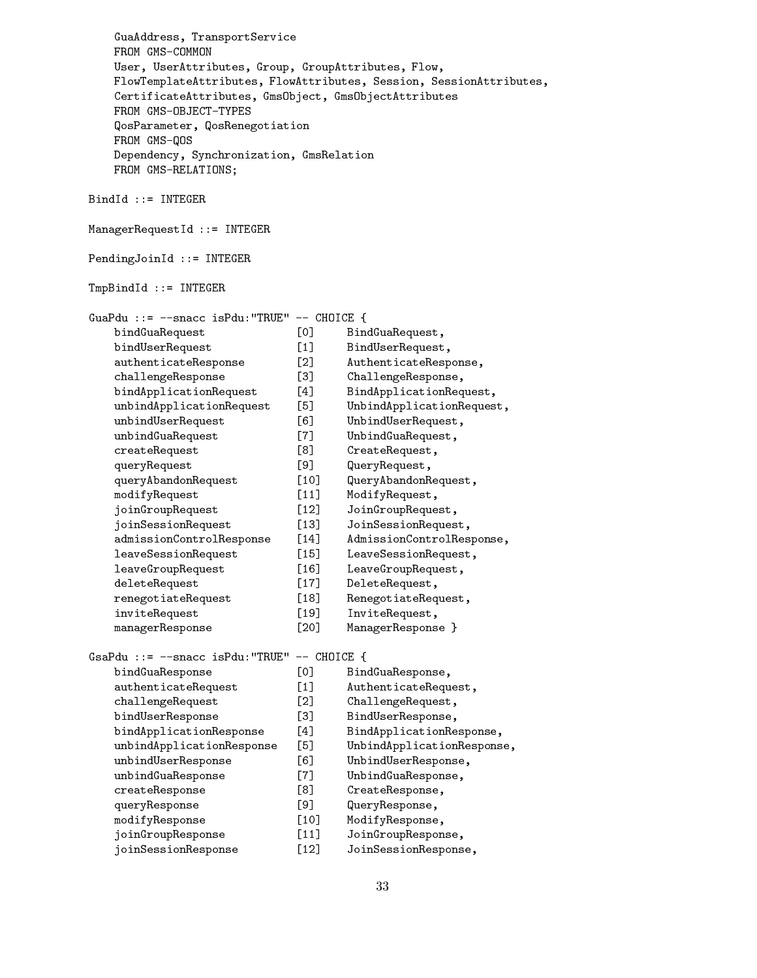GuaAddress, TransportService FROM GMS-COMMON User, UserAttributes, Group, GroupAttributes, Flow, FlowTemplateAttributes, FlowAttributes, Session, SessionAttributes, CertificateAttributes, GmsObject, GmsObjectAttributes QosParameter, QosRenegotiation FROM GMS-QOS Dependency, Synchronization, GmsRelation FROM GMS-RELATIONS; BindId ::= INTEGER ManagerRequestId ::= INTEGER PendingJoinId ::= INTEGER TmpBindId ::= INTEGER GuaPdu ::= --snacc isPdu:"TRUE" -- CHOICE { bindGuaRequest [0] BindGuaRequest, bindUserRequest [1] BindUserRequest, authenticateResponse [2] AuthenticateResponse, challengeResponse [3] ChallengeResponse, bindApplicationRequest [4] BindApplicationRequest, unbindApplicationRequest [5] UnbindApplicationRequest, unbindUserRequest [6] UnbindUserRequest, unbindGuaRequest [7] UnbindGuaRequest, createRequest [8] CreateRequest, queryRequest [9] QueryRequest, [9] QueryRequest, [9] QueryRequest, [9] QueryRequest, [9] QueryRequest, [9] Query queryAbandonRequest [10] QueryAbandonRequest,  $[10]$ modifyRequest [11] ModifyRequest, joinGroupRequest [12] JoinGroupRequest, joinSessionRequest [13] JoinSessionRequest, admissionControlResponse [14] AdmissionControlResponse,  $\lceil 14 \rceil$ leaveSessionRequest [15] LeaveSessionRequest,  $[15]$ leaveGroupRequest [16] LeaveGroupRequest,  $\lceil 16 \rceil$ deleteRequest [17] DeleteRequest, renegotiateRequest [18] RenegotiateRequest, inviteRequest [19] InviteRequest, managerResponse [20] ManagerResponse } GsaPdu ::= --snacc isPdu:"TRUE" -- CHOICE { bindGuaResponse [0] BindGuaResponse, authenticateRequest [1] AuthenticateRequest, challengeRequest [2] ChallengeRequest, bindUserResponse [3] BindUserResponse, bindApplicationResponse [4] BindApplicationResponse, unbindApplicationResponse [5] UnbindApplicationResponse, unbindUserResponse [6] UnbindUserResponse, unbindGuaResponse [7] UnbindGuaResponse, createResponse [8] CreateResponse, queryResponse [9] QueryResponse, **F91** modifyResponse [10] ModifyResponse, joinGroupResponse [11] JoinGroupResponse, joinSessionResponse [12] JoinSessionResponse,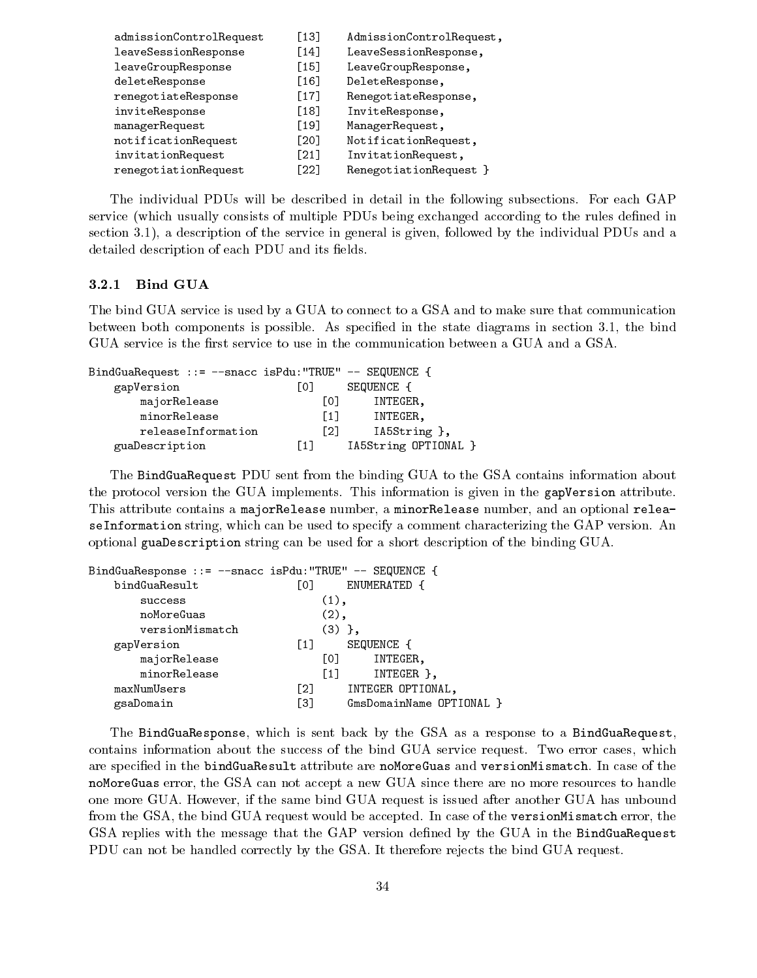| $\lceil 13 \rceil$ | AdmissionControlRequest, |
|--------------------|--------------------------|
| [14]               | LeaveSessionResponse,    |
| $[15]$             | LeaveGroupResponse,      |
| [16]               | DeleteResponse,          |
| [17]               | RenegotiateResponse,     |
| [18]               | InviteResponse,          |
| [19]               | ManagerRequest,          |
| [20]               | NotificationRequest,     |
| [21]               | InvitationRequest,       |
| [22]               | RenegotiationRequest }   |
|                    |                          |

The individual PDUs will be described in detail in the following subsections. For each GAP service (which usually consists of multiple PDUs being exchanged according to the rules defined in section 3.1), a description of the service in general is given, followed by the individual PDUs and a detailed description of each PDU and its fields.

## 3.2.1 Bind GUA

The bind GUA service is used by a GUA to connect to a GSA and to make sure that communication between both components is possible. As specied in the state diagrams in section 3.1, the bind GUA service is the first service to use in the communication between a GUA and a GSA.

| BindGuaRequest ::= --snacc isPdu: "TRUE" -- SEQUENCE { |                   |                      |  |
|--------------------------------------------------------|-------------------|----------------------|--|
| gapVersion                                             | L01               | SEQUENCE {           |  |
| majorRelease                                           | Γ01               | INTEGER,             |  |
| minorRelease                                           | F11               | INTEGER,             |  |
| releaseInformation                                     | F21               | IA5String },         |  |
| guaDescription                                         | $\lceil 1 \rceil$ | IA5String OPTIONAL } |  |

The BindGuaRequest PDU sent from the binding GUA to the GSA contains information about the protocol version the GUA implements. This information is given in the gapVersion attribute. This attribute contains a majorRelease number, a minorRelease number, and an optional releaseInformation string, which can be used to specify a comment characterizing the GAP version. An optional guaDescription string can be used for a short description of the binding GUA.

| BindGuaResponse ::= --snacc isPdu:"TRUE" -- SEQUENCE { |                  |                                |
|--------------------------------------------------------|------------------|--------------------------------|
| bindGuaResult                                          | Lo J             | ENUMERATED {                   |
| success                                                |                  | $(1)$ ,                        |
| noMoreGuas                                             |                  | $(2)$ ,                        |
| versionMismatch                                        |                  | $(3)$ },                       |
| gapVersion                                             | $\left[1\right]$ | SEQUENCE {                     |
| majorRelease                                           |                  | L0J<br>INTEGER,                |
| minorRelease                                           |                  | $\left[1\right]$<br>INTEGER }, |
| maxNumUsers                                            | F21              | INTEGER OPTIONAL,              |
| gsaDomain                                              | Г31              | GmsDomainName OPTIONAL }       |
|                                                        |                  |                                |

The BindGuaResponse, which is sent back by the GSA as a response to a BindGuaRequest, contains information about the success of the bind GUA service request. Two error cases, which are specied in the bindGuaResult attribute are noMoreGuas and versionMismatch. In case of the noMoreGuas error, the GSA can not accept a new GUA since there are no more resources to handle one more GUA. However, if the same bind GUA request is issued after another GUA has unbound from the GSA, the bind GUA request would be accepted. In case of the versionMismatch error, the GSA replies with the message that the GAP version defined by the GUA in the BindGuaRequest PDU can not be handled correctly by the GSA. It therefore rejects the bind GUA request.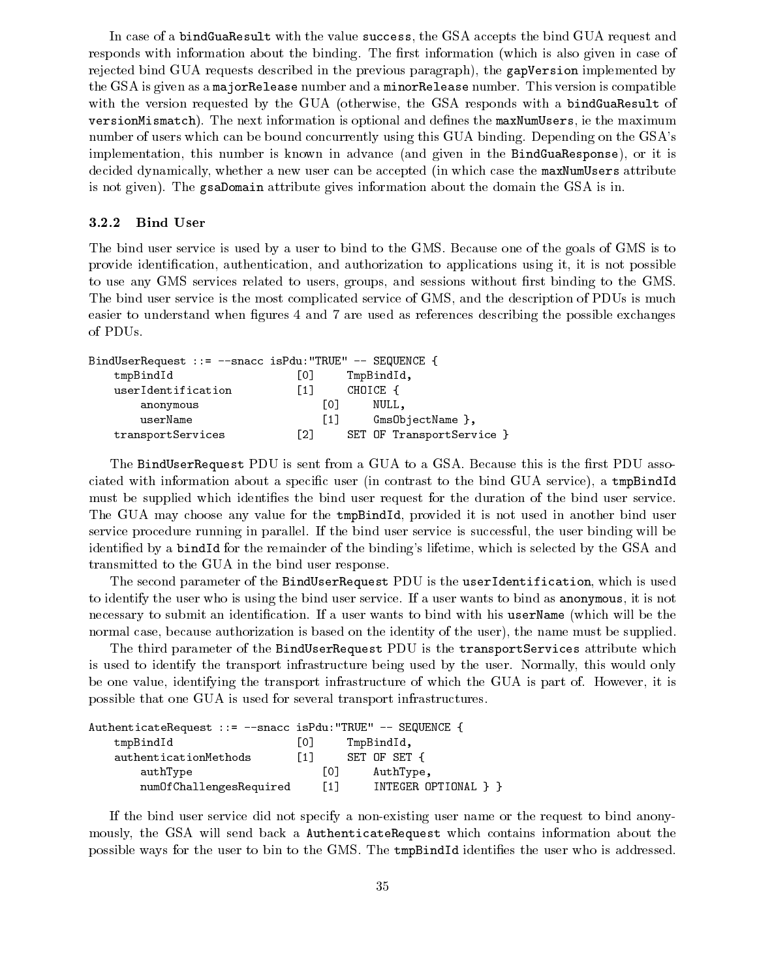In case of a bindGuaResult with the value success, the GSA accepts the bind GUA request and responds with information about the binding. The first information (which is also given in case of rejected bind GUA requests described in the previous paragraph), the gapVersion implemented by the GSA is given as a majorRelease number and a minorRelease number. This version is compatible with the version requested by the GUA (otherwise, the GSA responds with a bindGuaResult of versionMismatch). The next information is optional and defines the maxNumUsers, ie the maximum number of users which can be bound concurrently using this GUA binding. Depending on the GSA's implementation, this number is known in advance (and given in the BindGuaResponse), or it is decided dynamically, whether a new user can be accepted (in which case the maxNumUsers attribute is not given). The gsaDomain attribute gives information about the domain the GSA is in.

### 3.2.2 Bind User

The bind user service is used by a user to bind to the GMS. Because one of the goals of GMS is to provide identification, authentication, and authorization to applications using it, it is not possible to use any GMS services related to users, groups, and sessions without first binding to the GMS. The bind user service is the most complicated service of GMS, and the description of PDUs is much easier to understand when figures 4 and 7 are used as references describing the possible exchanges of PDUs.

| $BindUserRequest :: = -space isPdu: "TRUE" -- SEQUENCE$ |                   |                           |
|---------------------------------------------------------|-------------------|---------------------------|
| tmpBindId                                               | LO I              | TmpBindId,                |
| userIdentification                                      | [1]               | CHOICE                    |
| anonymous                                               | L01               | NULL.                     |
| userName                                                | $\lceil 1 \rceil$ | GmsObjectName },          |
| transportServices                                       | F21               | SET OF TransportService } |

The BindUserRequest PDU is sent from a GUA to a GSA. Because this is the first PDU associated with information about a specific user (in contrast to the bind GUA service), a tmpBindId must be supplied which identies the bind user request for the duration of the bind user service. The GUA may choose any value for the tmpBindId, provided it is not used in another bind user service procedure running in parallel. If the bind user service is successful, the user binding will be identied by a bindId for the remainder of the binding's lifetime, which is selected by the GSA and transmitted to the GUA in the bind user response.

The second parameter of the BindUserRequest PDU is the userIdentification, which is used to identify the user who is using the bind user service. If a user wants to bind as anonymous, it is not necessary to submit an identification. If a user wants to bind with his userName (which will be the normal case, because authorization is based on the identity of the user), the name must be supplied.

The third parameter of the BindUserRequest PDU is the transportServices attribute which is used to identify the transport infrastructure being used by the user. Normally, this would only be one value, identifying the transport infrastructure of which the GUA is part of. However, it is possible that one GUA is used for several transport infrastructures.

| AuthenticateRequest ::= -- snacc isPdu: "TRUE" -- SEQUENCE { |      |                             |
|--------------------------------------------------------------|------|-----------------------------|
| tmpBindId                                                    | Г0 1 | TmpBindId,                  |
| authenticationMethods                                        | F1 1 | SET OF SET {                |
| authType                                                     |      | TO T<br>AuthType,           |
| numOfChallengesRequired                                      |      | [1]<br>INTEGER OPTIONAL } } |

If the bind user service did not specify a non-existing user name or the request to bind anonymously, the GSA will send back a AuthenticateRequest which contains information about the possible ways for the user to bin to the GMS. The tmpBindId identies the user who is addressed.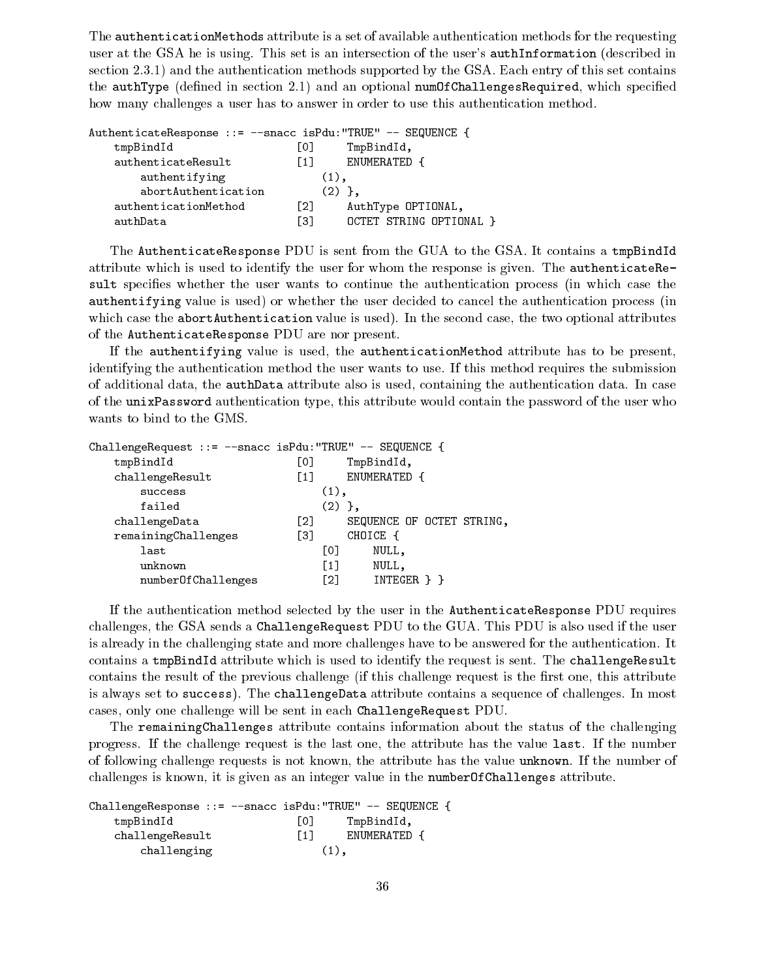The authenticationMethods attribute is a set of available authentication methods for the requesting user at the GSA he is using. This set is an intersection of the user's authInformation (described in section 2.3.1) and the authentication methods supported by the GSA. Each entry of this set contains the  $\texttt{authType}$  (defined in section 2.1) and an optional  $\texttt{numOfChildlengesRequired}$ , which specified how many challenges a user has to answer in order to use this authentication method.

| AuthenticateResponse ::= --snacc isPdu:"TRUE" -- SEQUENCE |                   |          | $\mathbf{A}$            |
|-----------------------------------------------------------|-------------------|----------|-------------------------|
| tmpBindId                                                 | LO J              |          | TmpBindId,              |
| authenticateResult                                        | $\lceil 1 \rceil$ |          | ENUMERATED {            |
| authentifying                                             |                   | $(1)$ .  |                         |
| abortAuthentication                                       |                   | $(2)$ }. |                         |
| authenticationMethod                                      | Г21               |          | AuthType OPTIONAL,      |
| authData                                                  | E31               |          | OCTET STRING OPTIONAL } |

The AuthenticateResponse PDU is sent from the GUA to the GSA. It contains a tmpBindId attribute which is used to identify the user for whom the response is given. The authenticateResult specifies whether the user wants to continue the authentication process (in which case the authentifying value is used) or whether the user decided to cancel the authentication process (in which case the abortAuthentication value is used). In the second case, the two optional attributes of the AuthenticateResponse PDU are nor present.

If the authentifying value is used, the authenticationMethod attribute has to be present, identifying the authentication method the user wants to use. If this method requires the submission of additional data, the authData attribute also is used, containing the authentication data. In case of the unixPassword authentication type, this attribute would contain the password of the user who wants to bind to the GMS.

| ChallengeRequest ::= --snacc isPdu: "TRUE" -- SEQUENCE { |      |          |                           |
|----------------------------------------------------------|------|----------|---------------------------|
| tmpBindId                                                | [0]  |          | TmpBindId,                |
| challengeResult                                          | [1]  |          | ENUMERATED {              |
| success                                                  |      | $(1)$ ,  |                           |
| failed                                                   |      | $(2)$ }, |                           |
| challengeData                                            | Г2 1 |          | SEQUENCE OF OCTET STRING, |
| remainingChallenges                                      | [3]  |          | CHOICE {                  |
| last                                                     |      | [0]      | NULL,                     |
| unknown                                                  |      | F11      | NULL,                     |
| numberOfChallenges                                       |      | F21      | INTEGER } }               |
|                                                          |      |          |                           |

If the authentication method selected by the user in the AuthenticateResponse PDU requires challenges, the GSA sends a ChallengeRequest PDU to the GUA. This PDU is also used if the user is already in the challenging state and more challenges have to be answered for the authentication. It contains a tmpBindId attribute which is used to identify the request is sent. The challengeResult contains the result of the previous challenge (if this challenge request is the first one, this attribute is always set to success). The challengeData attribute contains a sequence of challenges. In most cases, only one challenge will be sent in each ChallengeRequest PDU.

The remainingChallenges attribute contains information about the status of the challenging progress. If the challenge request is the last one, the attribute has the value last. If the number of following challenge requests is not known, the attribute has the value unknown. If the number of challenges is known, it is given as an integer value in the numberOfChallenges attribute.

|                 | ChallengeResponse ::= --snacc isPdu: "TRUE" -- SEQUENCE { |
|-----------------|-----------------------------------------------------------|
| tmpBindId       | LO J<br>TmpBindId,                                        |
| challengeResult | $\lceil 1 \rceil$<br>ENUMERATED {                         |
| challenging     | $(1)$ .                                                   |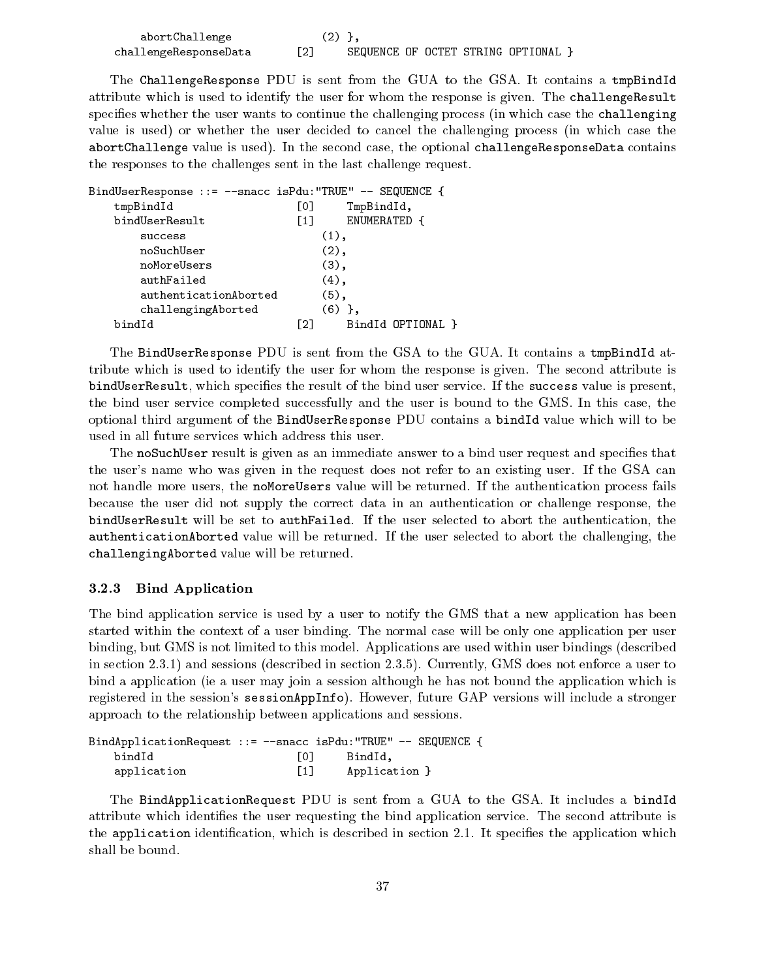| abortChallenge        |  |  |                                   |  |
|-----------------------|--|--|-----------------------------------|--|
| challengeResponseData |  |  | SEQUENCE OF OCTET STRING OPTIONAL |  |

The ChallengeResponse PDU is sent from the GUA to the GSA. It contains a tmpBindId attribute which is used to identify the user for whom the response is given. The challengeResult specifies whether the user wants to continue the challenging process (in which case the challenging value is used) or whether the user decided to cancel the challenging process (in which case the abortChallenge value is used). In the second case, the optional challengeResponseData contains the responses to the challenges sent in the last challenge request.

| BindUserResponse ::= --snacc isPdu: "TRUE" -- SEQUENCE { |     |                   |
|----------------------------------------------------------|-----|-------------------|
| tmpBindId                                                | [0] | TmpBindId,        |
| bindUserResult                                           | F11 | ENUMERATED {      |
| success                                                  |     | $(1)$ ,           |
| noSuchUser                                               |     | $(2)$ ,           |
| noMoreUsers                                              |     | $(3)$ ,           |
| authFailed                                               |     | $(4)$ ,           |
| authenticationAborted                                    |     | $(5)$ ,           |
| challengingAborted                                       |     | $(6)$ },          |
| bindId                                                   | [2] | BindId OPTIONAL } |

The BindUserResponse PDU is sent from the GSA to the GUA. It contains a tmpBindId attribute which is used to identify the user for whom the response is given. The second attribute is bindUserResult, which specifies the result of the bind user service. If the success value is present, the bind user service completed successfully and the user is bound to the GMS. In this case, the optional third argument of the BindUserResponse PDU contains a bindId value which will to be used in all future services which address this user.

The noSuchUser result is given as an immediate answer to a bind user request and specifies that the user's name who was given in the request does not refer to an existing user. If the GSA can not handle more users, the noMoreUsers value will be returned. If the authentication process fails because the user did not supply the correct data in an authentication or challenge response, the bindUserResult will be set to authFailed. If the user selected to abort the authentication, the authenticationAborted value will be returned. If the user selected to abort the challenging, the challengingAborted value will be returned.

#### 3.2.3 Bind Application

The bind application service is used by a user to notify the GMS that a new application has been started within the context of a user binding. The normal case will be only one application per user binding, but GMS is not limited to this model. Applications are used within user bindings (described in section 2.3.1) and sessions (described in section 2.3.5). Currently, GMS does not enforce a user to bind a application (ie a user may join a session although he has not bound the application which is registered in the session's sessionAppInfo). However, future GAP versions will include a stronger approach to the relationship between applications and sessions.

|             |                   | BindApplicationRequest ::= --snacc isPdu:"TRUE" -- SEQUENCE { |  |
|-------------|-------------------|---------------------------------------------------------------|--|
| bindId      | LO J              | BindId.                                                       |  |
| application | $\lceil 1 \rceil$ | Application }                                                 |  |

The BindApplicationRequest PDU is sent from a GUA to the GSA. It includes a bindId attribute which identies the user requesting the bind application service. The second attribute is the application identification, which is described in section 2.1. It specifies the application which shall be bound.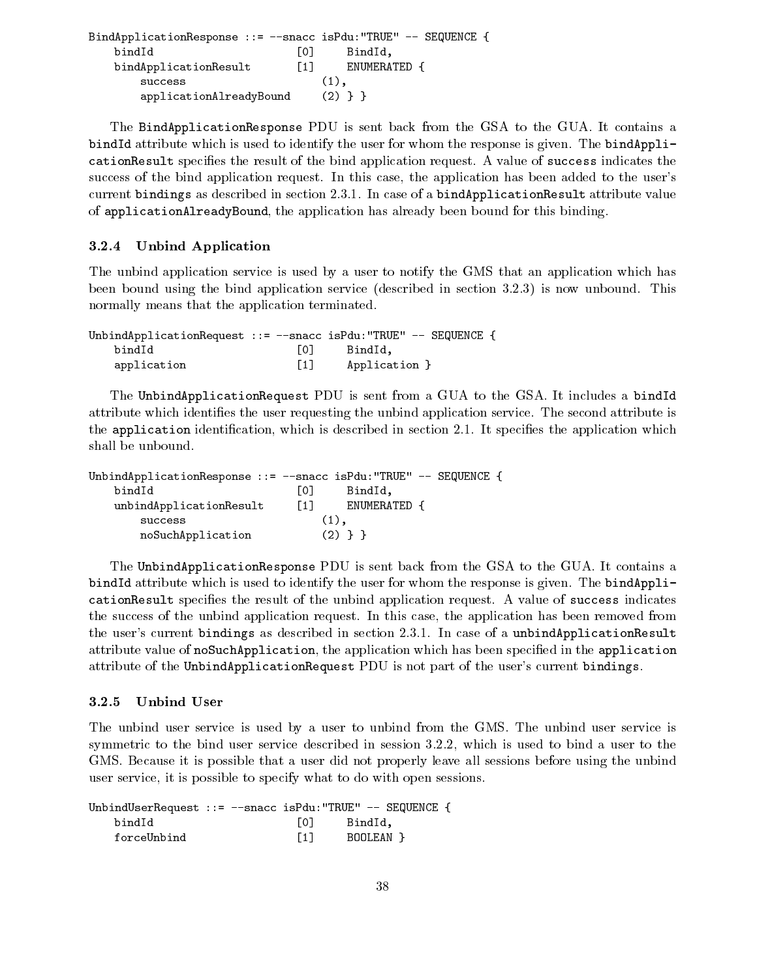| BindApplicationResponse ::= --snacc isPdu:"TRUE" -- SEQUENCE |       |              |  |
|--------------------------------------------------------------|-------|--------------|--|
| bindId                                                       | 1 O I | BindId.      |  |
| bindApplicationResult                                        | F 1 T | ENUMERATED { |  |
| success                                                      |       | $(1)$ .      |  |
| applicationAlreadyBound                                      |       | $(2)$ } }    |  |

The BindApplicationResponse PDU is sent back from the GSA to the GUA. It contains a bindId attribute which is used to identify the user for whom the response is given. The bindApplicationResult species the result of the bind application request. A value of success indicates the success of the bind application request. In this case, the application has been added to the user's current bindings as described in section 2.3.1. In case of a bindApplicationResult attribute value of applicationAlreadyBound, the application has already been bound for this binding.

#### 3.2.4 Unbind Application

The unbind application service is used by a user to notify the GMS that an application which has been bound using the bind application service (described in section 3.2.3) is now unbound. This normally means that the application terminated.

| UnbindApplicationRequest ::= $-$ -snacc isPdu:"TRUE" $-$ SEQUENCE { |                   |               |  |  |
|---------------------------------------------------------------------|-------------------|---------------|--|--|
| bindId                                                              | $\overline{0}$    | BindId.       |  |  |
| application                                                         | $\lceil 1 \rceil$ | Application } |  |  |

The UnbindApplicationRequest PDU is sent from a GUA to the GSA. It includes a bindId attribute which identies the user requesting the unbind application service. The second attribute is the application identification, which is described in section 2.1. It specifies the application which shall be unbound.

| UnbindApplicationResponse ::= $-$ -snacc isPdu: "TRUE" -- SEQUENCE { |                   |              |  |  |
|----------------------------------------------------------------------|-------------------|--------------|--|--|
| bindId                                                               | LO J              | BindId.      |  |  |
| unbindApplicationResult                                              | $\lceil 1 \rceil$ | ENUMERATED { |  |  |
| success                                                              |                   | $(1)$ ,      |  |  |
| noSuchApplication                                                    |                   | (2)          |  |  |

The UnbindApplicationResponse PDU is sent back from the GSA to the GUA. It contains a bindId attribute which is used to identify the user for whom the response is given. The bindApplicationResult species the result of the unbind application request. A value of success indicates the success of the unbind application request. In this case, the application has been removed from the user's current bindings as described in section 2.3.1. In case of a unbindApplicationResult attribute value of noSuchApplication, the application which has been specied in the application attribute of the UnbindApplicationRequest PDU is not part of the user's current bindings.

The unbind user service is used by a user to unbind from the GMS. The unbind user service is symmetric to the bind user service described in session 3.2.2, which is used to bind a user to the GMS. Because it is possible that a user did not properly leave all sessions before using the unbind user service, it is possible to specify what to do with open sessions.

UnbindUserRequest ::= --snacc isPdu:"TRUE" -- SEQUENCE { bindId  $\sqrt{0}$ bindidades are all distinct that is a set of  $\mathcal{O}(10^{10})$  bindidades are all distinct that is a set of  $\mathcal{O}(10^{10})$ forceUnbind [1] BOOLEAN }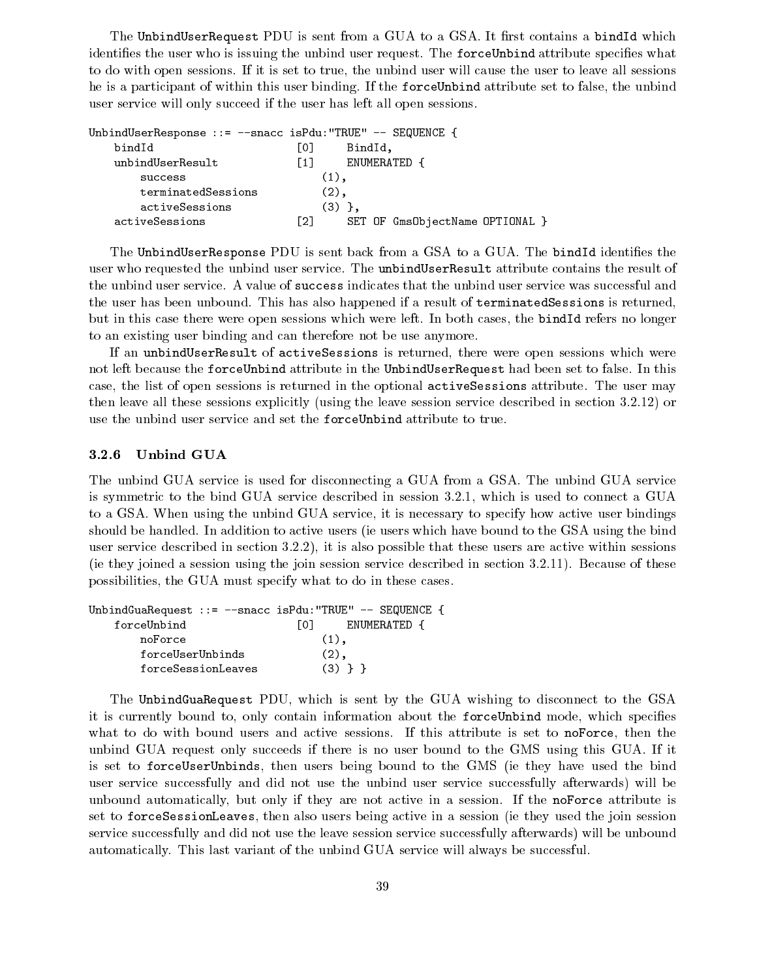The UnbindUserRequest PDU is sent from a GUA to a GSA. It first contains a bindId which identifies the user who is issuing the unbind user request. The forceUnbind attribute specifies what to do with open sessions. If it is set to true, the unbind user will cause the user to leave all sessions he is a participant of within this user binding. If the forceUnbind attribute set to false, the unbind user service will only succeed if the user has left all open sessions.

| UnbindUserResponse ::= --snacc isPdu: "TRUE" -- SEQUENCE { |                   |                                 |
|------------------------------------------------------------|-------------------|---------------------------------|
| bindId                                                     | LO J              | BindId,                         |
| unbindUserResult                                           | $\lceil 1 \rceil$ | ENUMERATED {                    |
| success                                                    |                   | $(1)$ .                         |
| terminatedSessions                                         |                   | (2),                            |
| activeSessions                                             |                   | $(3)$ }.                        |
| activeSessions                                             | [2]               | SET OF GmsObjectName OPTIONAL } |

The UnbindUserResponse PDU is sent back from a GSA to a GUA. The bindId identifies the user who requested the unbind user service. The unbindUserResult attribute contains the result of the unbind user service. A value of success indicates that the unbind user service was successful and the user has been unbound. This has also happened if a result of terminatedSessions is returned, but in this case there were open sessions which were left. In both cases, the bindId refers no longer to an existing user binding and can therefore not be use anymore.

If an unbindUserResult of activeSessions is returned, there were open sessions which were not left because the forceUnbind attribute in the UnbindUserRequest had been set to false. In this case, the list of open sessions is returned in the optional activeSessions attribute. The user may then leave all these sessions explicitly (using the leave session service described in section 3.2.12) or use the unbind user service and set the forceUnbind attribute to true.

## 3.2.6 Unbind GUA

The unbind GUA service is used for disconnecting a GUA from a GSA. The unbind GUA service is symmetric to the bind GUA service described in session 3.2.1, which is used to connect a GUA to a GSA. When using the unbind GUA service, it is necessary to specify how active user bindings should be handled. In addition to active users (ie users which have bound to the GSA using the bind user service described in section 3.2.2), it is also possible that these users are active within sessions (ie they joined a session using the join session service described in section 3.2.11). Because of these possibilities, the GUA must specify what to do in these cases.

| UnbindGuaRequest ::= --snacc isPdu: "TRUE" -- SEQUENCE { |                      |
|----------------------------------------------------------|----------------------|
| forceUnbind                                              | LO J<br>ENUMERATED { |
| noForce                                                  | $(1)$ .              |
| forceUserUnbinds                                         | $(2)$ ,              |
| forceSessionLeaves                                       | $(3)$ } }            |

The UnbindGuaRequest PDU, which is sent by the GUA wishing to disconnect to the GSA it is currently bound to, only contain information about the forceUnbind mode, which specifies what to do with bound users and active sessions. If this attribute is set to noForce, then the unbind GUA request only succeeds if there is no user bound to the GMS using this GUA. If it is set to forceUserUnbinds, then users being bound to the GMS (ie they have used the bind user service successfully and did not use the unbind user service successfully afterwards) will be unbound automatically, but only if they are not active in a session. If the noForce attribute is set to forceSessionLeaves, then also users being active in a session (ie they used the join session service successfully and did not use the leave session service successfully afterwards) will be unbound automatically. This last variant of the unbind GUA service will always be successful.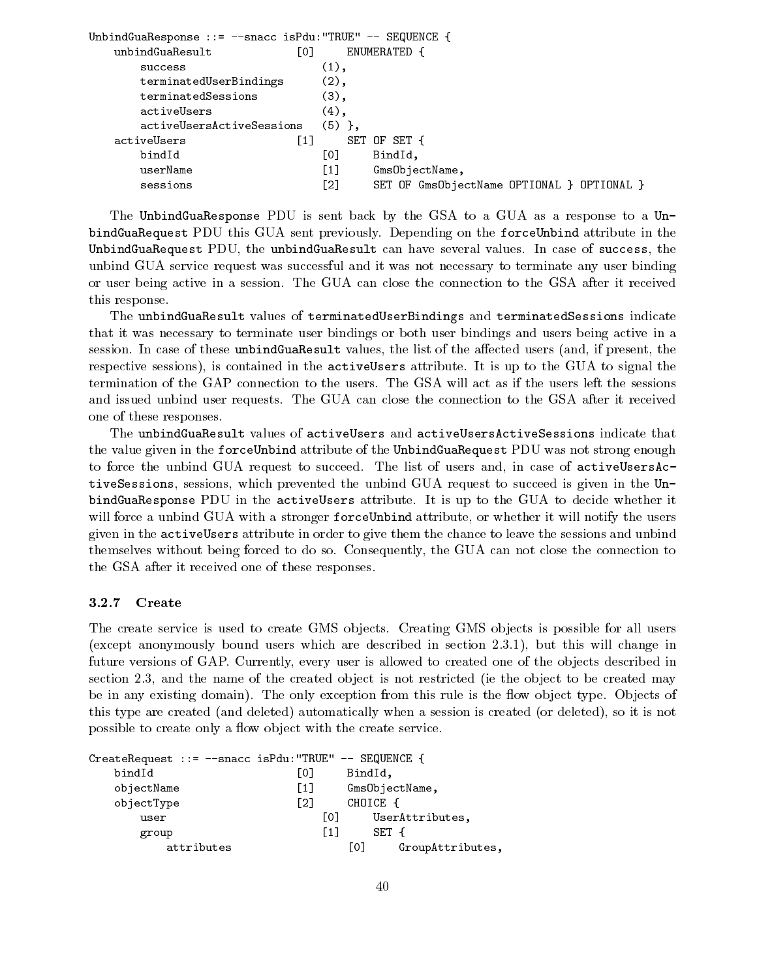| UnbindGuaResponse ::= --snacc isPdu:"TRUE" -- SEQUENCE { |          |                                            |
|----------------------------------------------------------|----------|--------------------------------------------|
| [0]<br>unbindGuaResult                                   |          | ENUMERATED {                               |
| success                                                  | $(1)$ ,  |                                            |
| terminatedUserBindings                                   | $(2)$ ,  |                                            |
| terminatedSessions                                       | $(3)$ ,  |                                            |
| activeUsers                                              | $(4)$ ,  |                                            |
| activeUsersActiveSessions                                | $(5)$ }, |                                            |
| $\lceil 1 \rceil$<br>activeUsers                         |          | SET OF SET {                               |
| bindId                                                   | [0]      | BindId,                                    |
| userName                                                 | [1]      | GmsObjectName,                             |
| sessions                                                 | [2]      | SET OF GmsObjectName OPTIONAL } OPTIONAL } |
|                                                          |          |                                            |

The UnbindGuaResponse PDU is sent back by the GSA to a GUA as a response to a UnbindGuaRequest PDU this GUA sent previously. Depending on the forceUnbind attribute in the UnbindGuaRequest PDU, the unbindGuaResult can have several values. In case of success, the unbind GUA service request was successful and it was not necessary to terminate any user binding or user being active in a session. The GUA can close the connection to the GSA after it received this response.

The unbindGuaResult values of terminatedUserBindings and terminatedSessions indicate that it was necessary to terminate user bindings or both user bindings and users being active in a session. In case of these unbindGuaResult values, the list of the affected users (and, if present, the respective sessions), is contained in the activeUsers attribute. It is up to the GUA to signal the termination of the GAP connection to the users. The GSA will act as if the users left the sessions and issued unbind user requests. The GUA can close the connection to the GSA after it received one of these responses.

The unbindGuaResult values of activeUsers and activeUsersActiveSessions indicate that the value given in the forceUnbind attribute of the UnbindGuaRequest PDU was not strong enough to force the unbind GUA request to succeed. The list of users and, in case of activeUsersActiveSessions, sessions, which prevented the unbind GUA request to succeed is given in the UnbindGuaResponse PDU in the activeUsers attribute. It is up to the GUA to decide whether it will force a unbind GUA with a stronger forceUnbind attribute, or whether it will notify the users given in the activeUsers attribute in order to give them the chance to leave the sessions and unbind themselves without being forced to do so.Consequently, the GUA can not close the connection to the GSA after it received one of these responses.

#### 3.2.7 Create

The create service is used to create GMS objects. Creating GMS objects is possible for all users (except anonymously bound users which are described in section 2.3.1), but this will change in future versions of GAP. Currently, every user is allowed to created one of the objects described in section 2.3, and the name of the created object is not restricted (ie the object to be created may be in any existing domain). The only exception from this rule is the flow object type. Objects of this type are created (and deleted) automatically when a session is created (or deleted), so it is not possible to create only a flow object with the create service.

| CreateRequest ::= --snacc isPdu: "TRUE" -- SEQUENCE { |                   |                |                  |
|-------------------------------------------------------|-------------------|----------------|------------------|
| bindId                                                | L01               | BindId,        |                  |
| objectName                                            | $\lceil 1 \rceil$ | GmsObjectName, |                  |
| objectType                                            | $\lceil 2 \rceil$ | CHOICE {       |                  |
| user                                                  | <u>ГО Т</u>       |                | UserAttributes,  |
| group                                                 | $\lceil 1 \rceil$ | SET {          |                  |
| attributes                                            |                   | Г01            | GroupAttributes, |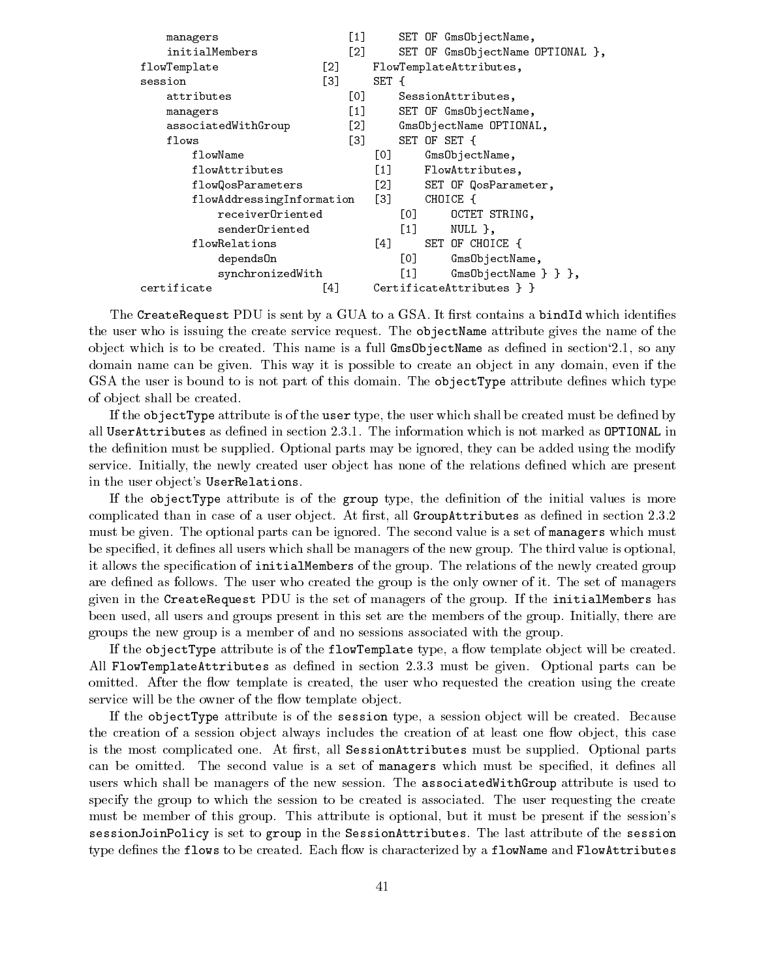| managers                  | $\left[1\right]$                  | SET OF GmsObjectName,                      |
|---------------------------|-----------------------------------|--------------------------------------------|
| initialMembers            | [2]                               | SET OF GmsObjectName OPTIONAL },           |
| flowTemplate              | [2]                               | FlowTemplateAttributes,                    |
| session                   | Г31                               | SET {                                      |
| attributes                | [0]                               | SessionAttributes,                         |
| managers                  | $\begin{bmatrix} 1 \end{bmatrix}$ | SET OF GmsObjectName,                      |
| associatedWithGroup       | $\lceil 2 \rceil$                 | GmsObjectName OPTIONAL,                    |
| flows                     | Г31                               | SET OF SET {                               |
| flowName                  |                                   | [0]<br>GmsObjectName,                      |
| flowAttributes            |                                   | $\left[1\right]$<br>FlowAttributes,        |
| flowQosParameters         |                                   | $\lceil 2 \rceil$<br>SET OF QosParameter,  |
| flowAddressingInformation |                                   | $\left[3\right]$<br>CHOICE {               |
| receiverOriented          |                                   | [0]<br>OCTET STRING,                       |
| senderOriented            |                                   | $\lceil 1 \rceil$<br>$NULL$ },             |
| flowRelations             |                                   | SET OF CHOICE {<br>[4]                     |
| depends0n                 |                                   | [O]<br>GmsObjectName,                      |
| synchronizedWith          |                                   | $\left[1\right]$<br>$GmsObjectName }$ } }, |
| certificate               | [4]                               | CertificateAttributes $\}$ }               |

The CreateRequest PDU is sent by a GUA to a GSA. It first contains a bindId which identifies the user who is issuing the create service request. The objectName attribute gives the name of the object which is to be created. This name is a full  $GmsObjectName$  as defined in section 2.1, so any domain name can be given. This way it is possible to create an object in any domain, even if the GSA the user is bound to is not part of this domain. The object Type attribute defines which type of ob ject shall be created.

If the objectType attribute is of the user type, the user which shall be created must be defined by all UserAttributes as defined in section 2.3.1. The information which is not marked as OPTIONAL in the definition must be supplied. Optional parts may be ignored, they can be added using the modify service. Initially, the newly created user object has none of the relations defined which are present in the user object's UserRelations.

If the objectType attribute is of the group type, the definition of the initial values is more complicated than in case of a user object. At first, all GroupAttributes as defined in section 2.3.2 must be given. The optional parts can be ignored. The second value is a set of managers which must be specified, it defines all users which shall be managers of the new group. The third value is optional, it allows the specication of initialMembers of the group. The relations of the newly created group are defined as follows. The user who created the group is the only owner of it. The set of managers given in the CreateRequest PDU is the set of managers of the group. If the initialMembers has been used, all users and groups present in this set are the members of the group. Initially, there are groups the new group is a member of and no sessions associated with the group.

If the objectType attribute is of the flowTemplate type, a flow template object will be created. All FlowTemplateAttributes as defined in section 2.3.3 must be given. Optional parts can be omitted. After the flow template is created, the user who requested the creation using the create service will be the owner of the flow template object.

If the objectType attribute is of the session type, a session object will be created. Because the creation of a session object always includes the creation of at least one flow object, this case is the most complicated one. At first, all SessionAttributes must be supplied. Optional parts can be omitted. The second value is a set of managers which must be specified, it defines all users which shall be managers of the new session. The associatedWithGroup attribute is used to specify the group to which the session to be created is associated. The user requesting the create must be member of this group. This attribute is optional, but it must be present if the session's sessionJoinPolicy is set to group in the SessionAttributes. The last attribute of the session type defines the flows to be created. Each flow is characterized by a flowName and FlowAttributes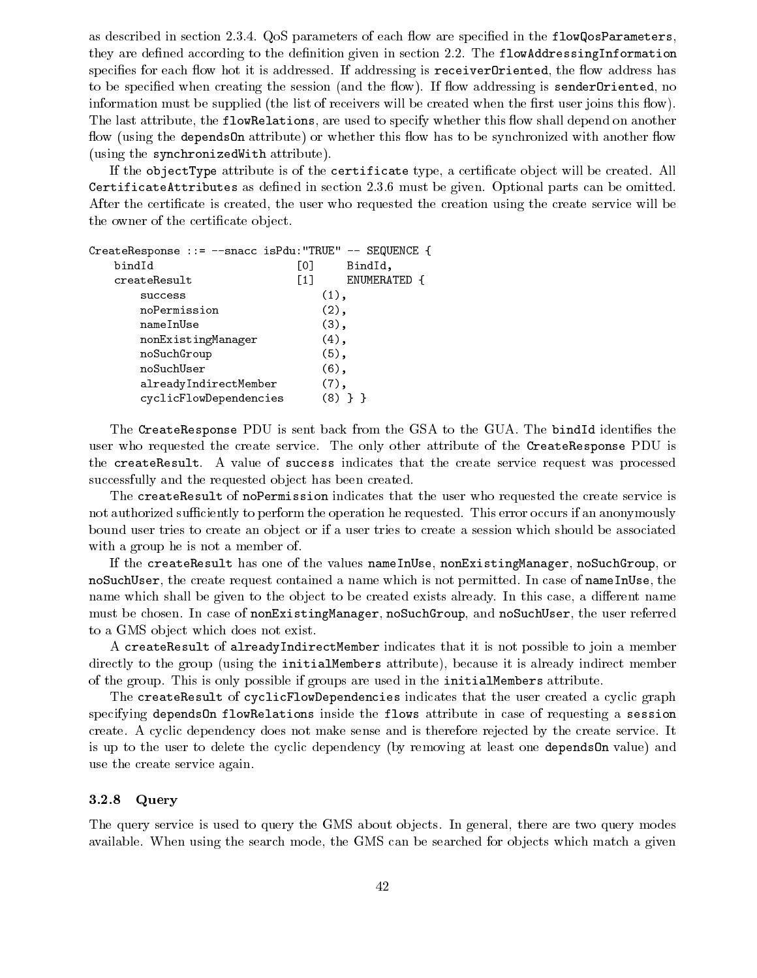as described in section 2.3.4. QoS parameters of each flow are specified in the  $flowQosParameters$ , they are defined according to the definition given in section 2.2. The flowAddressingInformation specifies for each flow hot it is addressed. If addressing is receiver Oriented, the flow address has to be specified when creating the session (and the flow). If flow addressing is sender Oriented, no information must be supplied (the list of receivers will be created when the first user joins this flow). The last attribute, the flowRelations, are used to specify whether this flow shall depend on another flow (using the depends On attribute) or whether this flow has to be synchronized with another flow (using the synchronizedWith attribute).

If the objectType attribute is of the certificate type, a certificate object will be created. All CertificateAttributes as defined in section 2.3.6 must be given. Optional parts can be omitted. After the certificate is created, the user who requested the creation using the create service will be the owner of the certificate object.

| CreateResponse ::= --snacc isPdu: "TRUE" -- SEQUENCE { |                   |              |
|--------------------------------------------------------|-------------------|--------------|
| bindId                                                 | [0]               | BindId,      |
| createResult                                           | $\lceil 1 \rceil$ | ENUMERATED { |
| success                                                | $(1)$ ,           |              |
| noPermission                                           | $(2)$ ,           |              |
| nameInUse                                              | $(3)$ ,           |              |
| nonExistingManager                                     | $(4)$ ,           |              |
| noSuchGroup                                            | $(5)$ ,           |              |
| noSuchUser                                             | $(6)$ ,           |              |
| alreadyIndirectMember                                  | $(7)$ ,           |              |
| cyclicFlowDependencies                                 | (8)               |              |

The CreateResponse PDU is sent back from the GSA to the GUA. The bindId identifies the user who requested the create service. The only other attribute of the CreateResponse PDU is the createResult. A value of success indicates that the create service request was processed successfully and the requested object has been created.

The createResult of noPermission indicates that the user who requested the create service is not authorized sufficiently to perform the operation he requested. This error occurs if an anonymously bound user tries to create an object or if a user tries to create a session which should be associated with a group he is not a member of.

If the createResult has one of the values nameInUse, nonExistingManager, noSuchGroup, or noSuchUser, the create request contained a name which is not permitted. In case of nameInUse, the name which shall be given to the object to be created exists already. In this case, a different name must be chosen. In case of nonExistingManager, noSuchGroup, and noSuchUser, the user referred to a GMS object which does not exist.

A createResult of alreadyIndirectMember indicates that it is not possible to join a member directly to the group (using the initialMembers attribute), because it is already indirect member of the group. This is only possible if groups are used in the initialMembers attribute.

The createResult of cyclicFlowDependencies indicates that the user created a cyclic graph specifying dependsOn flowRelations inside the flows attribute in case of requesting a session create. A cyclic dependency does not make sense and is therefore rejected by the create service. It is up to the user to delete the cyclic dependency (by removing at least one dependsOn value) and use the create service again.

#### 3.2.8 Query

The query service is used to query the GMS about objects. In general, there are two query modes available. When using the search mode, the GMS can be searched for objects which match a given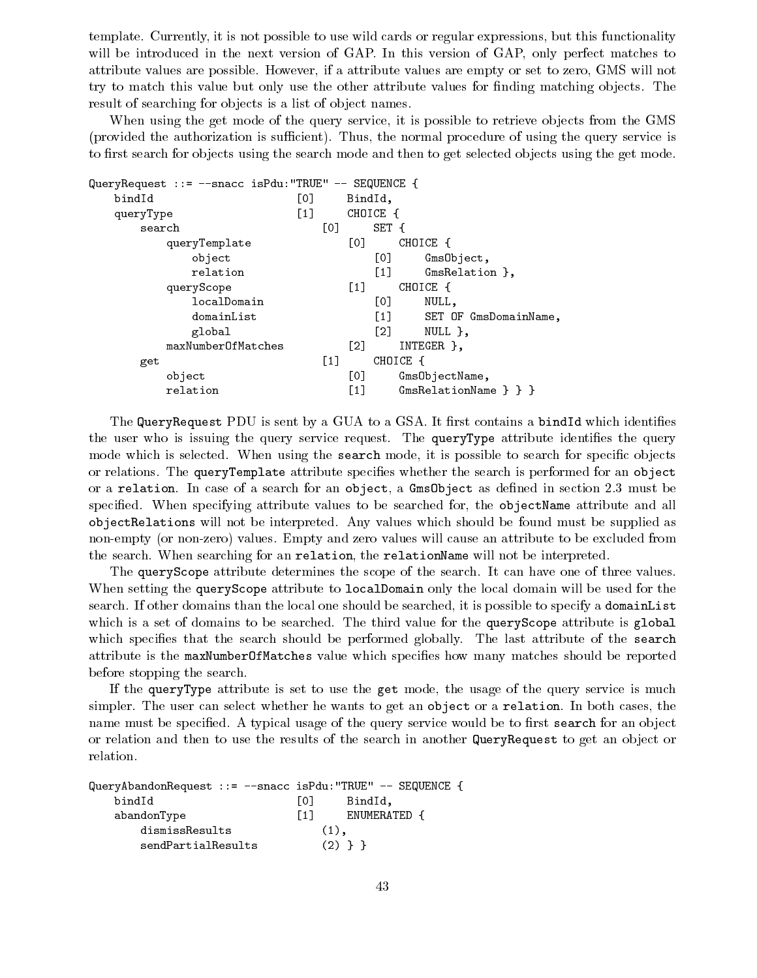template. Currently, it is not possible to use wild cards or regular expressions, but this functionality will be introduced in the next version of GAP. In this version of GAP, only perfect matches to attribute values are possible. However, if a attribute values are empty or set to zero, GMS will not try to match this value but only use the other attribute values for finding matching objects. The result of searching for objects is a list of object names.

When using the get mode of the query service, it is possible to retrieve objects from the GMS (provided the authorization is sufficient). Thus, the normal procedure of using the query service is to first search for objects using the search mode and then to get selected objects using the get mode.

| QueryRequest ::= --snacc isPdu:"TRUE" -- SEQUENCE { |                   |                   |                                                            |
|-----------------------------------------------------|-------------------|-------------------|------------------------------------------------------------|
| bindId                                              | [0]               |                   | BindId,                                                    |
| queryType                                           | $\left[1\right]$  |                   | CHOICE {                                                   |
| search                                              | [0]               |                   | SET {                                                      |
| queryTemplate                                       |                   | [0]               | CHOICE {                                                   |
| object                                              |                   |                   | [0]<br>GmsObject,                                          |
| relation                                            |                   |                   | $\left[1\right]$<br>$GmsRelation$ ,                        |
| queryScope                                          |                   | $\left[1\right]$  | CHOICE {                                                   |
| localDomain                                         |                   |                   | [0]<br>NULL,                                               |
| domainList                                          |                   |                   | $\begin{bmatrix} 1 \end{bmatrix}$<br>SET OF GmsDomainName, |
| global                                              |                   |                   | $\lceil 2 \rceil$<br>NULL },                               |
| maxNumberOfMatches                                  |                   | $\lceil 2 \rceil$ | INTEGER },                                                 |
| get                                                 | $\lceil 1 \rceil$ |                   | CHOICE {                                                   |
| object                                              |                   | [0]               | GmsObjectName,                                             |
| relation                                            |                   | $\lceil 1 \rceil$ | GmsRelationName } } }                                      |

The QueryRequest PDU is sent by a GUA to a GSA. It first contains a bindId which identifies the user who is issuing the query service request. The queryType attribute identifies the query mode which is selected. When using the search mode, it is possible to search for specific objects or relations. The queryTemplate attribute species whether the search is performed for an object or a relation. In case of a search for an object, a Gms Object as defined in section 2.3 must be specified. When specifying attribute values to be searched for, the object Name attribute and all objectRelations will not be interpreted. Any values which should be found must be supplied as non-empty (or non-zero) values. Empty and zero values will cause an attribute to be excluded from the search. When searching for an relation, the relationName will not be interpreted.

The queryScope attribute determines the scope of the search. It can have one of three values. When setting the queryScope attribute to localDomain only the local domain will be used for the search. If other domains than the local one should be searched, it is possible to specify a domainList which is a set of domains to be searched. The third value for the query Scope attribute is global which specifies that the search should be performed globally. The last attribute of the search attribute is the maxNumberOfMatches value which species how many matches should be reported before stopping the search.

If the queryType attribute is set to use the get mode, the usage of the query service is much simpler. The user can select whether he wants to get an object or a relation. In both cases, the name must be specified. A typical usage of the query service would be to first search for an object or relation and then to use the results of the search in another QueryRequest to get an object or relation.

```
QueryAbandonRequest ::= --snacc isPdu:"TRUE" -- SEQUENCE {
  bindId [0] BindId,
  abandonType [1] ENUMERATED {
     dismissResults (1),
     sendPartialResults (2) } }
```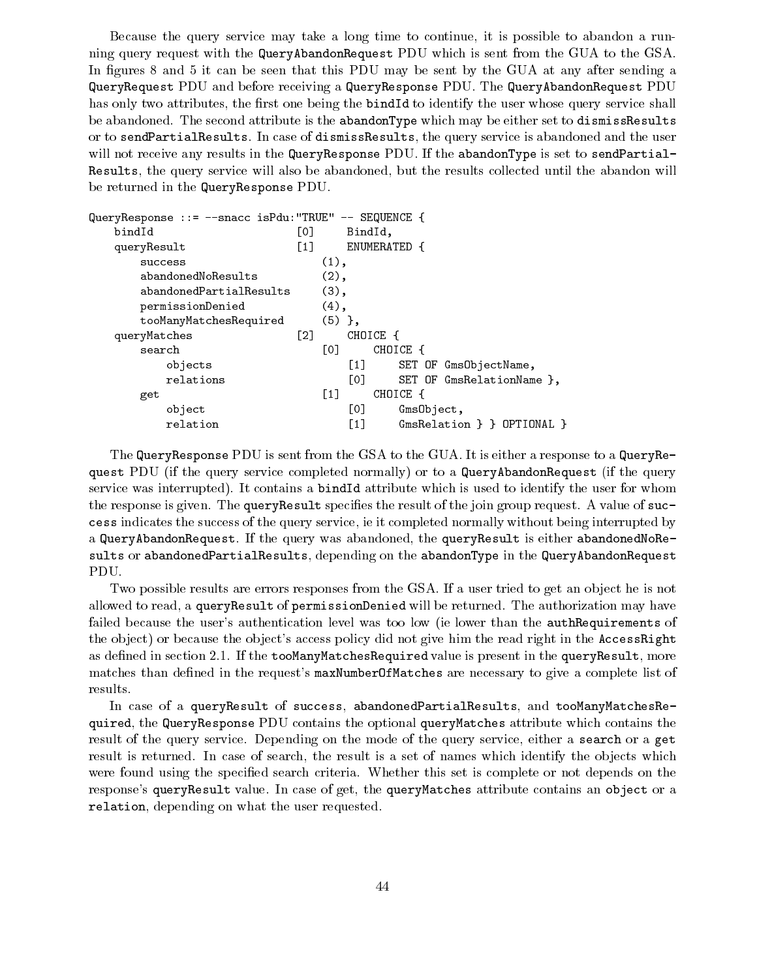Because the query service may take a long time to continue, it is possible to abandon a running query request with the QueryAbandonRequest PDU which is sent from the GUA to the GSA. In figures 8 and 5 it can be seen that this PDU may be sent by the GUA at any after sending a QueryRequest PDU and before receiving a QueryResponse PDU. The QueryAbandonRequest PDU has only two attributes, the first one being the **bindId** to identify the user whose query service shall be abandoned. The second attribute is the abandonType which may be either set to dismissResults or to sendPartialResults. In case of dismissResults, the query service is abandoned and the user will not receive any results in the QueryResponse PDU. If the abandonType is set to sendPartial-Results, the query service will also be abandoned, but the results collected until the abandon will be returned in the QueryResponse PDU.

| QueryResponse ::= --snacc isPdu: "TRUE" -- SEQUENCE { |                   |          |         |              |            |                                |
|-------------------------------------------------------|-------------------|----------|---------|--------------|------------|--------------------------------|
| bindId                                                | [O]               |          | BindId, |              |            |                                |
| queryResult                                           | $\lceil 1 \rceil$ |          |         | ENUMERATED { |            |                                |
| success                                               |                   | $(1)$ ,  |         |              |            |                                |
| abandonedNoResults                                    |                   | $(2)$ ,  |         |              |            |                                |
| abandonedPartialResults                               |                   | $(3)$ ,  |         |              |            |                                |
| permissionDenied                                      |                   | $(4)$ ,  |         |              |            |                                |
| tooManyMatchesRequired                                |                   | $(5)$ }, |         |              |            |                                |
| queryMatches                                          | Г21               |          |         | CHOICE {     |            |                                |
| search                                                |                   | L0J      |         | CHOICE {     |            |                                |
| objects                                               |                   |          | $[1]$   |              |            | SET OF GmsObjectName,          |
| relations                                             |                   |          | L0J     |              |            | SET OF GmsRelationName },      |
| get                                                   |                   | [1]      |         | CHOICE {     |            |                                |
| object                                                |                   |          | [0]     |              | GmsObject, |                                |
| relation                                              |                   |          | [1]     |              |            | $GmsRelation$ } $)$ OPTIONAL } |

The QueryResponse PDU is sent from the GSA to the GUA. It is either a response to a QueryRequest PDU (if the query service completed normally) or to a QueryAbandonRequest (if the query service was interrupted). It contains a bindId attribute which is used to identify the user for whom the response is given. The queryResult specifies the result of the join group request. A value of success indicates the success of the query service, ie it completed normally without being interrupted by a QueryAbandonRequest. If the query was abandoned, the queryResult is either abandonedNoResults or abandonedPartialResults, depending on the abandonType in the QueryAbandonRequest PDU.

Two possible results are errors responses from the GSA. If a user tried to get an object he is not allowed to read, a queryResult of permissionDenied will be returned. The authorization may have failed because the user's authentication level was too low (ie lower than the **authRequirements** of the object) or because the object's access policy did not give him the read right in the AccessRight as defined in section 2.1. If the tooManyMatchesRequired value is present in the queryResult, more matches than defined in the request's maxNumberOfMatches are necessary to give a complete list of results.

In case of a queryResult of success, abandonedPartialResults, and tooManyMatchesRequired, the QueryResponse PDU contains the optional queryMatches attribute which contains the result of the query service. Depending on the mode of the query service, either a search or a get result is returned. In case of search, the result is a set of names which identify the objects which were found using the specified search criteria. Whether this set is complete or not depends on the response's queryResult value. In case of get, the queryMatches attribute contains an object or a relation, depending on what the user requested.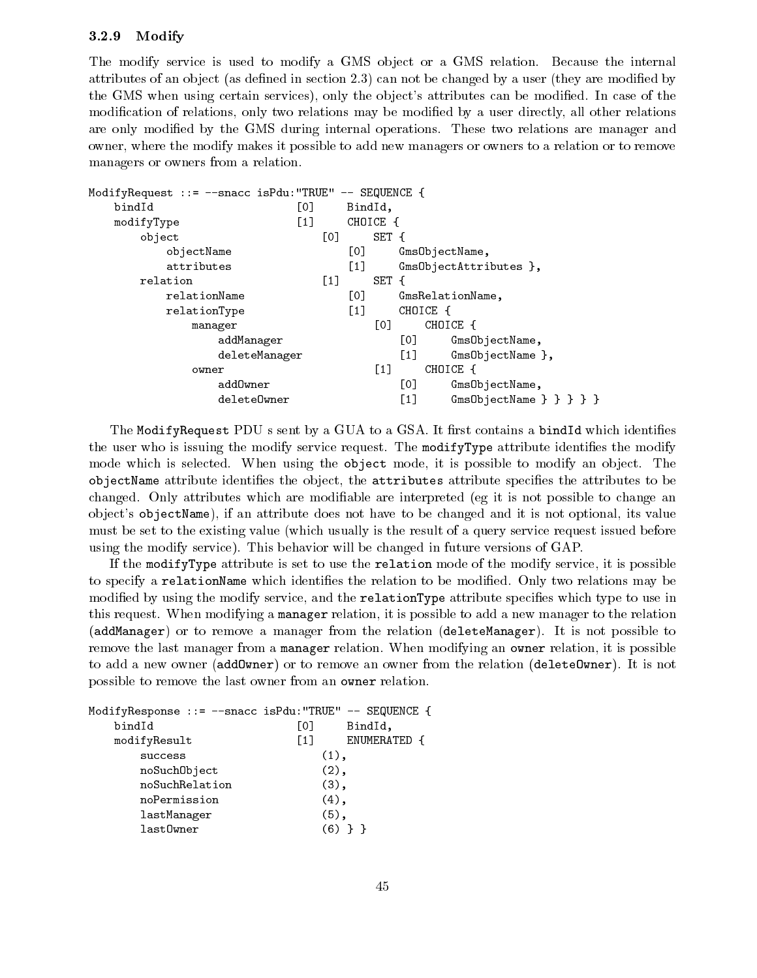#### 3.2.9 Modify

The modify service is used to modify a GMS object or a GMS relation. Because the internal attributes of an object (as defined in section 2.3) can not be changed by a user (they are modified by the GMS when using certain services), only the object's attributes can be modified. In case of the modification of relations, only two relations may be modified by a user directly, all other relations are only modied by the GMS during internal operations. These two relations are manager and owner, where the modify makes it possible to add new managers or owners to a relation or to remove managers or owners from a relation.

```
ModifyRequest ::= --snacc isPdu:"TRUE" -- SEQUENCE {
   bindId [0] BindId,
   modifyType [1] CHOICE {
       object [0] SET {
          objectName [0] GmsObjectName,
          attributes [1] GmsObjectAttributes },
      relation [1] SET {
          relationName [0] GmsRelationName,
          relationType [1] CHOICE {
              manager [0] CHOICE {
                  addManager [0] GmsObjectName,
                 deleteManager [1] GmsObjectName },
              owner
              owner [1] Choice { 1] Choice { 1] Choice { 1] Choice { 1] Choice { 1] Choice { 1] Choice { 1] Choice { 1] Choice { 1] Choice { 1] Choice { 1] Choice { 1] Choice { 1] Choice { 1] Choice { 1] Choice { 1] Choice { 1] Choice {
                  addOwner
                                           [0] GmsObjectName,
                 deleteOwner [1] GmsObjectName } } } }
```
The ModifyRequest PDU s sent by a GUA to a GSA. It first contains a bindId which identifies the user who is issuing the modify service request. The modify Type attribute identifies the modify mode which is selected. When using the object mode, it is possible to modify an object. The objectName attribute identifies the object, the attributes attribute specifies the attributes to be changed. Only attributes which are modiable are interpreted (eg it is not possible to change an ob ject's objectName), if an attribute does not have to be changed and it is not optional, its value must be set to the existing value (which usually is the result of a query service request issued before using the modify service). This behavior will be changed in future versions of GAP.

If the modifyType attribute is set to use the relation mode of the modify service, it is possible to specify a relationName which identifies the relation to be modified. Only two relations may be modified by using the modify service, and the relationType attribute specifies which type to use in this request. When modifying a manager relation, it is possible to add a new manager to the relation (addManager) or to remove a manager from the relation (deleteManager). It is not possible to remove the last manager from a manager relation. When modifying an owner relation, it is possible to add a new owner (addOwner) or to remove an owner from the relation (deleteOwner). It is not possible to remove the last owner from an owner relation.

```
ModifyResponse ::= --snacc isPdu:"TRUE" -- SEQUENCE {
  bindId [0] BindId,
  modifyResult [1] ENUMERATED {
    success (1),
    noSuchObject (2),
    noSuchRelation (3),
    noPermission (4),
    lastManager (5),
    last0wner (6) } }
```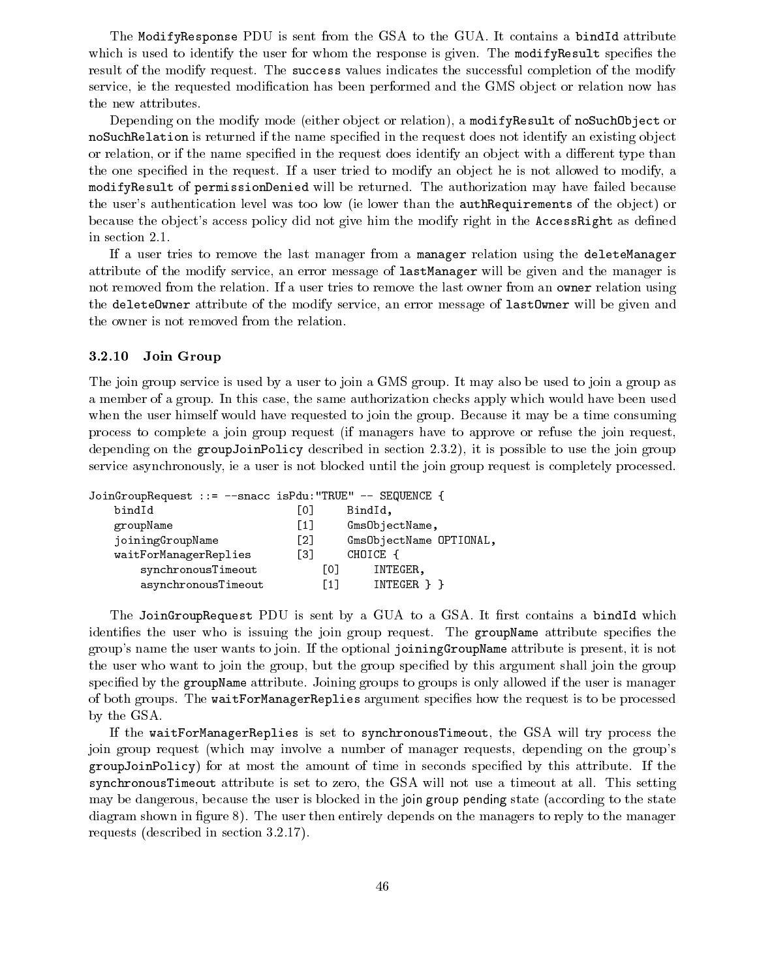The ModifyResponse PDU is sent from the GSA to the GUA. It contains a bindId attribute which is used to identify the user for whom the response is given. The modifyResult specifies the result of the modify request. The success values indicates the successful completion of the modify service, ie the requested modification has been performed and the GMS object or relation now has the new attributes.

Depending on the modify mode (either object or relation), a modifyResult of noSuchObject or noSuchRelation is returned if the name specified in the request does not identify an existing object or relation, or if the name specified in the request does identify an object with a different type than the one specified in the request. If a user tried to modify an object he is not allowed to modify, a modifyResult of permissionDenied will be returned. The authorization may have failed because the user's authentication level was too low (ie lower than the **authRequirements** of the object) or because the object's access policy did not give him the modify right in the **AccessRight** as defined in section 2.1.

If a user tries to remove the last manager from a manager relation using the deleteManager attribute of the modify service, an error message of lastManager will be given and the manager is not removed from the relation. If a user tries to remove the last owner from an owner relation using the deleteOwner attribute of the modify service, an error message of lastOwner will be given and the owner is not removed from the relation.

## 3.2.10 Join Group

The join group service is used by a user to join a GMS group. It may also be used to join a group as a member of a group. In this case, the same authorization checks apply which would have been used when the user himself would have requested to join the group. Because it may be a time consuming process to complete a join group request (if managers have to approve or refuse the join request, depending on the groupJoinPolicy described in section 2.3.2), it is possible to use the join group service asynchronously, ie a user is not blocked until the join group request is completely processed.

| JoinGroupRequest ::= --snacc isPdu: "TRUE" -- SEQUENCE { |     |     |                         |  |
|----------------------------------------------------------|-----|-----|-------------------------|--|
| bindId                                                   | L01 |     | BindId,                 |  |
| groupName                                                | [1] |     | GmsObjectName,          |  |
| joiningGroupName                                         | [2] |     | Gms0bjectName OPTIONAL, |  |
| waitForManagerReplies                                    | Г31 |     | CHOICE {                |  |
| synchronousTimeout                                       |     | Γ01 | INTEGER,                |  |
| asynchronousTimeout                                      |     | [1] | INTEGER } }             |  |
|                                                          |     |     |                         |  |

The JoinGroupRequest PDU is sent by a GUA to a GSA. It first contains a bindId which identifies the user who is issuing the join group request. The groupName attribute specifies the group's name the user wants to join. If the optional joiningGroupName attribute is present, it is not the user who want to join the group, but the group specied by this argument shall join the group specified by the groupName attribute. Joining groups to groups is only allowed if the user is manager of both groups. The waitForManagerReplies argument specifies how the request is to be processed by the GSA.

If the waitForManagerReplies is set to synchronousTimeout, the GSA will try process the join group request (which may involve a number of manager requests, depending on the group's groupJoinPolicy) for at most the amount of time in seconds specied by this attribute. If the synchronousTimeout attribute is set to zero, the GSA will not use a timeout at all. This setting may be dangerous, because the user is blocked in the join group pending state (according to the state diagram shown in figure  $8$ ). The user then entirely depends on the managers to reply to the manager requests (described in section 3.2.17).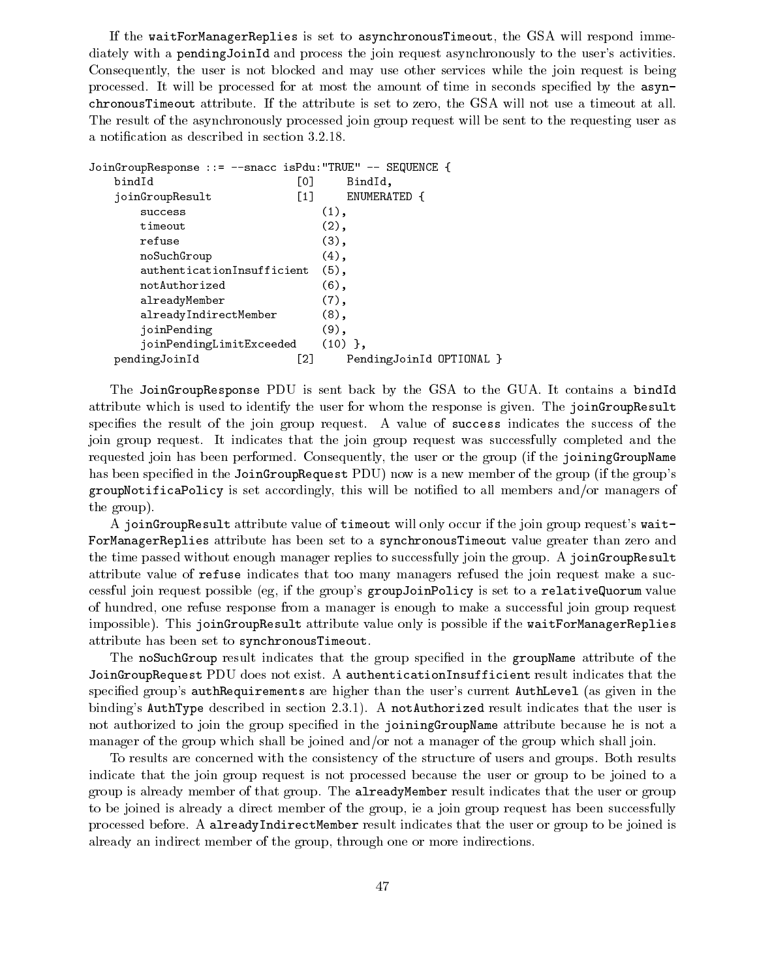If the waitForManagerReplies is set to asynchronousTimeout, the GSA will respond immediately with a pendingJoinId and process the join request asynchronously to the user's activities. Consequently, the user is not blocked and may use other services while the join request is being processed. It will be processed for at most the amount of time in seconds specified by the  $\texttt{asyn-}$ chronousTimeout attribute. If the attribute is set to zero, the GSA will not use a timeout at all. The result of the asynchronously processed join group request will be sent to the requesting user as a notication as described in section 3.2.18.

```
JoinGroupResponse ::= --snacc isPdu:"TRUE" -- SEQUENCE {
   bindId [0] BindId,
   joinGroupResult [1] ENUMERATED {
      success (1),
      timeout (2),
      refuse (3), and the contract of the contract of the contract of the contract of the contract of the contract of
      noSuchGroup (4),
      authenticationInsufficient (5),
      notAuthorized (6),
      alreadyMember (7),
      alreadyIndirectMember (8),
      joinPending (9),
      joinPendingLimitExceeded (10) },
   pendingJoinId [2] PendingJoinId OPTIONAL }
```
The JoinGroupResponse PDU is sent back by the GSA to the GUA. It contains a bindId attribute which is used to identify the user for whom the response is given. The joinGroupResult specifies the result of the join group request. A value of success indicates the success of the join group request. It indicates that the join group request was successfully completed and the requested join has been performed. Consequently, the user or the group (if the joiningGroupName has been specified in the JoinGroupRequest PDU) now is a new member of the group (if the group's groupNotificaPolicy is set accordingly, this will be notified to all members and/or managers of the group).

A joinGroupResult attribute value of timeout will only occur if the join group request's wait-ForManagerReplies attribute has been set to a synchronousTimeout value greater than zero and the time passed without enough manager replies to successfully join the group. A joinGroupResult attribute value of refuse indicates that too many managers refused the join request make a successful join request possible (eg, if the group's groupJoinPolicy is set to a relativeQuorum value of hundred, one refuse response from a manager is enough to make a successful join group request impossible). This joinGroupResult attribute value only is possible if the waitForManagerReplies attribute has been set to synchronousTimeout.

The noSuchGroup result indicates that the group specified in the groupName attribute of the JoinGroupRequest PDU does not exist. A authenticationInsufficient result indicates that the specied group's authRequirements are higher than the user's current AuthLevel (as given in the binding's AuthType described in section 2.3.1). A notAuthorized result indicates that the user is not authorized to join the group specified in the joiningGroupName attribute because he is not a manager of the group which shall be joined and/or not a manager of the group which shall join.

To results are concerned with the consistency of the structure of users and groups. Both results indicate that the join group request is not processed because the user or group to be joined to a group is already member of that group. The alreadyMember result indicates that the user or group to be joined is already a direct member of the group, ie a join group request has been successfully processed before. A alreadyIndirectMember result indicates that the user or group to be joined is already an indirect member of the group, through one or more indirections.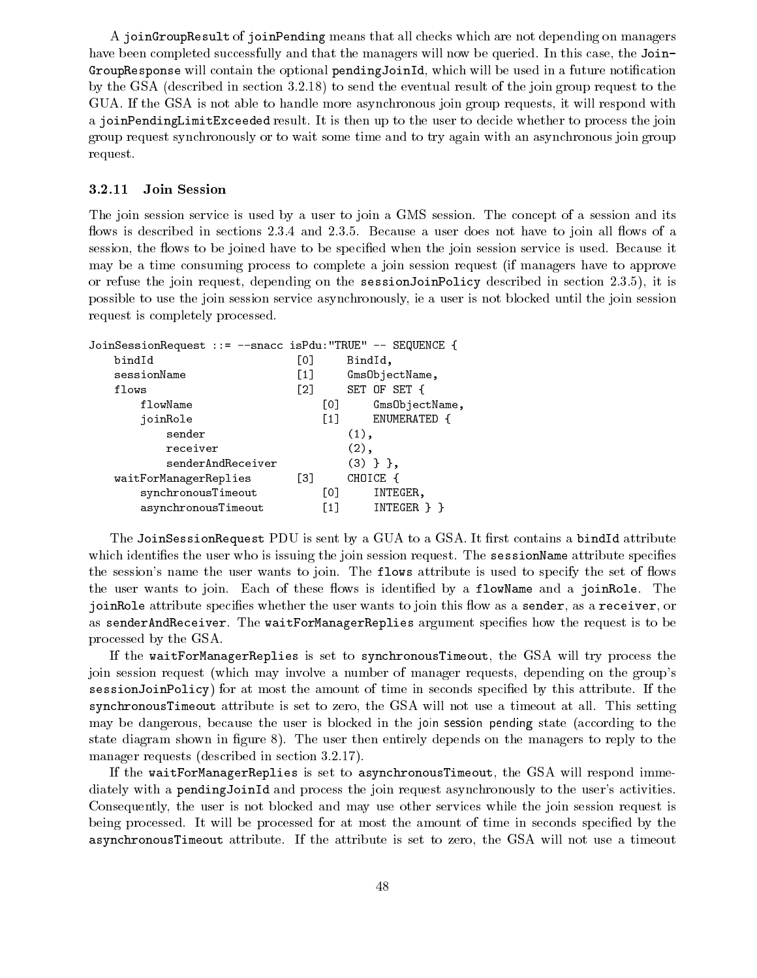A joinGroupResult of joinPending means that all checks which are not depending on managers have been completed successfully and that the managers will now be queried. In this case, the Join-GroupResponse will contain the optional pendingJoinId, which will be used in a future notification by the GSA (described in section 3.2.18) to send the eventual result of the join group request to the GUA. If the GSA is not able to handle more asynchronous join group requests, it will respond with a joinPendingLimitExceeded result. It is then up to the user to decide whether to process the join group request synchronously or to wait some time and to try again with an asynchronous join group request.

#### 3.2.11 Join Session

The join session service is used by a user to join a GMS session. The concept of a session and its flows is described in sections 2.3.4 and 2.3.5. Because a user does not have to join all flows of a session, the flows to be joined have to be specified when the join session service is used. Because it may be a time consuming process to complete a join session request (if managers have to approve or refuse the join request, depending on the sessionJoinPolicy described in section 2.3.5), it is possible to use the join session service asynchronously, ie a user is not blocked until the join session request is completely processed.

| JoinSessionRequest ::= --snacc isPdu: "TRUE" -- SEQUENCE { |                   |                |  |
|------------------------------------------------------------|-------------------|----------------|--|
| bindId                                                     | [0]               | BindId,        |  |
| sessionName                                                | $\left[1\right]$  | GmsObjectName, |  |
| flows                                                      | $\lceil 2 \rceil$ | SET OF SET {   |  |
| flowName                                                   | [0]               | GmsObjectName, |  |
| joinRole                                                   | $\left[1\right]$  | ENUMERATED {   |  |
| sender                                                     |                   | $(1)$ ,        |  |
| receiver                                                   |                   | $(2)$ ,        |  |
| senderAndReceiver                                          |                   | $(3)$ } },     |  |
| waitForManagerReplies                                      | T31               | CHOICE {       |  |
| synchronousTimeout                                         | [0]               | INTEGER,       |  |
| asynchronousTimeout                                        | [1]               | INTEGER } }    |  |
|                                                            |                   |                |  |

The JoinSessionRequest PDU is sent by a GUA to a GSA. It first contains a bindId attribute which identifies the user who is issuing the join session request. The sessionName attribute specifies the session's name the user wants to join. The **flows** attribute is used to specify the set of flows the user wants to join. Each of these flows is identified by a flowName and a joinRole. The joinRole attribute specifies whether the user wants to join this flow as a sender, as a receiver, or as senderAndReceiver. The waitForManagerReplies argument species how the request is to be processed by the GSA.

If the waitForManagerReplies is set to synchronousTimeout, the GSA will try process the join session request (which may involve a number of manager requests, depending on the group's sessionJoinPolicy) for at most the amount of time in seconds specified by this attribute. If the synchronousTimeout attribute is set to zero, the GSA will not use a timeout at all. This setting may be dangerous, because the user is blocked in the join session pending state (according to the state diagram shown in figure 8). The user then entirely depends on the managers to reply to the manager requests (described in section 3.2.17).

If the waitForManagerReplies is set to asynchronousTimeout, the GSA will respond immediately with a pendingJoinId and process the join request asynchronously to the user's activities. Consequently, the user is not blocked and may use other services while the join session request is being processed. It will be processed for at most the amount of time in seconds specied by the asynchronousTimeout attribute. If the attribute is set to zero, the GSA will not use a timeout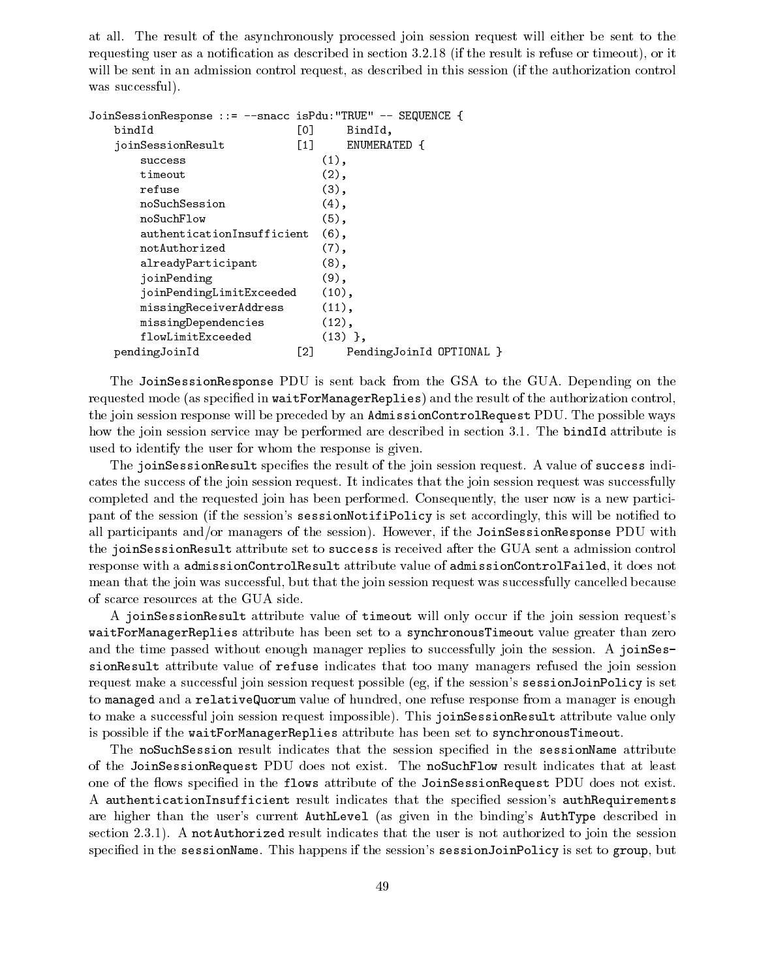at all. The result of the asynchronously processed join session request will either be sent to the requesting user as a notification as described in section 3.2.18 (if the result is refuse or timeout), or it will be sent in an admission control request, as described in this session (if the authorization control was successful).

|                            | JoinSessionResponse ::= --snacc isPdu:"TRUE" -- SEQUENCE { |
|----------------------------|------------------------------------------------------------|
| [0]                        | BindId,                                                    |
| $\lceil 1 \rceil$          | ENUMERATED {                                               |
|                            | $(1)$ ,                                                    |
|                            | $(2)$ ,                                                    |
|                            | $(3)$ ,                                                    |
|                            | $(4)$ ,                                                    |
|                            | $(5)$ ,                                                    |
| authenticationInsufficient | $(6)$ ,                                                    |
|                            | $(7)$ ,                                                    |
|                            | $(8)$ ,                                                    |
|                            | (9),                                                       |
| joinPendingLimitExceeded   | (10),                                                      |
|                            | (11),                                                      |
|                            | (12),                                                      |
|                            | $(13)$ },                                                  |
| [2]                        | PendingJoinId OPTIONAL }                                   |
|                            |                                                            |

The JoinSessionResponse PDU is sent back from the GSA to the GUA. Depending on the requested mode (as specied in waitForManagerReplies) and the result of the authorization control, the join session response will be preceded by an AdmissionControlRequest PDU. The possible ways how the join session service may be performed are described in section 3.1. The bindId attribute is used to identify the user for whom the response is given.

The joinSessionResult specifies the result of the join session request. A value of success indicates the success of the join session request. It indicates that the join session request was successfully completed and the requested join has been performed. Consequently, the user now is a new participant of the session (if the session's sessionNotifiPolicy is set accordingly, this will be notified to all participants and/or managers of the session). However, if the JoinSessionResponse PDU with the joinSessionResult attribute set to success is received after the GUA sent a admission control response with a admissionControlResult attribute value of admissionControlFailed, it does not mean that the join was successful, but that the join session request was successfully cancelled because of scarce resources at the GUA side.

A joinSessionResult attribute value of timeout will only occur if the join session request's waitForManagerReplies attribute has been set to a synchronousTimeout value greater than zero and the time passed without enough manager replies to successfully join the session. A joinSessionResult attribute value of refuse indicates that too many managers refused the join session request make a successful join session request possible (eg, if the session's sessionJoinPolicy is set to managed and a relativeQuorum value of hundred, one refuse response from a manager is enough to make a successful join session request impossible). This joinSessionResult attribute value only is possible if the waitForManagerReplies attribute has been set to synchronousTimeout.

The noSuchSession result indicates that the session specified in the sessionName attribute of the JoinSessionRequest PDU does not exist. The noSuchFlow result indicates that at least one of the flows specified in the flows attribute of the JoinSessionRequest PDU does not exist. A authenticationInsufficient result indicates that the specied session's authRequirements are higher than the user's current AuthLevel (as given in the binding's AuthType described in section 2.3.1). A notauthorized result indicates that the user is not authorized to join the session specied in the sessionName. This happens if the session's sessionJoinPolicy is set to group, but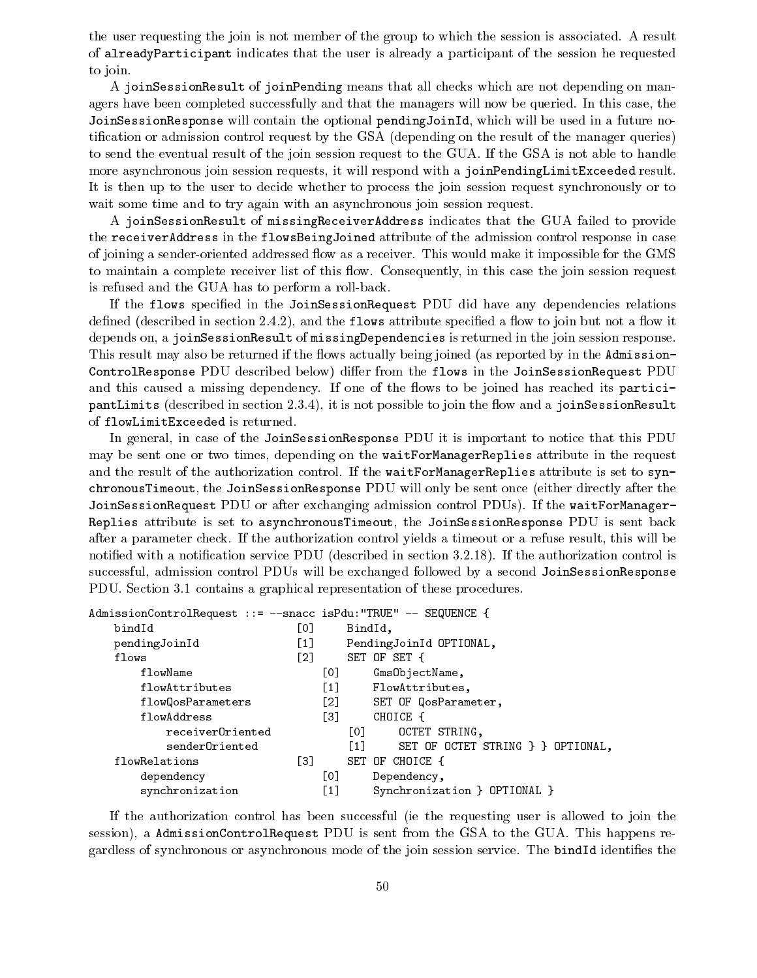the user requesting the join is not member of the group to which the session is associated. A result of alreadyParticipant indicates that the user is already a participant of the session he requested to join.

A joinSessionResult of joinPending means that all checks which are not depending on managers have been completed successfully and that the managers will now be queried. In this case, the JoinSessionResponse will contain the optional pendingJoinId, which will be used in a future notification or admission control request by the GSA (depending on the result of the manager queries) to send the eventual result of the join session request to the GUA. If the GSA is not able to handle more asynchronous join session requests, it will respond with a joinPendingLimitExceeded result. It is then up to the user to decide whether to process the join session request synchronously or to wait some time and to try again with an asynchronous join session request.

A joinSessionResult of missingReceiverAddress indicates that the GUA failed to provide the receiverAddress in the flowsBeingJoined attribute of the admission control response in case of joining a sender-oriented addressed flow as a receiver. This would make it impossible for the GMS to maintain a complete receiver list of this flow. Consequently, in this case the join session request is refused and the GUA has to perform a roll-back.

If the flows specified in the JoinSessionRequest PDU did have any dependencies relations defined (described in section  $2.4.2$ ), and the flows attribute specified a flow to join but not a flow it depends on, a joinSessionResult of missingDependencies is returned in the join session response. This result may also be returned if the flows actually being joined (as reported by in the Admission-ControlResponse PDU described below) differ from the flows in the JoinSessionRequest PDU and this caused a missing dependency. If one of the flows to be joined has reached its participantLimits (described in section 2.3.4), it is not possible to join the flow and a joinSessionResult of flowLimitExceeded is returned.

In general, in case of the JoinSessionResponse PDU it is important to notice that this PDU may be sent one or two times, depending on the waitForManagerReplies attribute in the request and the result of the authorization control. If the waitForManagerReplies attribute is set to synchronousTimeout, the JoinSessionResponse PDU will only be sent once (either directly after the JoinSessionRequest PDU or after exchanging admission control PDUs). If the waitForManager-Replies attribute is set to asynchronousTimeout, the JoinSessionResponse PDU is sent back after a parameter check. If the authorization control yields a timeout or a refuse result, this will be notified with a notification service PDU (described in section 3.2.18). If the authorization control is successful, admission control PDUs will be exchanged followed by a second JoinSessionResponse PDU. Section 3.1 contains a graphical representation of these procedures.

| AdmissionControlRequest ::= -- snacc isPdu: "TRUE" -- SEQUENCE { |                                                      |     |                  |                                   |
|------------------------------------------------------------------|------------------------------------------------------|-----|------------------|-----------------------------------|
| bindId                                                           | [0]                                                  |     | BindId,          |                                   |
| pendingJoinId                                                    | $\left[1\right]$                                     |     |                  | PendingJoinId OPTIONAL,           |
| flows                                                            | $\left[\begin{smallmatrix}2\end{smallmatrix}\right]$ |     |                  | SET OF SET {                      |
| flowName                                                         |                                                      | [0] |                  | GmsObjectName,                    |
| flowAttributes                                                   |                                                      | [1] |                  | FlowAttributes,                   |
| flowQosParameters                                                |                                                      | [2] |                  | SET OF QosParameter,              |
| flowAddress                                                      |                                                      | Г31 |                  | CHOICE {                          |
| receiverOriented                                                 |                                                      |     | [0]              | OCTET STRING,                     |
| senderOriented                                                   |                                                      |     | $\left[1\right]$ | SET OF OCTET STRING } } OPTIONAL, |
| flowRelations                                                    | T31                                                  |     |                  | SET OF CHOICE {                   |
| dependency                                                       |                                                      | [0] |                  | Dependency,                       |
| synchronization                                                  |                                                      | [1] |                  | Synchronization } OPTIONAL }      |

If the authorization control has been successful (ie the requesting user is allowed to join the session), a AdmissionControlRequest PDU is sent from the GSA to the GUA. This happens regardless of synchronous or asynchronous mode of the join session service. The bindId identifies the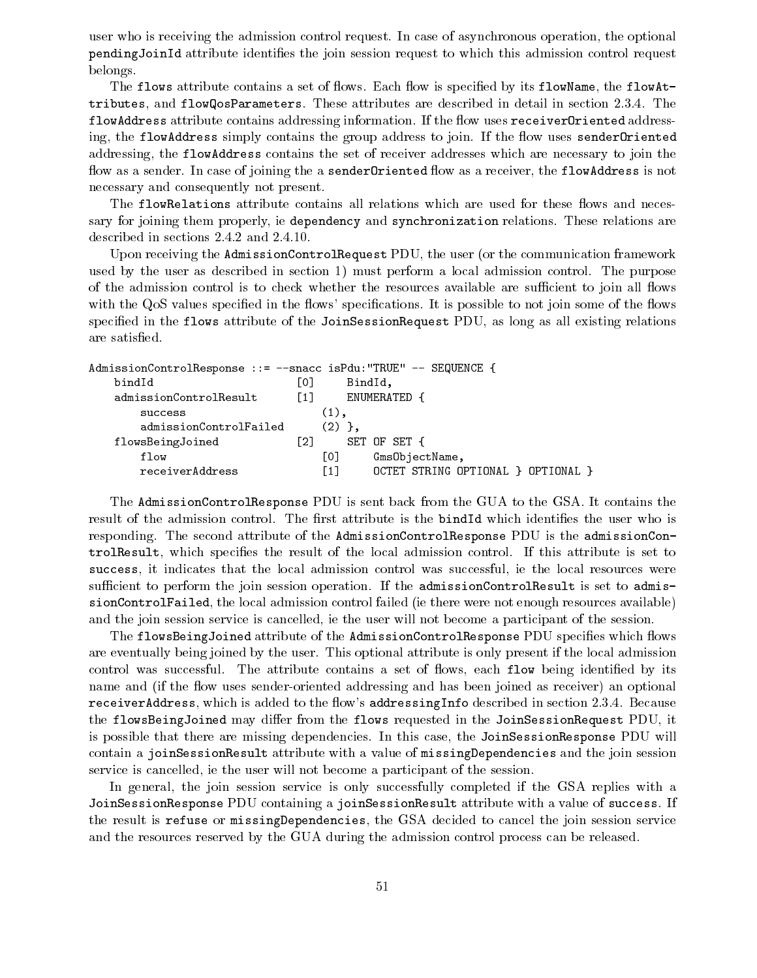user who is receiving the admission control request. In case of asynchronous operation, the optional pending JoinId attribute identifies the join session request to which this admission control request belongs.

The flows attribute contains a set of flows. Each flow is specified by its flowName, the flowAttributes, and flowQosParameters. These attributes are described in detail in section 2.3.4. The flowAddress attribute contains addressing information. If the flow uses receiverOriented addressing, the flowAddress simply contains the group address to join. If the flow uses sender Oriented addressing, the flowAddress contains the set of receiver addresses which are necessary to join the flow as a sender. In case of joining the a sender Oriented flow as a receiver, the flowAddress is not necessary and consequently not present.

The flowRelations attribute contains all relations which are used for these flows and necessary for joining them properly, ie dependency and synchronization relations. These relations are described in sections 2.4.2 and 2.4.10.

Upon receiving the AdmissionControlRequest PDU, the user (or the communication framework used by the user as described in section 1) must perform a local admission control. The purpose of the admission control is to check whether the resources available are sufficient to join all flows with the QoS values specified in the flows' specifications. It is possible to not join some of the flows specied in the flows attribute of the JoinSessionRequest PDU, as long as all existing relations are satised.

| AdmissionControlResponse ::= -- snacc isPdu: "TRUE" -- SEQUENCE { |                   |                     |                                    |
|-------------------------------------------------------------------|-------------------|---------------------|------------------------------------|
| bindId                                                            | Г0 1              | BindId,             |                                    |
| admissionControlResult                                            | $\lceil 1 \rceil$ |                     | ENUMERATED {                       |
| success                                                           |                   | $\left( 1\right)$ , |                                    |
| admissionControlFailed                                            |                   | (2)                 |                                    |
| flowsBeingJoined                                                  | [2]               |                     | SET OF SET {                       |
| flow                                                              |                   | Г01                 | Gms0bjectName,                     |
| receiverAddress                                                   |                   | [1]                 | OCTET STRING OPTIONAL } OPTIONAL } |

The AdmissionControlResponse PDU is sent back from the GUA to the GSA. It contains the result of the admission control. The first attribute is the bindId which identifies the user who is responding. The second attribute of the AdmissionControlResponse PDU is the admissionControlResult, which species the result of the local admission control. If this attribute is set to success, it indicates that the local admission control was successful, ie the local resources were sufficient to perform the join session operation. If the admissionControlResult is set to admissionControlFailed, the local admission control failed (ie there were not enough resources available) and the join session service is cancelled, ie the user will not become a participant of the session.

The flowsBeingJoined attribute of the AdmissionControlResponse PDU specifies which flows are eventually being joined by the user. This optional attribute is only present if the local admission control was successful. The attribute contains a set of flows, each flow being identified by its name and (if the flow uses sender-oriented addressing and has been joined as receiver) an optional receiverAddress, which is added to the flow's addressingInfo described in section 2.3.4. Because the flowsBeingJoined may differ from the flows requested in the JoinSessionRequest PDU, it is possible that there are missing dependencies. In this case, the JoinSessionResponse PDU will contain a joinSessionResult attribute with a value of missingDependencies and the join session service is cancelled, ie the user will not become a participant of the session.

In general, the join session service is only successfully completed if the GSA replies with a JoinSessionResponse PDU containing a joinSessionResult attribute with a value of success. If the result is refuse or missingDependencies, the GSA decided to cancel the join session service and the resources reserved by the GUA during the admission control process can be released.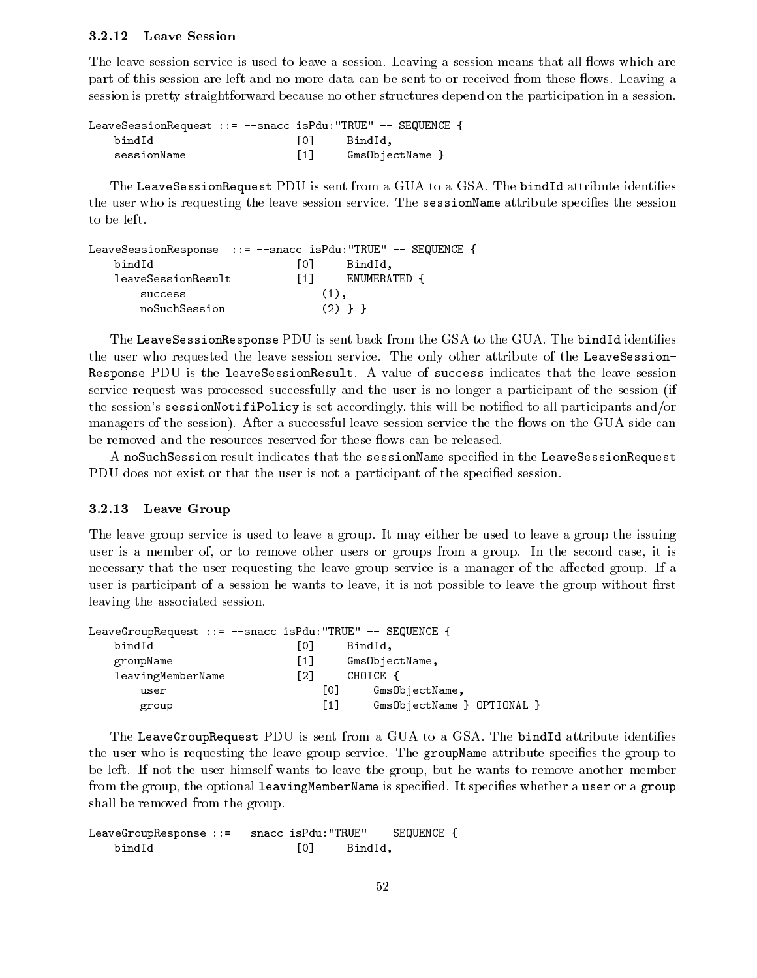#### 3.2.12 Leave Session

The leave session service is used to leave a session. Leaving a session means that all flows which are part of this session are left and no more data can be sent to or received from these flows. Leaving a session is pretty straightforward because no other structures depend on the participation in a session.

| LeaveSessionRequest ::= --snacc isPdu: "TRUE" -- SEQUENCE { |                  |                 |  |
|-------------------------------------------------------------|------------------|-----------------|--|
| bindId                                                      | LO J             | BindId,         |  |
| sessionName                                                 | $\left[1\right]$ | GmsObjectName } |  |

The LeaveSessionRequest PDU is sent from a GUA to a GSA. The bindId attribute identifies the user who is requesting the leave session service. The sessionName attribute specifies the session

|                    |      | LeaveSessionResponse ::= -- snacc isPdu: "TRUE" -- SEQUENCE { |  |
|--------------------|------|---------------------------------------------------------------|--|
| bindId             | TO T | BindId.                                                       |  |
| leaveSessionResult | T1 1 | ENUMERATED                                                    |  |
| success            |      | $(1)$ .                                                       |  |
| noSuchSession      |      | (2) } }                                                       |  |

The LeaveSessionResponse PDU is sent back from the GSA to the GUA. The bindId identifies the user who requested the leave session service. The only other attribute of the LeaveSession-Response PDU is the leaveSessionResult. A value of success indicates that the leave session service request was processed successfully and the user is no longer a participant of the session (if the session's sessionNotifiPolicy is set accordingly, this will be notified to all participants and/or managers of the session). After a successful leave session service the the flows on the GUA side can be removed and the resources reserved for these flows can be released.

A noSuchSession result indicates that the sessionName specied in the LeaveSessionRequest PDU does not exist or that the user is not a participant of the specified session.

#### 3.2.13 Leave Group

The leave group service is used to leave a group. It may either be used to leave a group the issuing user is a member of, or to remove other users or groups from a group. In the second case, it is necessary that the user requesting the leave group service is a manager of the affected group. If a user is participant of a session he wants to leave, it is not possible to leave the group without first leaving the associated session.

| LeaveGroupRequest ::= $--$ snacc isPdu:"TRUE" $--$ SEQUENCE { |                   |                            |  |
|---------------------------------------------------------------|-------------------|----------------------------|--|
| bindId                                                        | Г0 1              | BindId,                    |  |
| groupName                                                     | $\left[1\right]$  | GmsObjectName,             |  |
| leavingMemberName                                             | F21               | CHOICE {                   |  |
| user                                                          | Г01               | GmsObjectName,             |  |
| group                                                         | $\lceil 1 \rceil$ | GmsObjectName } OPTIONAL } |  |

The LeaveGroupRequest PDU is sent from a GUA to a GSA. The bindId attribute identifies the user who is requesting the leave group service. The groupName attribute specifies the group to be left. If not the user himself wants to leave the group, but he wants to remove another member from the group, the optional leavingMemberName is specified. It specifies whether a user or a group shall be removed from the group.

LeaveGroupResponse ::= --snacc isPdu:"TRUE" -- SEQUENCE { bindId [0] BindId,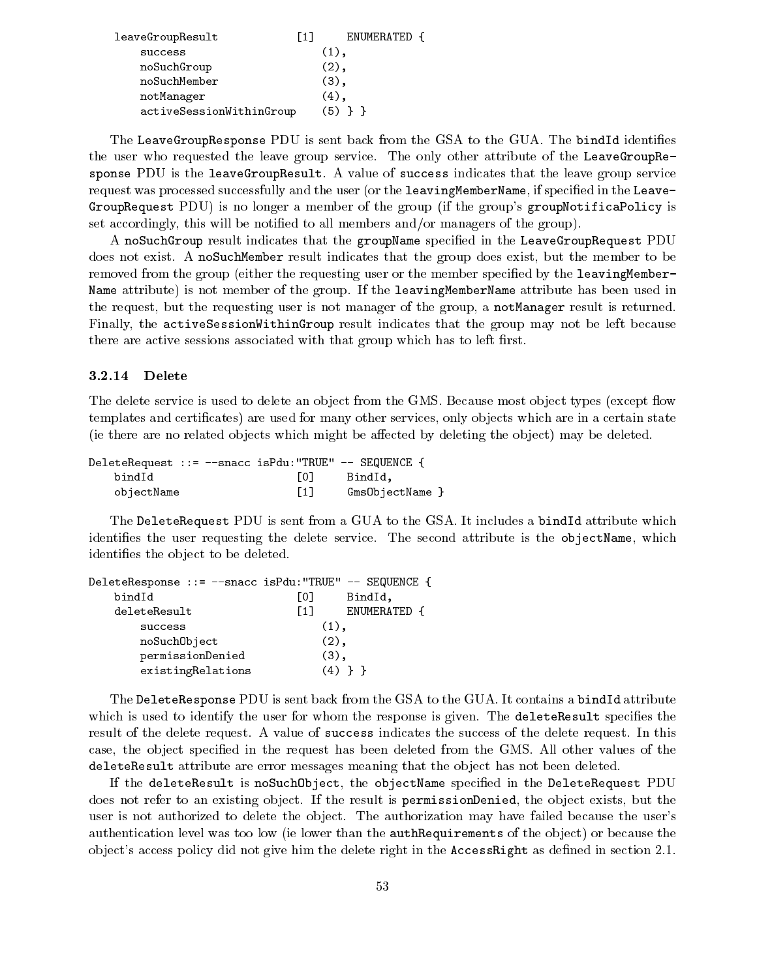| leaveGroupResult         | ENUMERATED {<br>[1] |
|--------------------------|---------------------|
| success                  | $(1)$ .             |
| noSuchGroup              | $(2)$ .             |
| noSuchMember             | $(3)$ .             |
| notManager               | (4).                |
| activeSessionWithinGroup | (5) } }             |

The LeaveGroupResponse PDU is sent back from the GSA to the GUA. The bindId identifies the user who requested the leave group service. The only other attribute of the LeaveGroupResponse PDU is the leaveGroupResult. A value of success indicates that the leave group service request was processed successfully and the user (or the leavingMemberName, if specied in the Leave-GroupRequest PDU) is no longer a member of the group (if the group's groupNotificaPolicy is set accordingly, this will be notied to all members and/or managers of the group).

A noSuchGroup result indicates that the groupName specified in the LeaveGroupRequest  ${\rm PDU}$ does not exist. A noSuchMember result indicates that the group does exist, but the member to be removed from the group (either the requesting user or the member specified by the leavingMember-Name attribute) is not member of the group. If the leavingMemberName attribute has been used in the request, but the requesting user is not manager of the group, a notManager result is returned. Finally, the activeSessionWithinGroup result indicates that the group may not be left because there are active sessions associated with that group which has to left first.

#### 3.2.14 Delete

The delete service is used to delete an object from the GMS. Because most object types (except flow templates and certificates) are used for many other services, only objects which are in a certain state (ie there are no related objects which might be affected by deleting the object) may be deleted.

| DeleteRequest ::= --snacc isPdu: "TRUE" -- SEQUENCE { |                   |         |  |
|-------------------------------------------------------|-------------------|---------|--|
| bindId                                                | LO J              | BindId. |  |
| objectName                                            | $\lceil 1 \rceil$ |         |  |

The DeleteRequest PDU is sent from a GUA to the GSA. It includes a bindId attribute which identifies the user requesting the delete service. The second attribute is the objectName, which identifies the object to be deleted.

| DeleteResponse ::= --snacc isPdu: "TRUE" -- SEQUENCE { |                   |              |
|--------------------------------------------------------|-------------------|--------------|
| bindId                                                 | LO J              | BindId,      |
| deleteResult                                           | $\lceil 1 \rceil$ | ENUMERATED { |
| success                                                | $(1)$ .           |              |
| noSuchObject                                           | $(2)$ ,           |              |
| permissionDenied                                       | $(3)$ ,           |              |
| existingRelations                                      |                   | (4) } }      |

The DeleteResponse PDU is sent back from the GSA to the GUA. It contains a bindId attribute which is used to identify the user for whom the response is given. The delete Result specifies the result of the delete request. A value of success indicates the success of the delete request. In this case, the ob ject specied in the request has been deleted from the GMS. All other values of the deleteResult attribute are error messages meaning that the object has not been deleted.

If the deleteResult is noSuchObject, the objectName specified in the DeleteRequest PDU does not refer to an existing object. If the result is permissionDenied, the object exists, but the user is not authorized to delete the object. The authorization may have failed because the user's authentication level was too low (ie lower than the **authRequirements** of the object) or because the object's access policy did not give him the delete right in the AccessRight as defined in section 2.1.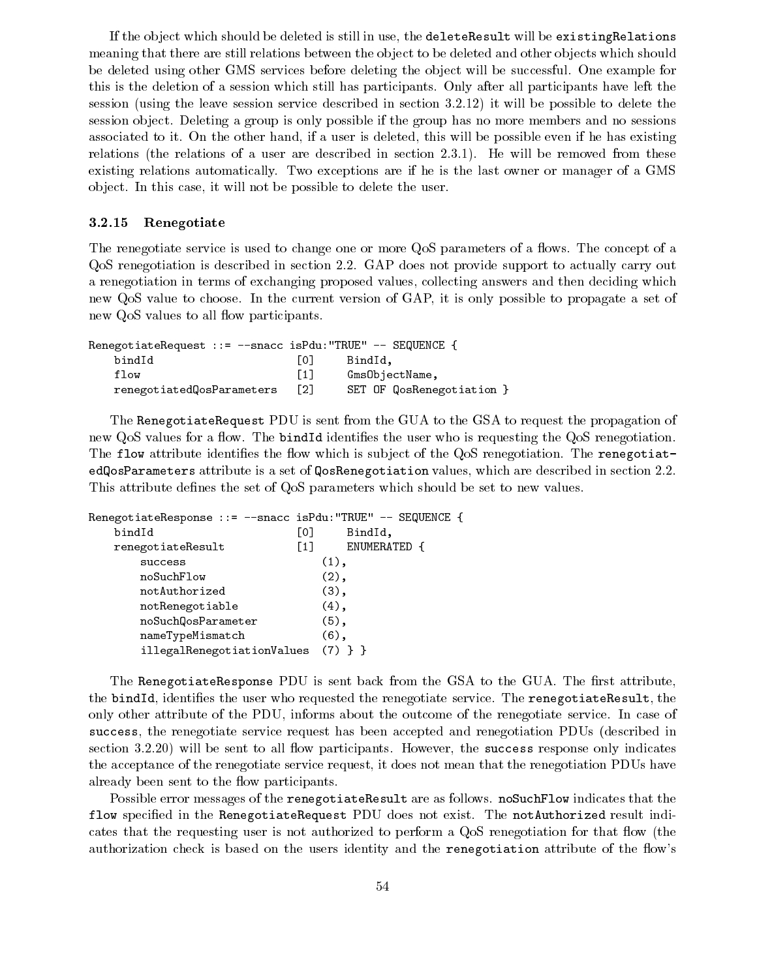If the ob ject which should be deleted is still in use, the deleteResult will be existingRelations meaning that there are still relations between the object to be deleted and other objects which should be deleted using other GMS services before deleting the object will be successful. One example for this is the deletion of a session which still has participants. Only after all participants have left the session (using the leave session service described in section 3.2.12) it will be possible to delete the session ob ject. Deleting a group is only possible if the group has no more members and no sessions associated to it. On the other hand, if a user is deleted, this will be possible even if he has existing relations (the relations of a user are described in section 2.3.1). He will be removed from these existing relations automatically. Two exceptions are ifhe is the last owner or manager of a GMS ob ject. In this case, it will not be possible to delete the user.

#### 3.2.15 Renegotiate

The renegotiate service is used to change one or more QoS parameters of a flows. The concept of a QoS renegotiation is described in section 2.2. GAP does not provide support to actually carry out a renegotiation in terms of exchanging proposed values, collecting answers and then deciding which new QoS value to choose. In the current version of GAP, it is only possible to propagate a set of new QoS values to all flow participants.

```
RenegotiateRequest ::= --snacc isPdu:"TRUE" -- SEQUENCE {
  bindId [0] BindId,
  flow [1] Gms0bjectName,
  renegotiatedQosParameters [2] SET OF QosRenegotiation }
```
The RenegotiateRequest PDU is sent from the GUA to the GSA to request the propagation of new QoS values for a flow. The bindId identifies the user who is requesting the QoS renegotiation. The flow attribute identifies the flow which is subject of the QoS renegotiation. The renegotiatedQosParameters attribute is a set of QosRenegotiation values, which are described in section 2.2. This attribute defines the set of QoS parameters which should be set to new values.

| RenegotiateResponse ::= --snacc isPdu: "TRUE" -- SEQUENCE { |                                   |
|-------------------------------------------------------------|-----------------------------------|
| bindId                                                      | [0]<br>BindId,                    |
| renegotiateResult                                           | ENUMERATED {<br>$\lceil 1 \rceil$ |
| success                                                     | $(1)$ ,                           |
| noSuchFlow                                                  | $(2)$ ,                           |
| notAuthorized                                               | $(3)$ ,                           |
| notRenegotiable                                             | $(4)$ ,                           |
| noSuchQosParameter                                          | $(5)$ ,                           |
| nameTypeMismatch                                            | $(6)$ ,                           |
| illegalRenegotiationValues                                  |                                   |

The RenegotiateResponse  $PDU$  is sent back from the GSA to the GUA. The first attribute, the bindId, identifies the user who requested the renegotiate service. The renegotiateResult, the only other attribute of the PDU, informs about the outcome of the renegotiate service. In case of success, the renegotiate service request has been accepted and renegotiation PDUs (described in section  $3.2.20$ ) will be sent to all flow participants. However, the success response only indicates the acceptance of the renegotiate service request, it does not mean that the renegotiation PDUs have already been sent to the flow participants.

Possible error messages of the renegotiateResult are as follows. noSuchFlow indicates that the flow specified in the RenegotiateRequest PDU does not exist. The notAuthorized result indicates that the requesting user is not authorized to perform a QoS renegotiation for that flow (the authorization check is based on the users identity and the renegotiation attribute of the flow's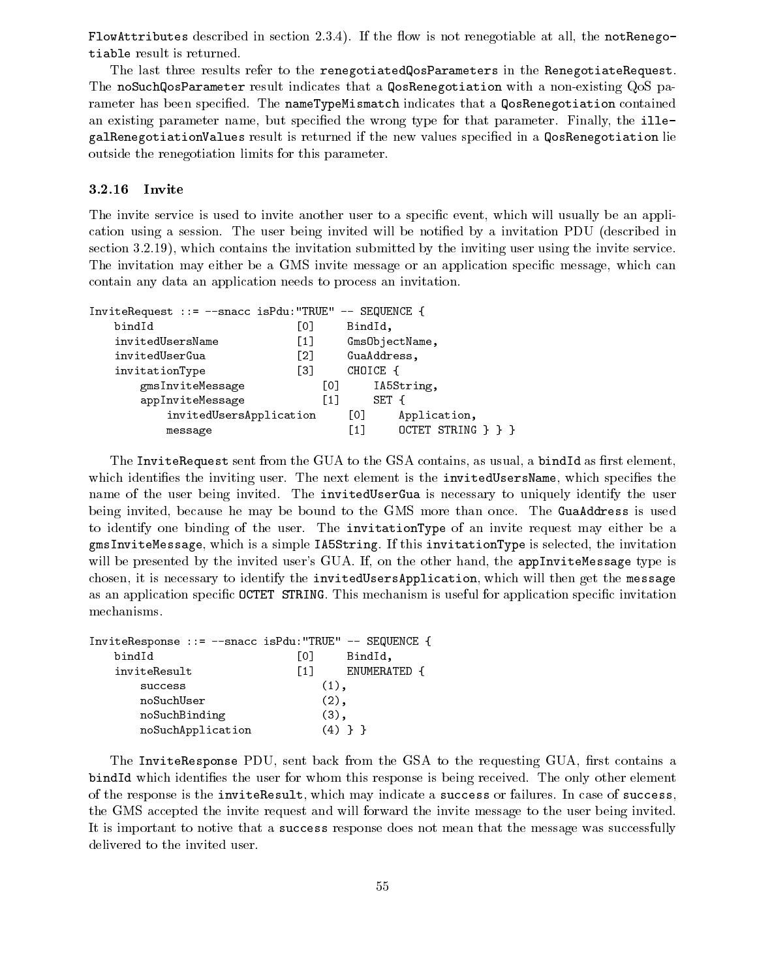FlowAttributes described in section 2.3.4). If the flow is not renegotiable at all, the notRenegotiable result is returned.

The last three results refer to the renegotiatedQosParameters in the RenegotiateRequest. The noSuchQosParameter result indicates that a QosRenegotiation with a non-existing QoS parameter has been specified. The nameTypeMismatch indicates that a QosRenegotiation contained an existing parameter name, but specified the wrong type for that parameter. Finally, the illegalRenegotiationValues result is returned if the new values specied in a QosRenegotiation lie outside the renegotiation limits for this parameter.

#### 3.2.16 Invite

The invite service is used to invite another user to a specific event, which will usually be an application using a session. The user being invited will be notified by a invitation PDU (described in section 3.2.19), which contains the invitation submitted by the inviting user using the invite service. The invitation may either be a GMS invite message or an application specific message, which can contain any data an application needs to process an invitation.

| InviteRequest ::= --snacc isPdu: "TRUE" -- SEQUENCE { |                                                        |                             |  |
|-------------------------------------------------------|--------------------------------------------------------|-----------------------------|--|
| bindId                                                | L01                                                    | BindId,                     |  |
| invitedUsersName                                      | $\left[\begin{smallmatrix} 1 \end{smallmatrix}\right]$ | GmsObjectName,              |  |
| invitedUserGua                                        | F21                                                    | GuaAddress,                 |  |
| invitationType                                        | Г31                                                    | CHOICE {                    |  |
| gmsInviteMessage                                      | L01                                                    | IA5String,                  |  |
| appInviteMessage                                      | $\lceil 1 \rceil$                                      | SET {                       |  |
| invitedUsersApplication                               |                                                        | $\lceil$ 01<br>Application, |  |
| message                                               |                                                        | OCTET STRING } } }<br>F11   |  |

The InviteRequest sent from the GUA to the GSA contains, as usual, a bindId as first element, which identifies the inviting user. The next element is the invitedUsersName, which specifies the name of the user being invited. The invitedUserGua is necessary to uniquely identify the user being invited, because he may be bound to the GMS more than once. The GuaAddress is used to identify one binding of the user. The invitationType of an invite request may either be a gmsInviteMessage, which is a simple IA5String. If this invitationType is selected, the invitation will be presented by the invited user's GUA. If, on the other hand, the appInviteMessage type is chosen, it is necessary to identify the invitedUsersApplication, which will then get the message as an application specic OCTET STRING. This mechanism is useful for application specic invitation mechanisms.

| InviteResponse ::= --snacc isPdu: "TRUE" -- SEQUENCE { |                   |              |
|--------------------------------------------------------|-------------------|--------------|
| bindId                                                 | L0J               | BindId,      |
| inviteResult                                           | $\lceil 1 \rceil$ | ENUMERATED { |
| success                                                | $(1)$ ,           |              |
| noSuchUser                                             | $(2)$ ,           |              |
| noSuchBinding                                          | $(3)$ ,           |              |
| noSuchApplication                                      | $(4)$ }           |              |

The InviteResponse PDU, sent back from the GSA to the requesting GUA, first contains a bindId which identifies the user for whom this response is being received. The only other element of the response is the inviteResult, which may indicate a success or failures. In case of success, the GMS accepted the invite request and will forward the invite message to the user being invited. It is important to notive that a success response does not mean that the message was successfully delivered to the invited user.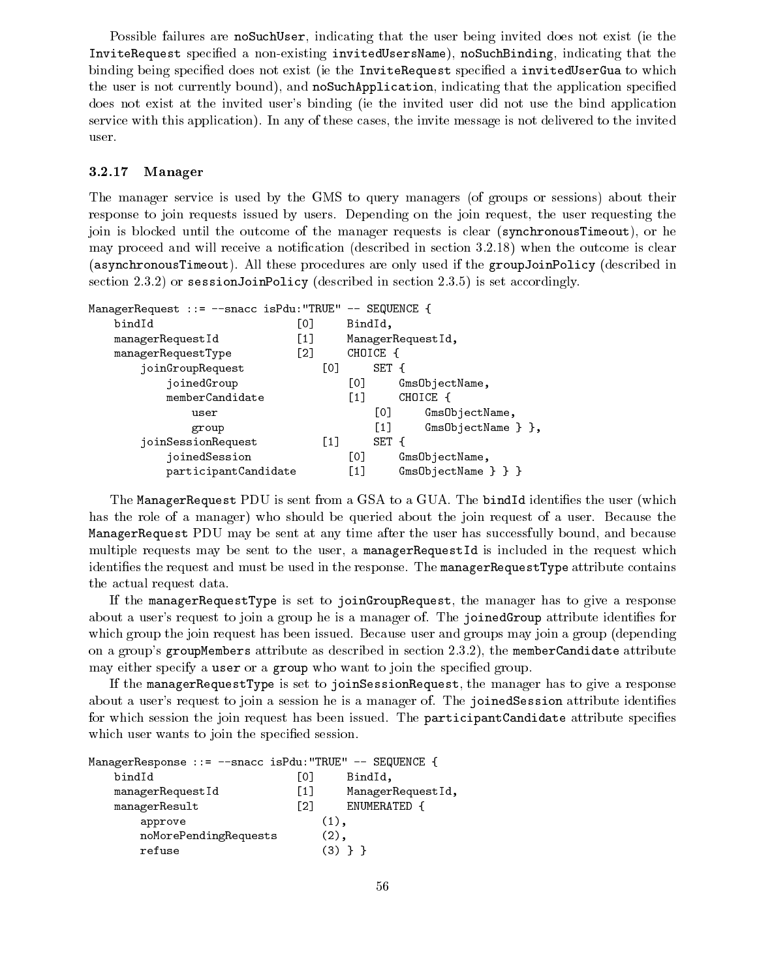Possible failures are noSuchUser, indicating that the user being invited does not exist (ie the InviteRequest specied a non-existing invitedUsersName), noSuchBinding, indicating that the binding being specified does not exist (ie the InviteRequest specified a invitedUserGua to which the user is not currently bound), and noSuchApplication, indicating that the application specied does not exist at the invited user's binding (ie the invited user did not use the bind application service with this application). In any of these cases, the invite message is not delivered to the invited user.

#### 3.2.17 Manager

The manager service is used by the GMS to query managers (of groups or sessions) about their response to join requests issued by users. Depending on the join request, the user requesting the join is blocked until the outcome of the manager requests is clear (synchronousTimeout), or he may proceed and will receive a notification (described in section  $3.2.18$ ) when the outcome is clear (asynchronousTimeout). All these procedures are only used if the groupJoinPolicy (described in section 2.3.2) or sessionJoinPolicy (described in section 2.3.5) is set accordingly.

| ManagerRequest ::= --snacc isPdu: "TRUE" -- SEQUENCE { |                   |                                            |
|--------------------------------------------------------|-------------------|--------------------------------------------|
| bindId                                                 | [0]               | BindId,                                    |
| managerRequestId                                       | $\left[1\right]$  | ManagerRequestId,                          |
| managerRequestType                                     | $\lceil 2 \rceil$ | CHOICE {                                   |
| joinGroupRequest                                       | [0]               | SET {                                      |
| joinedGroup                                            |                   | [0]<br>GmsObjectName,                      |
| memberCandidate                                        |                   | CHOICE {<br>$\lceil 1 \rceil$              |
| user                                                   |                   | [0]<br>GmsObjectName,                      |
| group                                                  |                   | $GmsObjectName$ $\}$ ,<br>$\left[1\right]$ |
| joinSessionRequest                                     | $\lceil 1 \rceil$ | SET {                                      |
| joinedSession                                          |                   | [0]<br>GmsObjectName,                      |
| participantCandidate                                   |                   | $\left[1\right]$<br>GmsObjectName } } }    |

The ManagerRequest PDU is sent from a GSA to a GUA. The bindId identifies the user (which has the role of a manager) who should be queried about the join request of a user. Because the ManagerRequest PDU may be sent at any time after the user has successfully bound, and because multiple requests may be sent to the user, a managerRequestId is included in the request which identifies the request and must be used in the response. The managerRequestType attribute contains the actual request data.

If the managerRequestType is set to joinGroupRequest, the manager has to give a response about a user's request to join a group he is a manager of. The joinedGroup attribute identifies for which group the join request has been issued. Because user and groups may join a group (depending on a group's groupMembers attribute as described in section 2.3.2), the memberCandidate attribute may either specify a user or a group who want to join the specified group.

If the managerRequestType is set to joinSessionRequest, the manager has to give a response about a user's request to join a session he is a manager of. The joinedSession attribute identifies for which session the join request has been issued. The participantCandidate attribute specifies which user wants to join the specified session.

| ManagerResponse ::= --snacc isPdu: "TRUE" -- SEQUENCE { |      |                   |
|---------------------------------------------------------|------|-------------------|
| bindId                                                  | L0 J | BindId,           |
| managerRequestId                                        | [1]  | ManagerRequestId, |
| managerResult                                           | F21  | ENUMERATED {      |
| approve                                                 |      | $(1)$ ,           |
| noMorePendingRequests                                   |      | (2),              |
| refuse                                                  |      |                   |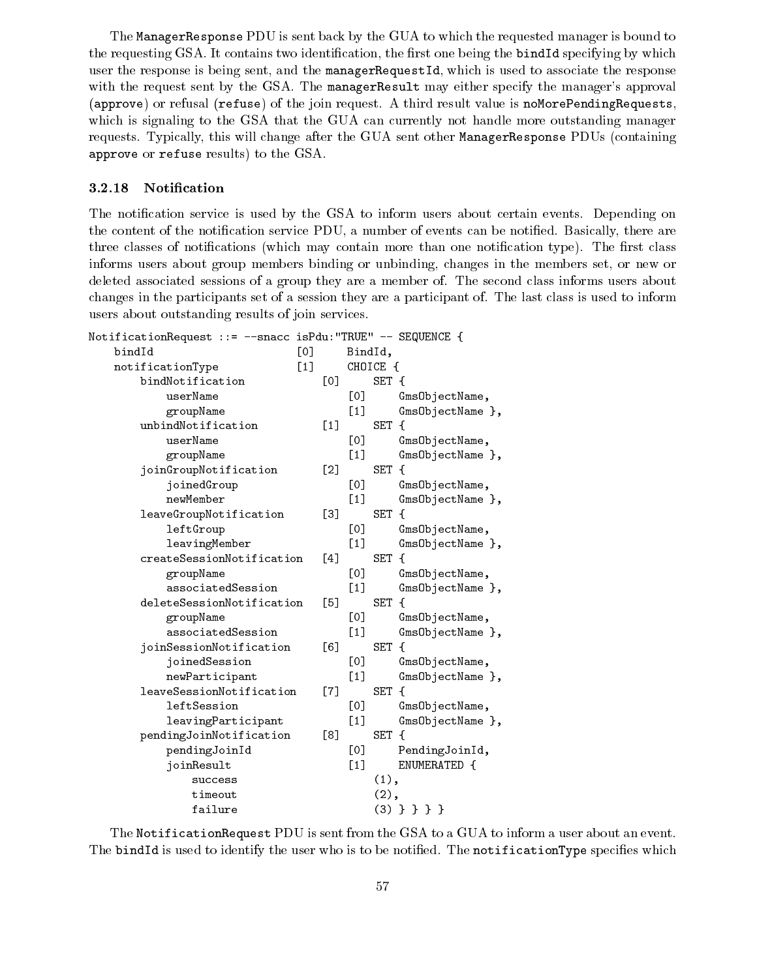The ManagerResponse PDU is sent back by the GUA to which the requested manager is bound to the requesting GSA. It contains two identification, the first one being the bindId specifying by which user the response is being sent, and the managerRequestId, which is used to associate the response with the request sent by the GSA. The managerResult may either specify the manager's approval (approve) or refusal (refuse) of the join request. A third result value is noMorePendingRequests, which is signaling to the GSA that the GUA can currently not handle more outstanding manager requests. Typically, this will change after the GUA sent other ManagerResponse PDUs (containing approve or refuse results) to the GSA.

#### 3.2.18 Notication

The notification service is used by the GSA to inform users about certain events. Depending on the content of the notification service PDU, a number of events can be notified. Basically, there are three classes of notifications (which may contain more than one notification type). The first class informs users about group members binding or unbinding, changes in the members set, or new or deleted associated sessions of a group they are a member of. The second class informs users about changes in the participants set of a session they are a participant of. The last class is used to inform users about outstanding results of join services.

| NotificationRequest ::= --snacc isPdu:"TRUE" -- SEQUENCE { |      |                   |          |                  |
|------------------------------------------------------------|------|-------------------|----------|------------------|
| bindId<br>[0]                                              |      |                   | BindId,  |                  |
| [1]<br>notificationType                                    |      |                   | CHOICE { |                  |
| bindNotification                                           | [0]  |                   | SET {    |                  |
| userName                                                   |      | [0]               |          | GmsObjectName,   |
| groupName                                                  |      | $[1]$             |          | GmsObjectName }, |
| unbindNotification                                         | [1]  |                   | SET {    |                  |
| userName                                                   |      | [0]               |          | GmsObjectName,   |
| groupName                                                  |      | $\lceil 1 \rceil$ |          | GmsObjectName }, |
| joinGroupNotification                                      | [2]  |                   | SET {    |                  |
| joinedGroup                                                |      | [0]               |          | GmsObjectName,   |
| newMember                                                  |      | [1]               |          | GmsObjectName }, |
| leaveGroupNotification                                     | [3]  |                   | SET {    |                  |
| leftGroup                                                  |      | [0]               |          | GmsObjectName,   |
| leavingMember                                              |      | [1]               |          | GmsObjectName }, |
| createSessionNotification                                  | Γ4 l |                   | SET {    |                  |
| groupName                                                  |      | [0]               |          | GmsObjectName,   |
| associatedSession                                          |      | $[1]$             |          | GmsObjectName }, |
| deleteSessionNotification                                  | [5]  |                   | SET {    |                  |
| groupName                                                  |      | [0]               |          | GmsObjectName,   |
| associatedSession                                          |      | $[1]$             |          | GmsObjectName }, |
| joinSessionNotification                                    | [6]  |                   | SET {    |                  |
| joinedSession                                              |      | [0]               |          | GmsObjectName,   |
| newParticipant                                             |      | $[1]$             |          | GmsObjectName }, |
| leaveSessionNotification                                   | [7]  |                   | SET {    |                  |
| leftSession                                                |      | [0]               |          | GmsObjectName,   |
| leavingParticipant                                         |      | [1]               |          | GmsObjectName }, |
| pendingJoinNotification                                    | [8]  |                   | SET {    |                  |
| pendingJoinId                                              |      | [0]               |          | PendingJoinId,   |
| joinResult                                                 |      | $[1]$             |          | ENUMERATED {     |
| success                                                    |      |                   | $(1)$ ,  |                  |
| timeout                                                    |      |                   | $(2)$ ,  |                  |
| failure                                                    |      |                   |          | $(3)$ } } } }    |

The NotificationRequest PDU is sent from the GSA to a GUA to inform a user about an event. The bindId is used to identify the user who is to be notified. The notificationType specifies which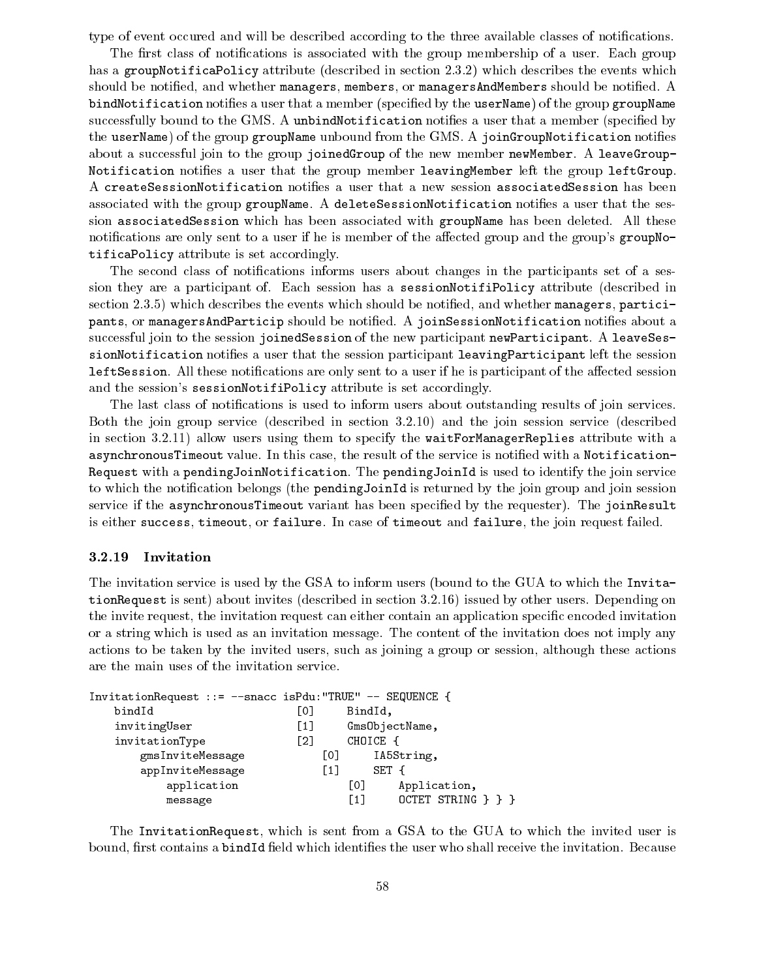type of event occurred and will be described according to the three available classes of notifications.

The first class of notifications is associated with the group membership of a user. Each group has a groupNotificaPolicy attribute (described in section 2.3.2) which describes the events which should be notified, and whether managers, members, or managers AndMembers should be notified. A bindNotification notifies a user that a member (specified by the userName) of the group groupName successfully bound to the GMS. A unbindNotification notifies a user that a member (specified by the userName) of the group groupName unbound from the GMS. A joinGroupNotification notifies about a successful join to the group joinedGroup of the new member newMember. A leaveGroup-Notification notifies a user that the group member leavingMember left the group leftGroup. A createSessionNotification notifies a user that a new session associatedSession has been associated with the group groupName. A deleteSessionNotification notifies a user that the session associatedSession which has been associated with groupName has been deleted. All these notifications are only sent to a user if he is member of the affected group and the group's groupNotificaPolicy attribute is set accordingly.

The second class of notifications informs users about changes in the participants set of a session they are a participant of. Each session has a sessionNotifiPolicy attribute (described in section 2.3.5) which describes the events which should be notified, and whether managers, participants, or managersAndParticip should be notified. A joinSessionNotification notifies about a successful join to the session joinedSession of the new participant newParticipant. A leaveSessionNotification notifies a user that the session participant leavingParticipant left the session leftSession. All these notifications are only sent to a user if he is participant of the affected session and the session's sessionNotifiPolicy attribute is set accordingly.

The last class of notifications is used to inform users about outstanding results of join services. Both the join group service (described in section 3.2.10) and the join session service (described in section 3.2.11) allow users using them to specify the waitForManagerReplies attribute with a asynchronousTimeout value. In this case, the result of the service is notified with a Notification-Request with a pendingJoinNotification. The pendingJoinId is used to identify the join service to which the notication belongs (the pendingJoinId is returned by the join group and join session service if the asynchronousTimeout variant has been specified by the requester). The joinResult is either success, timeout, or failure. In case of timeout and failure, the join request failed.

### 3.2.19 Invitation

The invitation service is used by the GSA to inform users (bound to the GUA to which the InvitationRequest is sent) about invites (described in section 3.2.16) issued by other users. Depending on the invite request, the invitation request can either contain an application specic encoded invitation or a string which is used as an invitation message. The content of the invitation does not imply any actions to be taken by the invited users, such as joining a group or session, although these actions are the main uses of the invitation service.

| InvitationRequest ::= --snacc isPdu: "TRUE" -- SEQUENCE { |                   |                |                    |
|-----------------------------------------------------------|-------------------|----------------|--------------------|
| bindId                                                    | L0J               | BindId,        |                    |
| invitingUser                                              | $\lceil 1 \rceil$ | GmsObjectName, |                    |
| invitationType                                            | $\lceil 2 \rceil$ | CHOICE {       |                    |
| gmsInviteMessage                                          | [0]               |                | IA5String,         |
| appInviteMessage                                          | T 1 1             | SET {          |                    |
| application                                               |                   | LO J           | Application,       |
| message                                                   |                   | Г1 1           | OCTET STRING } } } |

The InvitationRequest, which is sent from a GSA to the GUA to which the invited user is bound, first contains a bindId field which identifies the user who shall receive the invitation. Because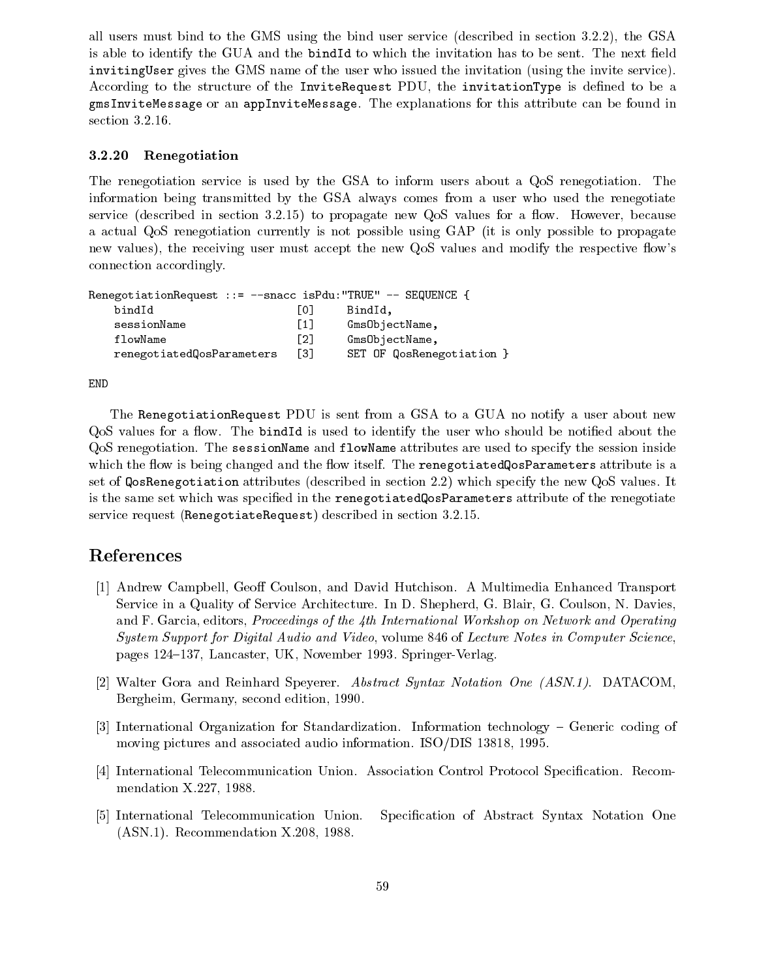all users must bind to the GMS using the bind user service (described in section 3.2.2), the GSA is able to identify the GUA and the bindId to which the invitation has to be sent. The next field invitingUser gives the GMS name of the user who issued the invitation (using the invite service). According to the structure of the InviteRequest PDU, the invitationType is defined to be a gmsInviteMessage or an appInviteMessage. The explanations for this attribute can be found in section 3.2.16.

#### 3.2.20 Renegotiation

The renegotiation service is used by the GSA to inform users about a QoS renegotiation. The information being transmitted by the GSA always comes from a user who used the renegotiate service (described in section  $3.2.15$ ) to propagate new QoS values for a flow. However, because a actual QoS renegotiation currently is not possible using GAP (it is only possible to propagate new values), the receiving user must accept the new QoS values and modify the respective flow's connection accordingly.

| RenegotiationRequest ::= --snacc isPdu: "TRUE" -- SEQUENCE { |                   |                           |
|--------------------------------------------------------------|-------------------|---------------------------|
| bindId                                                       | LO J              | BindId.                   |
| sessionName                                                  | $\lceil 1 \rceil$ | GmsObjectName,            |
| flowName                                                     | F21               | GmsObjectName,            |
| renegotiatedQosParameters                                    | Г31               | SET OF QosRenegotiation } |

END

The RenegotiationRequest PDU is sent from a GSA to a GUA no notify a user about new QoS values for a flow. The bindId is used to identify the user who should be notified about the QoS renegotiation. The sessionName and flowName attributes are used to specify the session inside which the flow is being changed and the flow itself. The renegotiated QosParameters attribute is a set of QosRenegotiation attributes (described in section 2.2) which specify the new QoS values. It is the same set which was specied in the renegotiatedQosParameters attribute of the renegotiate service request (RenegotiateRequest) described in section 3.2.15.

## References

- [1] Andrew Campbell, Geoff Coulson, and David Hutchison. A Multimedia Enhanced Transport Service in a Quality of Service Architecture. In D. Shepherd, G. Blair, G. Coulson, N. Davies, and F. Garcia, editors, *Proceedings of the 4th International Workshop on Network and Operating* System Support for Digital Audio and Video, volume 846 of Lecture Notes in Computer Science, pages 124–137, Lancaster, UK, November 1993. Springer-Verlag.
- [2] Walter Gora and Reinhard Speyerer. Abstract Syntax Notation One (ASN.1). DATACOM, Bergheim, Germany, second edition, 1990.
- [3] International Organization for Standardization. Information technology Generic coding of moving pictures and associated audio information. ISO/DIS 13818, 1995.
- [4] International Telecommunication Union. Association Control Protocol Specication. Recommendation X.227, 1988.
- [5] International Telecommunication Union. Specification of Abstract Syntax Notation One (ASN.1). Recommendation X.208, 1988.